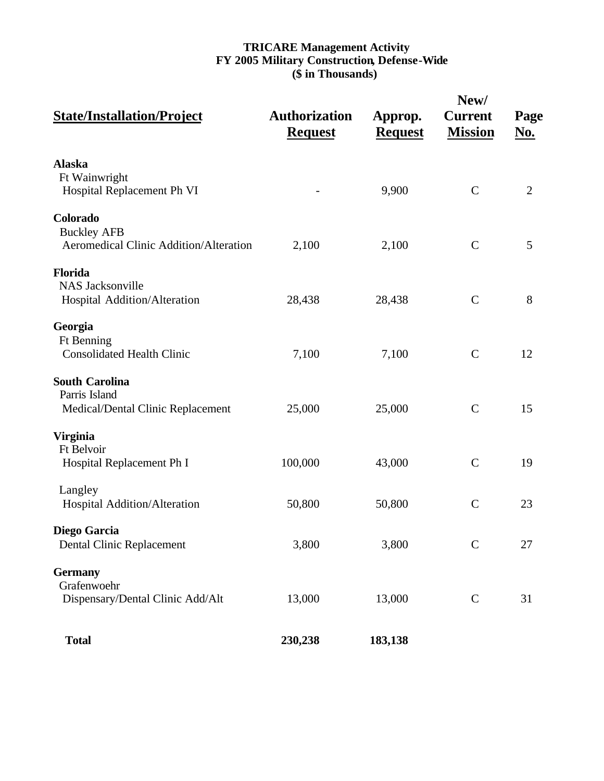# **TRICARE Management Activity FY 2005 Military Construction, Defense-Wide (\$ in Thousands)**

| <b>State/Installation/Project</b>                                           | <b>Authorization</b><br><b>Request</b> | Approp.<br><b>Request</b> | New/<br><b>Current</b><br><b>Mission</b> | Page<br><u>No.</u> |
|-----------------------------------------------------------------------------|----------------------------------------|---------------------------|------------------------------------------|--------------------|
| <b>Alaska</b><br>Ft Wainwright<br>Hospital Replacement Ph VI                |                                        | 9,900                     | $\mathcal{C}$                            | $\overline{2}$     |
| Colorado<br><b>Buckley AFB</b><br>Aeromedical Clinic Addition/Alteration    | 2,100                                  | 2,100                     | $\mathbf C$                              | 5                  |
| <b>Florida</b><br><b>NAS Jacksonville</b><br>Hospital Addition/Alteration   | 28,438                                 | 28,438                    | $\mathcal{C}$                            | 8                  |
| Georgia<br><b>Ft Benning</b><br><b>Consolidated Health Clinic</b>           | 7,100                                  | 7,100                     | $\mathcal{C}$                            | 12                 |
| <b>South Carolina</b><br>Parris Island<br>Medical/Dental Clinic Replacement | 25,000                                 | 25,000                    | $\mathcal{C}$                            | 15                 |
| <b>Virginia</b><br>Ft Belvoir<br>Hospital Replacement Ph I                  | 100,000                                | 43,000                    | $\mathcal{C}$                            | 19                 |
| Langley<br>Hospital Addition/Alteration                                     | 50,800                                 | 50,800                    | $\mathcal{C}$                            | 23                 |
| Diego Garcia<br><b>Dental Clinic Replacement</b>                            | 3,800                                  | 3,800                     | $\mathcal{C}$                            | 27                 |
| <b>Germany</b><br>Grafenwoehr<br>Dispensary/Dental Clinic Add/Alt           | 13,000                                 | 13,000                    | $\mathsf C$                              | 31                 |
| <b>Total</b>                                                                | 230,238                                | 183,138                   |                                          |                    |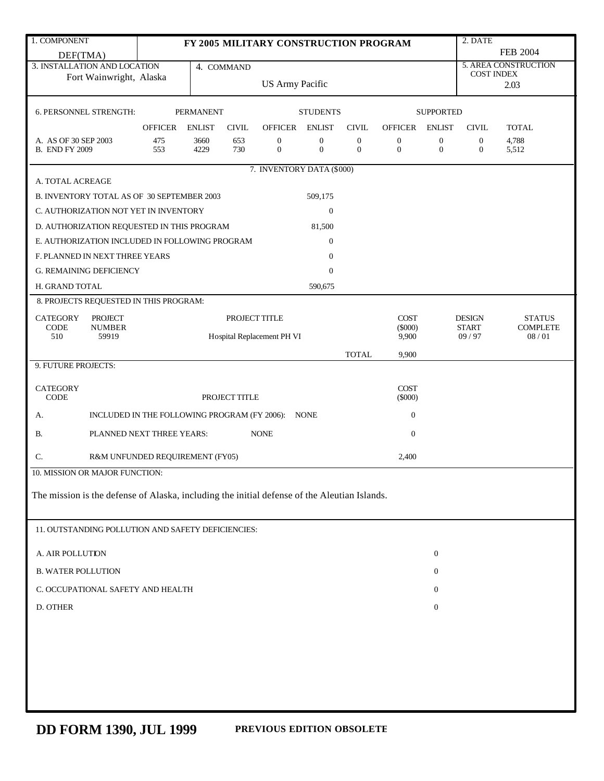| FY 2005 MILITARY CONSTRUCTION PROGRAM<br><b>FEB 2004</b><br>DEF(TMA)<br>5. AREA CONSTRUCTION<br>3. INSTALLATION AND LOCATION<br>4. COMMAND<br><b>COST INDEX</b><br>Fort Wainwright, Alaska<br><b>US Army Pacific</b><br>2.03<br><b>SUPPORTED</b><br>6. PERSONNEL STRENGTH:<br><b>PERMANENT</b><br><b>STUDENTS</b><br><b>OFFICER</b><br><b>ENLIST</b><br>OFFICER<br><b>ENLIST</b><br><b>CIVIL</b><br>ENLIST<br><b>CIVIL</b><br><b>OFFICER</b><br><b>CIVIL</b><br><b>TOTAL</b><br>4,788<br>A. AS OF 30 SEP 2003<br>475<br>3660<br>653<br>0<br>0<br>$\boldsymbol{0}$<br>$\boldsymbol{0}$<br>$\boldsymbol{0}$<br>$\boldsymbol{0}$<br>$\overline{0}$<br>$\mathbf{0}$<br>730<br>$\mathbf{0}$<br>$\overline{0}$<br>$\boldsymbol{0}$<br><b>B. END FY 2009</b><br>553<br>4229<br>$\boldsymbol{0}$<br>5,512<br>7. INVENTORY DATA (\$000)<br>A. TOTAL ACREAGE<br>B. INVENTORY TOTAL AS OF 30 SEPTEMBER 2003<br>509,175<br>C. AUTHORIZATION NOT YET IN INVENTORY<br>$\boldsymbol{0}$<br>D. AUTHORIZATION REQUESTED IN THIS PROGRAM<br>81,500<br>E. AUTHORIZATION INCLUDED IN FOLLOWING PROGRAM<br>$\overline{0}$ |  |  |  |  |  |  |  |  |  |
|------------------------------------------------------------------------------------------------------------------------------------------------------------------------------------------------------------------------------------------------------------------------------------------------------------------------------------------------------------------------------------------------------------------------------------------------------------------------------------------------------------------------------------------------------------------------------------------------------------------------------------------------------------------------------------------------------------------------------------------------------------------------------------------------------------------------------------------------------------------------------------------------------------------------------------------------------------------------------------------------------------------------------------------------------------------------------------------------------|--|--|--|--|--|--|--|--|--|
|                                                                                                                                                                                                                                                                                                                                                                                                                                                                                                                                                                                                                                                                                                                                                                                                                                                                                                                                                                                                                                                                                                      |  |  |  |  |  |  |  |  |  |
|                                                                                                                                                                                                                                                                                                                                                                                                                                                                                                                                                                                                                                                                                                                                                                                                                                                                                                                                                                                                                                                                                                      |  |  |  |  |  |  |  |  |  |
|                                                                                                                                                                                                                                                                                                                                                                                                                                                                                                                                                                                                                                                                                                                                                                                                                                                                                                                                                                                                                                                                                                      |  |  |  |  |  |  |  |  |  |
|                                                                                                                                                                                                                                                                                                                                                                                                                                                                                                                                                                                                                                                                                                                                                                                                                                                                                                                                                                                                                                                                                                      |  |  |  |  |  |  |  |  |  |
|                                                                                                                                                                                                                                                                                                                                                                                                                                                                                                                                                                                                                                                                                                                                                                                                                                                                                                                                                                                                                                                                                                      |  |  |  |  |  |  |  |  |  |
|                                                                                                                                                                                                                                                                                                                                                                                                                                                                                                                                                                                                                                                                                                                                                                                                                                                                                                                                                                                                                                                                                                      |  |  |  |  |  |  |  |  |  |
|                                                                                                                                                                                                                                                                                                                                                                                                                                                                                                                                                                                                                                                                                                                                                                                                                                                                                                                                                                                                                                                                                                      |  |  |  |  |  |  |  |  |  |
|                                                                                                                                                                                                                                                                                                                                                                                                                                                                                                                                                                                                                                                                                                                                                                                                                                                                                                                                                                                                                                                                                                      |  |  |  |  |  |  |  |  |  |
|                                                                                                                                                                                                                                                                                                                                                                                                                                                                                                                                                                                                                                                                                                                                                                                                                                                                                                                                                                                                                                                                                                      |  |  |  |  |  |  |  |  |  |
|                                                                                                                                                                                                                                                                                                                                                                                                                                                                                                                                                                                                                                                                                                                                                                                                                                                                                                                                                                                                                                                                                                      |  |  |  |  |  |  |  |  |  |
|                                                                                                                                                                                                                                                                                                                                                                                                                                                                                                                                                                                                                                                                                                                                                                                                                                                                                                                                                                                                                                                                                                      |  |  |  |  |  |  |  |  |  |
|                                                                                                                                                                                                                                                                                                                                                                                                                                                                                                                                                                                                                                                                                                                                                                                                                                                                                                                                                                                                                                                                                                      |  |  |  |  |  |  |  |  |  |
|                                                                                                                                                                                                                                                                                                                                                                                                                                                                                                                                                                                                                                                                                                                                                                                                                                                                                                                                                                                                                                                                                                      |  |  |  |  |  |  |  |  |  |
| F. PLANNED IN NEXT THREE YEARS<br>$\boldsymbol{0}$                                                                                                                                                                                                                                                                                                                                                                                                                                                                                                                                                                                                                                                                                                                                                                                                                                                                                                                                                                                                                                                   |  |  |  |  |  |  |  |  |  |
| <b>G. REMAINING DEFICIENCY</b><br>$\overline{0}$                                                                                                                                                                                                                                                                                                                                                                                                                                                                                                                                                                                                                                                                                                                                                                                                                                                                                                                                                                                                                                                     |  |  |  |  |  |  |  |  |  |
| H. GRAND TOTAL<br>590,675                                                                                                                                                                                                                                                                                                                                                                                                                                                                                                                                                                                                                                                                                                                                                                                                                                                                                                                                                                                                                                                                            |  |  |  |  |  |  |  |  |  |
| 8. PROJECTS REQUESTED IN THIS PROGRAM:                                                                                                                                                                                                                                                                                                                                                                                                                                                                                                                                                                                                                                                                                                                                                                                                                                                                                                                                                                                                                                                               |  |  |  |  |  |  |  |  |  |
| <b>CATEGORY</b><br><b>PROJECT</b><br>PROJECT TITLE<br><b>COST</b><br><b>DESIGN</b><br><b>STATUS</b>                                                                                                                                                                                                                                                                                                                                                                                                                                                                                                                                                                                                                                                                                                                                                                                                                                                                                                                                                                                                  |  |  |  |  |  |  |  |  |  |
| <b>COMPLETE</b><br>CODE<br><b>NUMBER</b><br>$(\$000)$<br><b>START</b>                                                                                                                                                                                                                                                                                                                                                                                                                                                                                                                                                                                                                                                                                                                                                                                                                                                                                                                                                                                                                                |  |  |  |  |  |  |  |  |  |
| Hospital Replacement PH VI<br>9,900<br>510<br>59919<br>09/97<br>08/01                                                                                                                                                                                                                                                                                                                                                                                                                                                                                                                                                                                                                                                                                                                                                                                                                                                                                                                                                                                                                                |  |  |  |  |  |  |  |  |  |
| <b>TOTAL</b><br>9,900<br>9. FUTURE PROJECTS:                                                                                                                                                                                                                                                                                                                                                                                                                                                                                                                                                                                                                                                                                                                                                                                                                                                                                                                                                                                                                                                         |  |  |  |  |  |  |  |  |  |
|                                                                                                                                                                                                                                                                                                                                                                                                                                                                                                                                                                                                                                                                                                                                                                                                                                                                                                                                                                                                                                                                                                      |  |  |  |  |  |  |  |  |  |
| <b>CATEGORY</b><br><b>COST</b><br><b>CODE</b><br>PROJECT TITLE<br>$(\$000)$                                                                                                                                                                                                                                                                                                                                                                                                                                                                                                                                                                                                                                                                                                                                                                                                                                                                                                                                                                                                                          |  |  |  |  |  |  |  |  |  |
| $\boldsymbol{0}$<br>INCLUDED IN THE FOLLOWING PROGRAM (FY 2006): NONE<br>А.                                                                                                                                                                                                                                                                                                                                                                                                                                                                                                                                                                                                                                                                                                                                                                                                                                                                                                                                                                                                                          |  |  |  |  |  |  |  |  |  |
| $\boldsymbol{0}$<br>В.<br>PLANNED NEXT THREE YEARS:<br><b>NONE</b>                                                                                                                                                                                                                                                                                                                                                                                                                                                                                                                                                                                                                                                                                                                                                                                                                                                                                                                                                                                                                                   |  |  |  |  |  |  |  |  |  |
| C.<br>2,400<br>R&M UNFUNDED REQUIREMENT (FY05)                                                                                                                                                                                                                                                                                                                                                                                                                                                                                                                                                                                                                                                                                                                                                                                                                                                                                                                                                                                                                                                       |  |  |  |  |  |  |  |  |  |
| 10. MISSION OR MAJOR FUNCTION:                                                                                                                                                                                                                                                                                                                                                                                                                                                                                                                                                                                                                                                                                                                                                                                                                                                                                                                                                                                                                                                                       |  |  |  |  |  |  |  |  |  |
| The mission is the defense of Alaska, including the initial defense of the Aleutian Islands.                                                                                                                                                                                                                                                                                                                                                                                                                                                                                                                                                                                                                                                                                                                                                                                                                                                                                                                                                                                                         |  |  |  |  |  |  |  |  |  |
|                                                                                                                                                                                                                                                                                                                                                                                                                                                                                                                                                                                                                                                                                                                                                                                                                                                                                                                                                                                                                                                                                                      |  |  |  |  |  |  |  |  |  |
|                                                                                                                                                                                                                                                                                                                                                                                                                                                                                                                                                                                                                                                                                                                                                                                                                                                                                                                                                                                                                                                                                                      |  |  |  |  |  |  |  |  |  |
| 11. OUTSTANDING POLLUTION AND SAFETY DEFICIENCIES:                                                                                                                                                                                                                                                                                                                                                                                                                                                                                                                                                                                                                                                                                                                                                                                                                                                                                                                                                                                                                                                   |  |  |  |  |  |  |  |  |  |
| A. AIR POLLUTION<br>$\mathbf{0}$                                                                                                                                                                                                                                                                                                                                                                                                                                                                                                                                                                                                                                                                                                                                                                                                                                                                                                                                                                                                                                                                     |  |  |  |  |  |  |  |  |  |
| <b>B. WATER POLLUTION</b><br>$\mathbf{0}$                                                                                                                                                                                                                                                                                                                                                                                                                                                                                                                                                                                                                                                                                                                                                                                                                                                                                                                                                                                                                                                            |  |  |  |  |  |  |  |  |  |
| C. OCCUPATIONAL SAFETY AND HEALTH<br>$\overline{0}$                                                                                                                                                                                                                                                                                                                                                                                                                                                                                                                                                                                                                                                                                                                                                                                                                                                                                                                                                                                                                                                  |  |  |  |  |  |  |  |  |  |
|                                                                                                                                                                                                                                                                                                                                                                                                                                                                                                                                                                                                                                                                                                                                                                                                                                                                                                                                                                                                                                                                                                      |  |  |  |  |  |  |  |  |  |
| D. OTHER<br>$\mathbf{0}$                                                                                                                                                                                                                                                                                                                                                                                                                                                                                                                                                                                                                                                                                                                                                                                                                                                                                                                                                                                                                                                                             |  |  |  |  |  |  |  |  |  |
|                                                                                                                                                                                                                                                                                                                                                                                                                                                                                                                                                                                                                                                                                                                                                                                                                                                                                                                                                                                                                                                                                                      |  |  |  |  |  |  |  |  |  |
|                                                                                                                                                                                                                                                                                                                                                                                                                                                                                                                                                                                                                                                                                                                                                                                                                                                                                                                                                                                                                                                                                                      |  |  |  |  |  |  |  |  |  |
|                                                                                                                                                                                                                                                                                                                                                                                                                                                                                                                                                                                                                                                                                                                                                                                                                                                                                                                                                                                                                                                                                                      |  |  |  |  |  |  |  |  |  |
|                                                                                                                                                                                                                                                                                                                                                                                                                                                                                                                                                                                                                                                                                                                                                                                                                                                                                                                                                                                                                                                                                                      |  |  |  |  |  |  |  |  |  |
|                                                                                                                                                                                                                                                                                                                                                                                                                                                                                                                                                                                                                                                                                                                                                                                                                                                                                                                                                                                                                                                                                                      |  |  |  |  |  |  |  |  |  |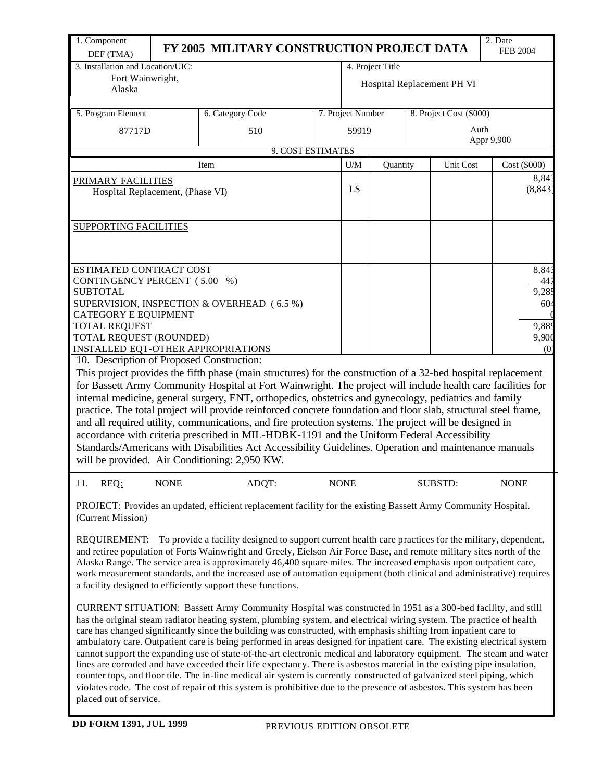| 1. Component<br>DEF (TMA)                                     |             | FY 2005 MILITARY CONSTRUCTION PROJECT DATA                                                                                                                                                                                                 |             |                            |                  |  |                         | 2. Date<br><b>FEB 2004</b> |  |  |  |
|---------------------------------------------------------------|-------------|--------------------------------------------------------------------------------------------------------------------------------------------------------------------------------------------------------------------------------------------|-------------|----------------------------|------------------|--|-------------------------|----------------------------|--|--|--|
| 3. Installation and Location/UIC:                             |             |                                                                                                                                                                                                                                            |             |                            | 4. Project Title |  |                         |                            |  |  |  |
| Fort Wainwright,                                              |             |                                                                                                                                                                                                                                            |             | Hospital Replacement PH VI |                  |  |                         |                            |  |  |  |
| Alaska                                                        |             |                                                                                                                                                                                                                                            |             |                            |                  |  |                         |                            |  |  |  |
| 5. Program Element                                            |             | 6. Category Code                                                                                                                                                                                                                           |             | 7. Project Number          |                  |  | 8. Project Cost (\$000) |                            |  |  |  |
| 87717D                                                        |             | 510                                                                                                                                                                                                                                        |             | 59919                      |                  |  | Auth                    |                            |  |  |  |
|                                                               |             | 9. COST ESTIMATES                                                                                                                                                                                                                          |             |                            |                  |  |                         | Appr 9,900                 |  |  |  |
|                                                               |             | Item                                                                                                                                                                                                                                       |             | U/M                        | Quantity         |  | Unit Cost               | Cost (\$000)               |  |  |  |
| PRIMARY FACILITIES                                            |             |                                                                                                                                                                                                                                            |             |                            |                  |  |                         | 8,843                      |  |  |  |
| Hospital Replacement, (Phase VI)                              |             |                                                                                                                                                                                                                                            |             | LS                         |                  |  |                         | (8, 843)                   |  |  |  |
|                                                               |             |                                                                                                                                                                                                                                            |             |                            |                  |  |                         |                            |  |  |  |
| <b>SUPPORTING FACILITIES</b>                                  |             |                                                                                                                                                                                                                                            |             |                            |                  |  |                         |                            |  |  |  |
|                                                               |             |                                                                                                                                                                                                                                            |             |                            |                  |  |                         |                            |  |  |  |
|                                                               |             |                                                                                                                                                                                                                                            |             |                            |                  |  |                         |                            |  |  |  |
| ESTIMATED CONTRACT COST                                       |             |                                                                                                                                                                                                                                            |             |                            |                  |  |                         | 8,843                      |  |  |  |
| CONTINGENCY PERCENT (5.00 %)                                  |             |                                                                                                                                                                                                                                            |             |                            |                  |  |                         | 447                        |  |  |  |
| <b>SUBTOTAL</b>                                               |             | SUPERVISION, INSPECTION & OVERHEAD (6.5 %)                                                                                                                                                                                                 |             |                            |                  |  |                         | 9,285<br>604               |  |  |  |
| <b>CATEGORY E EQUIPMENT</b>                                   |             |                                                                                                                                                                                                                                            |             |                            |                  |  |                         |                            |  |  |  |
| <b>TOTAL REQUEST</b>                                          |             |                                                                                                                                                                                                                                            |             |                            |                  |  |                         | 9,889                      |  |  |  |
| TOTAL REQUEST (ROUNDED)<br>INSTALLED EQT-OTHER APPROPRIATIONS |             |                                                                                                                                                                                                                                            |             |                            |                  |  |                         | 9,900<br>(0)               |  |  |  |
| 10. Description of Proposed Construction:                     |             |                                                                                                                                                                                                                                            |             |                            |                  |  |                         |                            |  |  |  |
|                                                               |             | This project provides the fifth phase (main structures) for the construction of a 32-bed hospital replacement                                                                                                                              |             |                            |                  |  |                         |                            |  |  |  |
|                                                               |             | for Bassett Army Community Hospital at Fort Wainwright. The project will include health care facilities for                                                                                                                                |             |                            |                  |  |                         |                            |  |  |  |
|                                                               |             | internal medicine, general surgery, ENT, orthopedics, obstetrics and gynecology, pediatrics and family<br>practice. The total project will provide reinforced concrete foundation and floor slab, structural steel frame,                  |             |                            |                  |  |                         |                            |  |  |  |
|                                                               |             | and all required utility, communications, and fire protection systems. The project will be designed in                                                                                                                                     |             |                            |                  |  |                         |                            |  |  |  |
|                                                               |             | accordance with criteria prescribed in MIL-HDBK-1191 and the Uniform Federal Accessibility                                                                                                                                                 |             |                            |                  |  |                         |                            |  |  |  |
|                                                               |             | Standards/Americans with Disabilities Act Accessibility Guidelines. Operation and maintenance manuals                                                                                                                                      |             |                            |                  |  |                         |                            |  |  |  |
|                                                               |             | will be provided. Air Conditioning: 2,950 KW.                                                                                                                                                                                              |             |                            |                  |  |                         |                            |  |  |  |
| REQ:<br>11.                                                   | <b>NONE</b> | ADQT:                                                                                                                                                                                                                                      | <b>NONE</b> |                            |                  |  | SUBSTD:                 | <b>NONE</b>                |  |  |  |
| (Current Mission)                                             |             | <b>PROJECT:</b> Provides an updated, efficient replacement facility for the existing Bassett Army Community Hospital.                                                                                                                      |             |                            |                  |  |                         |                            |  |  |  |
| <b>REQUIREMENT:</b>                                           |             | To provide a facility designed to support current health care practices for the military, dependent,                                                                                                                                       |             |                            |                  |  |                         |                            |  |  |  |
|                                                               |             | and retiree population of Forts Wainwright and Greely, Eielson Air Force Base, and remote military sites north of the                                                                                                                      |             |                            |                  |  |                         |                            |  |  |  |
|                                                               |             | Alaska Range. The service area is approximately 46,400 square miles. The increased emphasis upon outpatient care,<br>work measurement standards, and the increased use of automation equipment (both clinical and administrative) requires |             |                            |                  |  |                         |                            |  |  |  |
|                                                               |             | a facility designed to efficiently support these functions.                                                                                                                                                                                |             |                            |                  |  |                         |                            |  |  |  |

CURRENT SITUATION: Bassett Army Community Hospital was constructed in 1951 as a 300-bed facility, and still has the original steam radiator heating system, plumbing system, and electrical wiring system. The practice of health care has changed significantly since the building was constructed, with emphasis shifting from inpatient care to ambulatory care. Outpatient care is being performed in areas designed for inpatient care. The existing electrical system cannot support the expanding use of state-of-the-art electronic medical and laboratory equipment. The steam and water lines are corroded and have exceeded their life expectancy. There is asbestos material in the existing pipe insulation, counter tops, and floor tile. The in-line medical air system is currently constructed of galvanized steel piping, which violates code. The cost of repair of this system is prohibitive due to the presence of asbestos. This system has been placed out of service.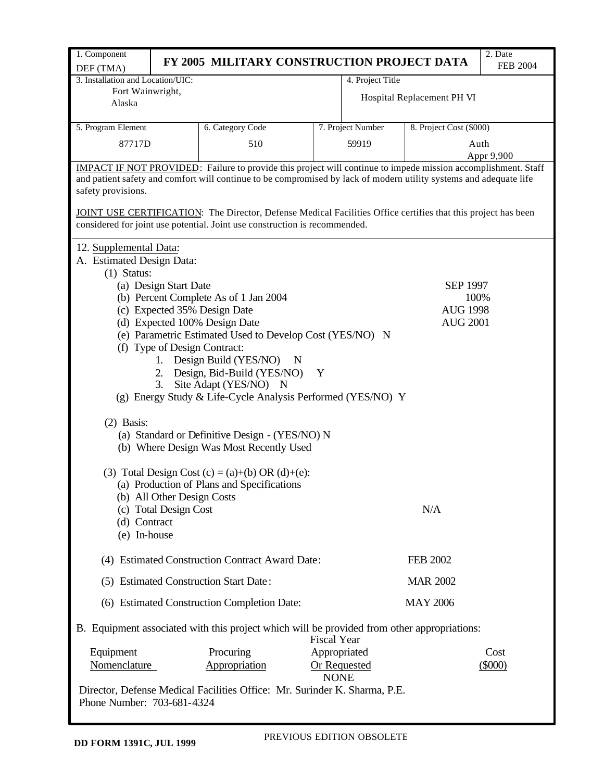| 1. Component                                                                                                  |                            |                                                                                                                      |                    |                   |                            | 2. Date         |  |  |  |  |  |  |
|---------------------------------------------------------------------------------------------------------------|----------------------------|----------------------------------------------------------------------------------------------------------------------|--------------------|-------------------|----------------------------|-----------------|--|--|--|--|--|--|
| DEF (TMA)                                                                                                     |                            | FY 2005 MILITARY CONSTRUCTION PROJECT DATA                                                                           |                    |                   |                            | <b>FEB 2004</b> |  |  |  |  |  |  |
| 3. Installation and Location/UIC:                                                                             |                            |                                                                                                                      |                    | 4. Project Title  |                            |                 |  |  |  |  |  |  |
| Fort Wainwright,                                                                                              |                            |                                                                                                                      |                    |                   | Hospital Replacement PH VI |                 |  |  |  |  |  |  |
| Alaska                                                                                                        |                            |                                                                                                                      |                    |                   |                            |                 |  |  |  |  |  |  |
| 5. Program Element                                                                                            |                            | 6. Category Code                                                                                                     |                    | 7. Project Number | 8. Project Cost (\$000)    |                 |  |  |  |  |  |  |
|                                                                                                               |                            |                                                                                                                      |                    |                   |                            |                 |  |  |  |  |  |  |
| 87717D                                                                                                        |                            | 510                                                                                                                  |                    | 59919             |                            | Auth            |  |  |  |  |  |  |
|                                                                                                               |                            | <b>IMPACT IF NOT PROVIDED:</b> Failure to provide this project will continue to impede mission accomplishment. Staff |                    |                   |                            | Appr 9,900      |  |  |  |  |  |  |
|                                                                                                               |                            | and patient safety and comfort will continue to be compromised by lack of modern utility systems and adequate life   |                    |                   |                            |                 |  |  |  |  |  |  |
| safety provisions.                                                                                            |                            |                                                                                                                      |                    |                   |                            |                 |  |  |  |  |  |  |
|                                                                                                               |                            |                                                                                                                      |                    |                   |                            |                 |  |  |  |  |  |  |
| JOINT USE CERTIFICATION: The Director, Defense Medical Facilities Office certifies that this project has been |                            |                                                                                                                      |                    |                   |                            |                 |  |  |  |  |  |  |
| considered for joint use potential. Joint use construction is recommended.                                    |                            |                                                                                                                      |                    |                   |                            |                 |  |  |  |  |  |  |
|                                                                                                               | 12. Supplemental Data:     |                                                                                                                      |                    |                   |                            |                 |  |  |  |  |  |  |
| A. Estimated Design Data:                                                                                     |                            |                                                                                                                      |                    |                   |                            |                 |  |  |  |  |  |  |
| $(1)$ Status:                                                                                                 |                            |                                                                                                                      |                    |                   |                            |                 |  |  |  |  |  |  |
|                                                                                                               | (a) Design Start Date      |                                                                                                                      |                    |                   | <b>SEP 1997</b>            |                 |  |  |  |  |  |  |
|                                                                                                               |                            | (b) Percent Complete As of 1 Jan 2004                                                                                |                    |                   | 100%                       |                 |  |  |  |  |  |  |
|                                                                                                               |                            | (c) Expected 35% Design Date                                                                                         |                    |                   | <b>AUG 1998</b>            |                 |  |  |  |  |  |  |
|                                                                                                               |                            | (d) Expected 100% Design Date                                                                                        |                    |                   | <b>AUG 2001</b>            |                 |  |  |  |  |  |  |
|                                                                                                               |                            | (e) Parametric Estimated Used to Develop Cost (YES/NO) N                                                             |                    |                   |                            |                 |  |  |  |  |  |  |
|                                                                                                               |                            | (f) Type of Design Contract:                                                                                         |                    |                   |                            |                 |  |  |  |  |  |  |
|                                                                                                               |                            | 1. Design Build (YES/NO)<br>N                                                                                        |                    |                   |                            |                 |  |  |  |  |  |  |
|                                                                                                               | 2.                         | Design, Bid-Build (YES/NO)                                                                                           | Y                  |                   |                            |                 |  |  |  |  |  |  |
|                                                                                                               | 3.                         | Site Adapt (YES/NO) N                                                                                                |                    |                   |                            |                 |  |  |  |  |  |  |
|                                                                                                               |                            | (g) Energy Study & Life-Cycle Analysis Performed (YES/NO) Y                                                          |                    |                   |                            |                 |  |  |  |  |  |  |
| $(2)$ Basis:                                                                                                  |                            |                                                                                                                      |                    |                   |                            |                 |  |  |  |  |  |  |
|                                                                                                               |                            | (a) Standard or Definitive Design - (YES/NO) N                                                                       |                    |                   |                            |                 |  |  |  |  |  |  |
|                                                                                                               |                            | (b) Where Design Was Most Recently Used                                                                              |                    |                   |                            |                 |  |  |  |  |  |  |
|                                                                                                               |                            |                                                                                                                      |                    |                   |                            |                 |  |  |  |  |  |  |
|                                                                                                               |                            | (3) Total Design Cost (c) = (a)+(b) OR (d)+(e):                                                                      |                    |                   |                            |                 |  |  |  |  |  |  |
|                                                                                                               |                            | (a) Production of Plans and Specifications                                                                           |                    |                   |                            |                 |  |  |  |  |  |  |
|                                                                                                               | (b) All Other Design Costs |                                                                                                                      |                    |                   |                            |                 |  |  |  |  |  |  |
|                                                                                                               | (c) Total Design Cost      |                                                                                                                      |                    |                   | N/A                        |                 |  |  |  |  |  |  |
| (d) Contract                                                                                                  |                            |                                                                                                                      |                    |                   |                            |                 |  |  |  |  |  |  |
| (e) In-house                                                                                                  |                            |                                                                                                                      |                    |                   |                            |                 |  |  |  |  |  |  |
|                                                                                                               |                            | (4) Estimated Construction Contract Award Date:                                                                      |                    |                   | <b>FEB 2002</b>            |                 |  |  |  |  |  |  |
|                                                                                                               |                            | (5) Estimated Construction Start Date:                                                                               |                    |                   | <b>MAR 2002</b>            |                 |  |  |  |  |  |  |
|                                                                                                               |                            | (6) Estimated Construction Completion Date:                                                                          |                    |                   | <b>MAY 2006</b>            |                 |  |  |  |  |  |  |
|                                                                                                               |                            | B. Equipment associated with this project which will be provided from other appropriations:                          | <b>Fiscal Year</b> |                   |                            |                 |  |  |  |  |  |  |
| Equipment                                                                                                     |                            | Procuring                                                                                                            | Appropriated       |                   |                            | Cost            |  |  |  |  |  |  |
| Nomenclature                                                                                                  |                            | Appropriation                                                                                                        | <b>NONE</b>        | Or Requested      |                            | $(\$000)$       |  |  |  |  |  |  |
|                                                                                                               |                            | Director, Defense Medical Facilities Office: Mr. Surinder K. Sharma, P.E.                                            |                    |                   |                            |                 |  |  |  |  |  |  |
| Phone Number: 703-681-4324                                                                                    |                            |                                                                                                                      |                    |                   |                            |                 |  |  |  |  |  |  |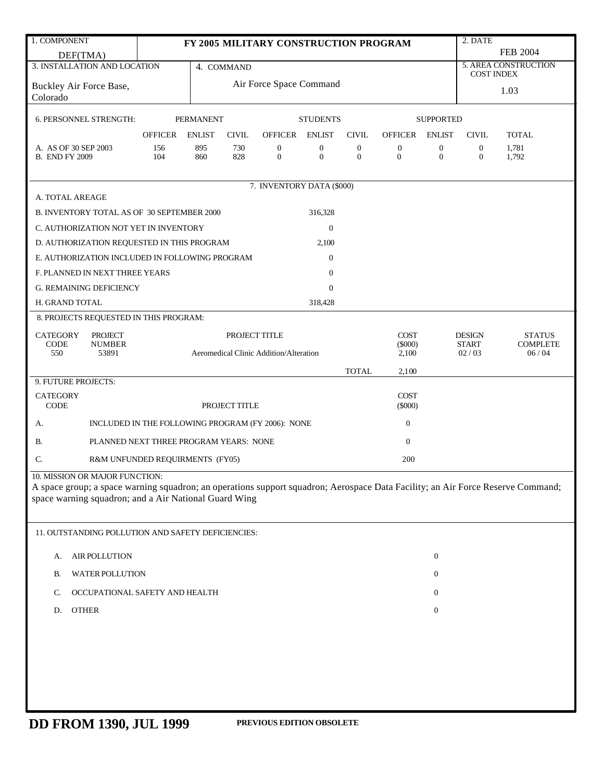| 1. COMPONENT                                                                                                                                                                             |                                                   |                                                 |               | FY 2005 MILITARY CONSTRUCTION PROGRAM |                                  |                                  |                                    |                                  | $2.$ DATE                            |                      |  |
|------------------------------------------------------------------------------------------------------------------------------------------------------------------------------------------|---------------------------------------------------|-------------------------------------------------|---------------|---------------------------------------|----------------------------------|----------------------------------|------------------------------------|----------------------------------|--------------------------------------|----------------------|--|
| DEF(TMA)                                                                                                                                                                                 |                                                   |                                                 |               |                                       |                                  |                                  |                                    |                                  |                                      | <b>FEB 2004</b>      |  |
| 3. INSTALLATION AND LOCATION                                                                                                                                                             |                                                   |                                                 | 4. COMMAND    |                                       |                                  |                                  |                                    |                                  | <b>COST INDEX</b>                    | 5. AREA CONSTRUCTION |  |
| Buckley Air Force Base,<br>Colorado                                                                                                                                                      |                                                   |                                                 |               | Air Force Space Command               |                                  |                                  |                                    |                                  | 1.03                                 |                      |  |
| 6. PERSONNEL STRENGTH:                                                                                                                                                                   |                                                   | <b>PERMANENT</b>                                |               |                                       | <b>STUDENTS</b>                  |                                  |                                    | <b>SUPPORTED</b>                 |                                      |                      |  |
|                                                                                                                                                                                          | <b>OFFICER</b>                                    | <b>ENLIST</b>                                   | <b>CIVIL</b>  | OFFICER ENLIST                        |                                  | <b>CIVIL</b>                     | <b>OFFICER</b>                     | <b>ENLIST</b>                    | <b>CIVIL</b>                         | <b>TOTAL</b>         |  |
| A. AS OF 30 SEP 2003<br><b>B. END FY 2009</b>                                                                                                                                            | 156<br>104                                        | 895<br>860                                      | 730<br>828    | $\boldsymbol{0}$<br>$\mathbf{0}$      | $\boldsymbol{0}$<br>$\mathbf{0}$ | $\boldsymbol{0}$<br>$\mathbf{0}$ | $\boldsymbol{0}$<br>$\overline{0}$ | $\boldsymbol{0}$<br>$\mathbf{0}$ | $\boldsymbol{0}$<br>$\boldsymbol{0}$ | 1,781<br>1,792       |  |
|                                                                                                                                                                                          |                                                   |                                                 |               | 7. INVENTORY DATA (\$000)             |                                  |                                  |                                    |                                  |                                      |                      |  |
| A. TOTAL AREAGE                                                                                                                                                                          |                                                   |                                                 |               |                                       |                                  |                                  |                                    |                                  |                                      |                      |  |
| B. INVENTORY TOTAL AS OF 30 SEPTEMBER 2000                                                                                                                                               |                                                   |                                                 |               |                                       | 316,328                          |                                  |                                    |                                  |                                      |                      |  |
| C. AUTHORIZATION NOT YET IN INVENTORY                                                                                                                                                    |                                                   |                                                 |               |                                       | $\boldsymbol{0}$                 |                                  |                                    |                                  |                                      |                      |  |
| D. AUTHORIZATION REQUESTED IN THIS PROGRAM                                                                                                                                               |                                                   |                                                 |               |                                       | 2,100                            |                                  |                                    |                                  |                                      |                      |  |
| E. AUTHORIZATION INCLUDED IN FOLLOWING PROGRAM                                                                                                                                           |                                                   |                                                 |               |                                       | $\boldsymbol{0}$                 |                                  |                                    |                                  |                                      |                      |  |
| F. PLANNED IN NEXT THREE YEARS                                                                                                                                                           |                                                   |                                                 |               |                                       | $\overline{0}$                   |                                  |                                    |                                  |                                      |                      |  |
| <b>G. REMAINING DEFICIENCY</b>                                                                                                                                                           |                                                   |                                                 |               |                                       | $\overline{0}$                   |                                  |                                    |                                  |                                      |                      |  |
| H. GRAND TOTAL                                                                                                                                                                           |                                                   |                                                 |               |                                       | 318,428                          |                                  |                                    |                                  |                                      |                      |  |
| 8. PROJECTS REQUESTED IN THIS PROGRAM:                                                                                                                                                   |                                                   |                                                 |               |                                       |                                  |                                  |                                    |                                  |                                      |                      |  |
| <b>PROJECT</b><br><b>CATEGORY</b><br>CODE<br><b>NUMBER</b>                                                                                                                               | PROJECT TITLE<br><b>COST</b><br>$(\$000)$         |                                                 |               |                                       |                                  |                                  |                                    | <b>DESIGN</b><br><b>START</b>    | <b>STATUS</b><br><b>COMPLETE</b>     |                      |  |
| 550<br>53891                                                                                                                                                                             |                                                   | Aeromedical Clinic Addition/Alteration<br>2,100 |               |                                       |                                  |                                  |                                    |                                  | 02/03                                | 06/04                |  |
|                                                                                                                                                                                          |                                                   |                                                 |               |                                       |                                  | <b>TOTAL</b>                     | 2,100                              |                                  |                                      |                      |  |
| 9. FUTURE PROJECTS:                                                                                                                                                                      |                                                   |                                                 |               |                                       |                                  |                                  |                                    |                                  |                                      |                      |  |
| <b>CATEGORY</b><br>CODE                                                                                                                                                                  |                                                   |                                                 | PROJECT TITLE |                                       |                                  |                                  | <b>COST</b><br>$(\$000)$           |                                  |                                      |                      |  |
| А.                                                                                                                                                                                       | INCLUDED IN THE FOLLOWING PROGRAM (FY 2006): NONE |                                                 |               |                                       |                                  |                                  | $\boldsymbol{0}$                   |                                  |                                      |                      |  |
| В.                                                                                                                                                                                       | PLANNED NEXT THREE PROGRAM YEARS: NONE            |                                                 |               |                                       |                                  |                                  | $\mathbf{0}$                       |                                  |                                      |                      |  |
| C.                                                                                                                                                                                       | R&M UNFUNDED REQUIRMENTS (FY05)                   |                                                 |               |                                       |                                  |                                  | 200                                |                                  |                                      |                      |  |
| 10. MISSION OR MAJOR FUNCTION:                                                                                                                                                           |                                                   |                                                 |               |                                       |                                  |                                  |                                    |                                  |                                      |                      |  |
| A space group; a space warning squadron; an operations support squadron; Aerospace Data Facility; an Air Force Reserve Command;<br>space warning squadron; and a Air National Guard Wing |                                                   |                                                 |               |                                       |                                  |                                  |                                    |                                  |                                      |                      |  |
|                                                                                                                                                                                          |                                                   |                                                 |               |                                       |                                  |                                  |                                    |                                  |                                      |                      |  |
| 11. OUTSTANDING POLLUTION AND SAFETY DEFICIENCIES:                                                                                                                                       |                                                   |                                                 |               |                                       |                                  |                                  |                                    |                                  |                                      |                      |  |
| AIR POLLUTION<br>А.                                                                                                                                                                      |                                                   |                                                 |               |                                       |                                  |                                  |                                    | $\boldsymbol{0}$                 |                                      |                      |  |
| WATER POLLUTION<br>В.                                                                                                                                                                    |                                                   |                                                 |               |                                       |                                  |                                  |                                    | $\boldsymbol{0}$                 |                                      |                      |  |
| OCCUPATIONAL SAFETY AND HEALTH<br>C.                                                                                                                                                     |                                                   |                                                 |               |                                       |                                  |                                  |                                    | $\mathbf{0}$                     |                                      |                      |  |
| <b>OTHER</b><br>D.                                                                                                                                                                       |                                                   |                                                 |               |                                       |                                  |                                  |                                    | $\boldsymbol{0}$                 |                                      |                      |  |
|                                                                                                                                                                                          |                                                   |                                                 |               |                                       |                                  |                                  |                                    |                                  |                                      |                      |  |
|                                                                                                                                                                                          |                                                   |                                                 |               |                                       |                                  |                                  |                                    |                                  |                                      |                      |  |
|                                                                                                                                                                                          |                                                   |                                                 |               |                                       |                                  |                                  |                                    |                                  |                                      |                      |  |
|                                                                                                                                                                                          |                                                   |                                                 |               |                                       |                                  |                                  |                                    |                                  |                                      |                      |  |
|                                                                                                                                                                                          |                                                   |                                                 |               |                                       |                                  |                                  |                                    |                                  |                                      |                      |  |
|                                                                                                                                                                                          |                                                   |                                                 |               |                                       |                                  |                                  |                                    |                                  |                                      |                      |  |
|                                                                                                                                                                                          |                                                   |                                                 |               |                                       |                                  |                                  |                                    |                                  |                                      |                      |  |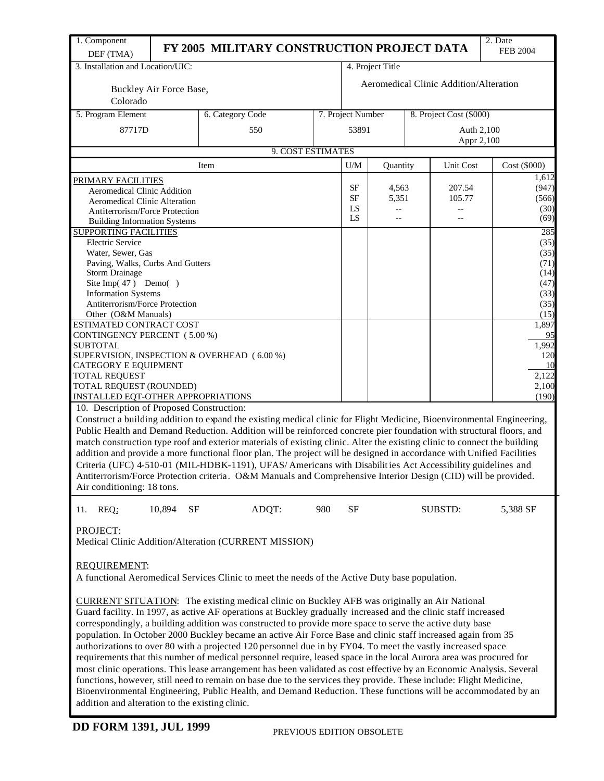| 1. Component                                                           |                         | FY 2005 MILITARY CONSTRUCTION PROJECT DATA                                                                                                                                                                                                 |     |                            |                  |                  |                                        | 2. Date<br><b>FEB 2004</b> |  |  |
|------------------------------------------------------------------------|-------------------------|--------------------------------------------------------------------------------------------------------------------------------------------------------------------------------------------------------------------------------------------|-----|----------------------------|------------------|------------------|----------------------------------------|----------------------------|--|--|
| DEF (TMA)<br>3. Installation and Location/UIC:                         |                         |                                                                                                                                                                                                                                            |     |                            | 4. Project Title |                  |                                        |                            |  |  |
|                                                                        |                         |                                                                                                                                                                                                                                            |     |                            |                  |                  |                                        |                            |  |  |
|                                                                        | Buckley Air Force Base, |                                                                                                                                                                                                                                            |     |                            |                  |                  | Aeromedical Clinic Addition/Alteration |                            |  |  |
| Colorado                                                               |                         |                                                                                                                                                                                                                                            |     |                            |                  |                  |                                        |                            |  |  |
| 5. Program Element                                                     |                         | 6. Category Code                                                                                                                                                                                                                           |     | 7. Project Number          |                  |                  |                                        | 8. Project Cost (\$000)    |  |  |
| 87717D                                                                 |                         | 550                                                                                                                                                                                                                                        |     | 53891                      |                  |                  |                                        | Auth 2,100<br>Appr 2,100   |  |  |
|                                                                        |                         | 9. COST ESTIMATES                                                                                                                                                                                                                          |     |                            |                  |                  |                                        |                            |  |  |
|                                                                        |                         | Item                                                                                                                                                                                                                                       |     | U/M                        | Quantity         |                  | Unit Cost                              | Cost (\$000)               |  |  |
| PRIMARY FACILITIES                                                     |                         |                                                                                                                                                                                                                                            |     |                            |                  |                  |                                        | 1,612                      |  |  |
| <b>Aeromedical Clinic Addition</b>                                     |                         |                                                                                                                                                                                                                                            |     | SF<br>4,563<br>SF<br>5,351 |                  | 207.54<br>105.77 | (947)<br>(566)                         |                            |  |  |
| <b>Aeromedical Clinic Alteration</b><br>Antiterrorism/Force Protection |                         |                                                                                                                                                                                                                                            |     | LS                         | --               |                  |                                        | (30)                       |  |  |
| <b>Building Information Systems</b>                                    |                         |                                                                                                                                                                                                                                            |     | LS<br>$-$                  |                  | $-$              | (69)                                   |                            |  |  |
| <b>SUPPORTING FACILITIES</b>                                           |                         |                                                                                                                                                                                                                                            |     |                            |                  |                  |                                        | 285                        |  |  |
| <b>Electric Service</b>                                                |                         |                                                                                                                                                                                                                                            |     |                            |                  |                  |                                        | (35)                       |  |  |
| Water, Sewer, Gas                                                      |                         |                                                                                                                                                                                                                                            |     |                            |                  |                  |                                        | (35)                       |  |  |
| Paving, Walks, Curbs And Gutters<br><b>Storm Drainage</b>              |                         |                                                                                                                                                                                                                                            |     |                            |                  |                  |                                        | (71)<br>(14)               |  |  |
| Site Imp $(47)$ Demo $()$                                              |                         |                                                                                                                                                                                                                                            |     |                            |                  |                  |                                        | (47)                       |  |  |
| <b>Information Systems</b>                                             |                         |                                                                                                                                                                                                                                            |     |                            |                  |                  |                                        | (33)                       |  |  |
| Antiterrorism/Force Protection                                         |                         |                                                                                                                                                                                                                                            |     |                            |                  |                  |                                        | (35)                       |  |  |
| Other (O&M Manuals)<br><b>ESTIMATED CONTRACT COST</b>                  |                         |                                                                                                                                                                                                                                            |     |                            |                  |                  |                                        | (15)<br>1,897              |  |  |
| CONTINGENCY PERCENT (5.00 %)                                           |                         |                                                                                                                                                                                                                                            |     |                            |                  |                  |                                        |                            |  |  |
| <b>SUBTOTAL</b>                                                        |                         |                                                                                                                                                                                                                                            |     |                            |                  |                  |                                        | 1,992                      |  |  |
|                                                                        |                         | SUPERVISION, INSPECTION & OVERHEAD (6.00 %)                                                                                                                                                                                                |     |                            |                  |                  |                                        | 120                        |  |  |
| CATEGORY E EQUIPMENT                                                   |                         |                                                                                                                                                                                                                                            |     |                            |                  |                  |                                        | 10<br>2,122                |  |  |
| <b>TOTAL REQUEST</b><br>TOTAL REQUEST (ROUNDED)                        |                         |                                                                                                                                                                                                                                            |     |                            |                  |                  |                                        | 2,100                      |  |  |
| INSTALLED EQT-OTHER APPROPRIATIONS                                     |                         |                                                                                                                                                                                                                                            |     |                            |                  |                  |                                        | (190)                      |  |  |
| 10. Description of Proposed Construction:                              |                         |                                                                                                                                                                                                                                            |     |                            |                  |                  |                                        |                            |  |  |
|                                                                        |                         | Construct a building addition to expand the existing medical clinic for Flight Medicine, Bioenvironmental Engineering,                                                                                                                     |     |                            |                  |                  |                                        |                            |  |  |
|                                                                        |                         | Public Health and Demand Reduction. Addition will be reinforced concrete pier foundation with structural floors, and                                                                                                                       |     |                            |                  |                  |                                        |                            |  |  |
|                                                                        |                         | match construction type roof and exterior materials of existing clinic. Alter the existing clinic to connect the building                                                                                                                  |     |                            |                  |                  |                                        |                            |  |  |
|                                                                        |                         | addition and provide a more functional floor plan. The project will be designed in accordance with Unified Facilities                                                                                                                      |     |                            |                  |                  |                                        |                            |  |  |
|                                                                        |                         | Criteria (UFC) 4-510-01 (MIL-HDBK-1191), UFAS/Americans with Disabilities Act Accessibility guidelines and                                                                                                                                 |     |                            |                  |                  |                                        |                            |  |  |
| Air conditioning: 18 tons.                                             |                         | Antiterrorism/Force Protection criteria. O&M Manuals and Comprehensive Interior Design (CID) will be provided.                                                                                                                             |     |                            |                  |                  |                                        |                            |  |  |
|                                                                        |                         |                                                                                                                                                                                                                                            |     |                            |                  |                  |                                        |                            |  |  |
| 11. REQ:                                                               | 10,894<br><b>SF</b>     | ADQT:                                                                                                                                                                                                                                      | 980 | <b>SF</b>                  |                  |                  | <b>SUBSTD:</b>                         | 5,388 SF                   |  |  |
|                                                                        |                         |                                                                                                                                                                                                                                            |     |                            |                  |                  |                                        |                            |  |  |
| PROJECT:                                                               |                         |                                                                                                                                                                                                                                            |     |                            |                  |                  |                                        |                            |  |  |
|                                                                        |                         | Medical Clinic Addition/Alteration (CURRENT MISSION)                                                                                                                                                                                       |     |                            |                  |                  |                                        |                            |  |  |
| REQUIREMENT:                                                           |                         |                                                                                                                                                                                                                                            |     |                            |                  |                  |                                        |                            |  |  |
|                                                                        |                         | A functional Aeromedical Services Clinic to meet the needs of the Active Duty base population.                                                                                                                                             |     |                            |                  |                  |                                        |                            |  |  |
|                                                                        |                         |                                                                                                                                                                                                                                            |     |                            |                  |                  |                                        |                            |  |  |
|                                                                        |                         | <b>CURRENT SITUATION:</b> The existing medical clinic on Buckley AFB was originally an Air National                                                                                                                                        |     |                            |                  |                  |                                        |                            |  |  |
|                                                                        |                         | Guard facility. In 1997, as active AF operations at Buckley gradually increased and the clinic staff increased                                                                                                                             |     |                            |                  |                  |                                        |                            |  |  |
|                                                                        |                         | correspondingly, a building addition was constructed to provide more space to serve the active duty base                                                                                                                                   |     |                            |                  |                  |                                        |                            |  |  |
|                                                                        |                         | population. In October 2000 Buckley became an active Air Force Base and clinic staff increased again from 35                                                                                                                               |     |                            |                  |                  |                                        |                            |  |  |
|                                                                        |                         | authorizations to over 80 with a projected 120 personnel due in by FY04. To meet the vastly increased space                                                                                                                                |     |                            |                  |                  |                                        |                            |  |  |
|                                                                        |                         | requirements that this number of medical personnel require, leased space in the local Aurora area was procured for                                                                                                                         |     |                            |                  |                  |                                        |                            |  |  |
|                                                                        |                         | most clinic operations. This lease arrangement has been validated as cost effective by an Economic Analysis. Several<br>functions, however, still need to remain on base due to the services they provide. These include: Flight Medicine, |     |                            |                  |                  |                                        |                            |  |  |
|                                                                        |                         | Bioenvironmental Engineering, Public Health, and Demand Reduction. These functions will be accommodated by an                                                                                                                              |     |                            |                  |                  |                                        |                            |  |  |
| addition and alteration to the existing clinic.                        |                         |                                                                                                                                                                                                                                            |     |                            |                  |                  |                                        |                            |  |  |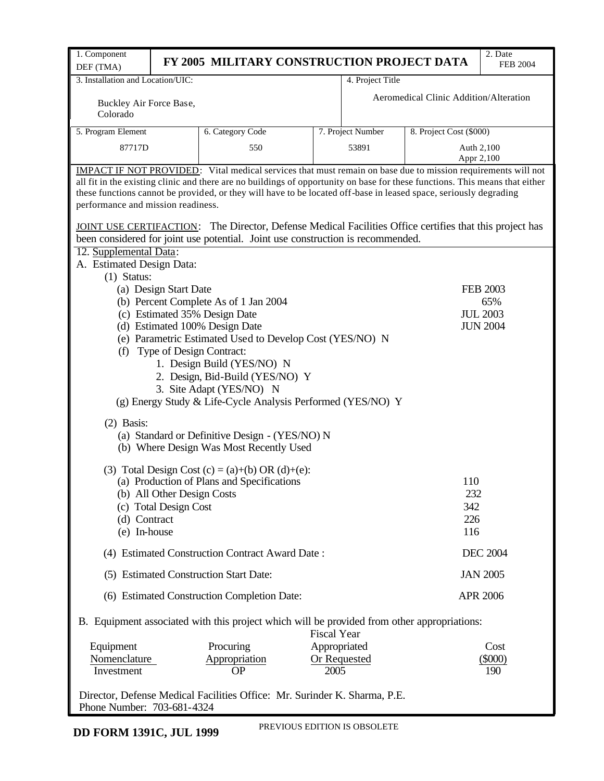| 1. Component                                                                                            |                                                                                                                                                                                                                                                   | FY 2005 MILITARY CONSTRUCTION PROJECT DATA                                                                          |                    |                     |                                        | 2. Date                            |  |  |  |  |  |  |
|---------------------------------------------------------------------------------------------------------|---------------------------------------------------------------------------------------------------------------------------------------------------------------------------------------------------------------------------------------------------|---------------------------------------------------------------------------------------------------------------------|--------------------|---------------------|----------------------------------------|------------------------------------|--|--|--|--|--|--|
| DEF (TMA)                                                                                               |                                                                                                                                                                                                                                                   |                                                                                                                     |                    |                     |                                        | <b>FEB 2004</b>                    |  |  |  |  |  |  |
| 3. Installation and Location/UIC:                                                                       |                                                                                                                                                                                                                                                   |                                                                                                                     |                    | 4. Project Title    |                                        |                                    |  |  |  |  |  |  |
| Buckley Air Force Base,                                                                                 |                                                                                                                                                                                                                                                   |                                                                                                                     |                    |                     | Aeromedical Clinic Addition/Alteration |                                    |  |  |  |  |  |  |
| Colorado                                                                                                |                                                                                                                                                                                                                                                   |                                                                                                                     |                    |                     |                                        |                                    |  |  |  |  |  |  |
| 5. Program Element                                                                                      |                                                                                                                                                                                                                                                   | 6. Category Code                                                                                                    |                    | 7. Project Number   | 8. Project Cost (\$000)                |                                    |  |  |  |  |  |  |
| 87717D                                                                                                  |                                                                                                                                                                                                                                                   | 550                                                                                                                 |                    | 53891               |                                        | Auth 2,100                         |  |  |  |  |  |  |
|                                                                                                         |                                                                                                                                                                                                                                                   |                                                                                                                     |                    |                     |                                        | Appr 2,100                         |  |  |  |  |  |  |
|                                                                                                         |                                                                                                                                                                                                                                                   | <b>IMPACT IF NOT PROVIDED:</b> Vital medical services that must remain on base due to mission requirements will not |                    |                     |                                        |                                    |  |  |  |  |  |  |
|                                                                                                         | all fit in the existing clinic and there are no buildings of opportunity on base for these functions. This means that either<br>these functions cannot be provided, or they will have to be located off-base in leased space, seriously degrading |                                                                                                                     |                    |                     |                                        |                                    |  |  |  |  |  |  |
| performance and mission readiness.                                                                      |                                                                                                                                                                                                                                                   |                                                                                                                     |                    |                     |                                        |                                    |  |  |  |  |  |  |
|                                                                                                         |                                                                                                                                                                                                                                                   |                                                                                                                     |                    |                     |                                        |                                    |  |  |  |  |  |  |
| JOINT USE CERTIFACTION: The Director, Defense Medical Facilities Office certifies that this project has |                                                                                                                                                                                                                                                   |                                                                                                                     |                    |                     |                                        |                                    |  |  |  |  |  |  |
|                                                                                                         | been considered for joint use potential. Joint use construction is recommended.<br>12. Supplemental Data:                                                                                                                                         |                                                                                                                     |                    |                     |                                        |                                    |  |  |  |  |  |  |
| A. Estimated Design Data:                                                                               |                                                                                                                                                                                                                                                   |                                                                                                                     |                    |                     |                                        |                                    |  |  |  |  |  |  |
| $(1)$ Status:                                                                                           |                                                                                                                                                                                                                                                   |                                                                                                                     |                    |                     |                                        |                                    |  |  |  |  |  |  |
|                                                                                                         | (a) Design Start Date                                                                                                                                                                                                                             |                                                                                                                     |                    |                     |                                        | <b>FEB 2003</b>                    |  |  |  |  |  |  |
|                                                                                                         |                                                                                                                                                                                                                                                   | (b) Percent Complete As of 1 Jan 2004                                                                               |                    |                     |                                        | 65%                                |  |  |  |  |  |  |
|                                                                                                         |                                                                                                                                                                                                                                                   | (c) Estimated 35% Design Date                                                                                       |                    |                     |                                        | <b>JUL 2003</b><br><b>JUN 2004</b> |  |  |  |  |  |  |
|                                                                                                         |                                                                                                                                                                                                                                                   | (d) Estimated 100% Design Date<br>(e) Parametric Estimated Used to Develop Cost (YES/NO) N                          |                    |                     |                                        |                                    |  |  |  |  |  |  |
| (f)                                                                                                     |                                                                                                                                                                                                                                                   | Type of Design Contract:                                                                                            |                    |                     |                                        |                                    |  |  |  |  |  |  |
|                                                                                                         |                                                                                                                                                                                                                                                   | 1. Design Build (YES/NO) N                                                                                          |                    |                     |                                        |                                    |  |  |  |  |  |  |
|                                                                                                         |                                                                                                                                                                                                                                                   | 2. Design, Bid-Build (YES/NO) Y                                                                                     |                    |                     |                                        |                                    |  |  |  |  |  |  |
|                                                                                                         |                                                                                                                                                                                                                                                   | 3. Site Adapt (YES/NO) N                                                                                            |                    |                     |                                        |                                    |  |  |  |  |  |  |
|                                                                                                         |                                                                                                                                                                                                                                                   | (g) Energy Study & Life-Cycle Analysis Performed (YES/NO) Y                                                         |                    |                     |                                        |                                    |  |  |  |  |  |  |
| $(2)$ Basis:                                                                                            |                                                                                                                                                                                                                                                   |                                                                                                                     |                    |                     |                                        |                                    |  |  |  |  |  |  |
|                                                                                                         |                                                                                                                                                                                                                                                   | (a) Standard or Definitive Design - (YES/NO) N                                                                      |                    |                     |                                        |                                    |  |  |  |  |  |  |
|                                                                                                         |                                                                                                                                                                                                                                                   | (b) Where Design Was Most Recently Used                                                                             |                    |                     |                                        |                                    |  |  |  |  |  |  |
|                                                                                                         |                                                                                                                                                                                                                                                   |                                                                                                                     |                    |                     |                                        |                                    |  |  |  |  |  |  |
|                                                                                                         |                                                                                                                                                                                                                                                   | (3) Total Design Cost (c) = (a)+(b) OR (d)+(e):<br>(a) Production of Plans and Specifications                       |                    |                     | 110                                    |                                    |  |  |  |  |  |  |
|                                                                                                         | (b) All Other Design Costs                                                                                                                                                                                                                        |                                                                                                                     |                    |                     | 232                                    |                                    |  |  |  |  |  |  |
|                                                                                                         | (c) Total Design Cost                                                                                                                                                                                                                             |                                                                                                                     |                    |                     | 342                                    |                                    |  |  |  |  |  |  |
| (d) Contract                                                                                            |                                                                                                                                                                                                                                                   |                                                                                                                     |                    |                     | 226                                    |                                    |  |  |  |  |  |  |
| (e) In-house                                                                                            |                                                                                                                                                                                                                                                   |                                                                                                                     |                    |                     | 116                                    |                                    |  |  |  |  |  |  |
|                                                                                                         |                                                                                                                                                                                                                                                   | (4) Estimated Construction Contract Award Date:                                                                     |                    |                     |                                        | <b>DEC 2004</b>                    |  |  |  |  |  |  |
|                                                                                                         |                                                                                                                                                                                                                                                   | (5) Estimated Construction Start Date:                                                                              |                    |                     |                                        | <b>JAN 2005</b>                    |  |  |  |  |  |  |
|                                                                                                         |                                                                                                                                                                                                                                                   | (6) Estimated Construction Completion Date:                                                                         |                    |                     |                                        | <b>APR 2006</b>                    |  |  |  |  |  |  |
|                                                                                                         |                                                                                                                                                                                                                                                   | B. Equipment associated with this project which will be provided from other appropriations:                         | <b>Fiscal Year</b> |                     |                                        |                                    |  |  |  |  |  |  |
| Equipment                                                                                               |                                                                                                                                                                                                                                                   | Procuring                                                                                                           | Appropriated       |                     |                                        | Cost                               |  |  |  |  |  |  |
| Nomenclature                                                                                            |                                                                                                                                                                                                                                                   | Appropriation                                                                                                       |                    | <b>Or Requested</b> |                                        | $(\$000)$                          |  |  |  |  |  |  |
| Investment                                                                                              |                                                                                                                                                                                                                                                   | <b>OP</b>                                                                                                           | 2005               |                     |                                        | 190                                |  |  |  |  |  |  |
|                                                                                                         |                                                                                                                                                                                                                                                   | Director, Defense Medical Facilities Office: Mr. Surinder K. Sharma, P.E.                                           |                    |                     |                                        |                                    |  |  |  |  |  |  |

Phone Number: 703-681-4324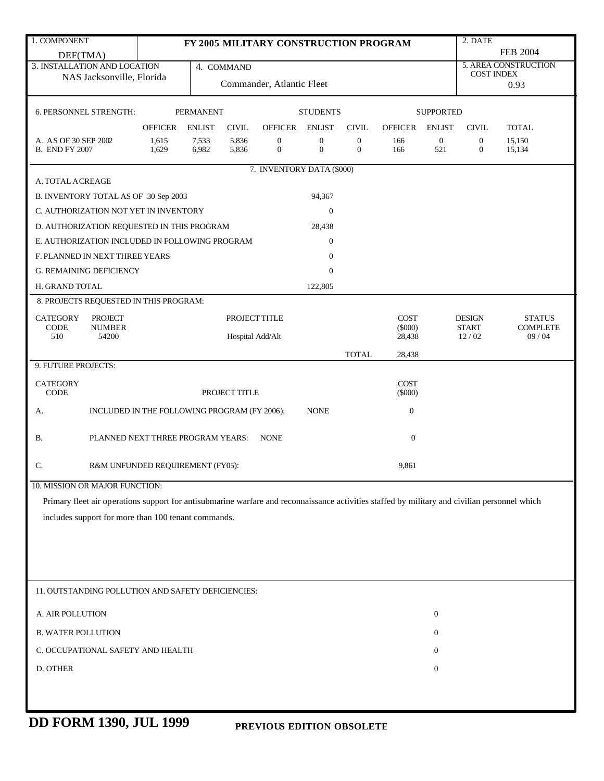| 1. COMPONENT                                                                                                                                  |                                               |                  |                |                                       |                                      |                                  |                          |                       | 2. DATE                      |                          |
|-----------------------------------------------------------------------------------------------------------------------------------------------|-----------------------------------------------|------------------|----------------|---------------------------------------|--------------------------------------|----------------------------------|--------------------------|-----------------------|------------------------------|--------------------------|
| DEF(TMA)                                                                                                                                      |                                               |                  |                | FY 2005 MILITARY CONSTRUCTION PROGRAM |                                      |                                  |                          |                       |                              | <b>FEB 2004</b>          |
| 3. INSTALLATION AND LOCATION                                                                                                                  |                                               |                  | 4. COMMAND     |                                       |                                      |                                  |                          |                       |                              | 5. AREA CONSTRUCTION     |
| NAS Jacksonville, Florida                                                                                                                     |                                               |                  |                | Commander, Atlantic Fleet             |                                      |                                  |                          |                       | <b>COST INDEX</b>            |                          |
|                                                                                                                                               |                                               |                  |                |                                       |                                      |                                  |                          |                       |                              | 0.93                     |
| 6. PERSONNEL STRENGTH:                                                                                                                        |                                               | <b>PERMANENT</b> |                |                                       | <b>STUDENTS</b>                      |                                  |                          | <b>SUPPORTED</b>      |                              |                          |
|                                                                                                                                               | <b>OFFICER</b>                                | <b>ENLIST</b>    | <b>CIVIL</b>   | <b>OFFICER</b>                        | <b>ENLIST</b>                        | <b>CIVIL</b>                     | <b>OFFICER</b>           | <b>ENLIST</b>         | <b>CIVIL</b>                 | <b>TOTAL</b>             |
| A. AS OF 30 SEP 2002<br><b>B. END FY 2007</b>                                                                                                 | 1,615<br>1,629                                | 7,533<br>6,982   | 5,836<br>5,836 | $\boldsymbol{0}$<br>$\overline{0}$    | $\boldsymbol{0}$<br>$\boldsymbol{0}$ | $\mathbf{0}$<br>$\boldsymbol{0}$ | 166<br>166               | $\overline{0}$<br>521 | $\mathbf{0}$<br>$\mathbf{0}$ | 15,150<br>15,134         |
|                                                                                                                                               |                                               |                  |                | 7. INVENTORY DATA (\$000)             |                                      |                                  |                          |                       |                              |                          |
| A. TOTAL ACREAGE                                                                                                                              |                                               |                  |                |                                       |                                      |                                  |                          |                       |                              |                          |
| B. INVENTORY TOTAL AS OF 30 Sep 2003                                                                                                          |                                               |                  |                |                                       | 94,367                               |                                  |                          |                       |                              |                          |
| C. AUTHORIZATION NOT YET IN INVENTORY                                                                                                         |                                               |                  |                |                                       | $\boldsymbol{0}$                     |                                  |                          |                       |                              |                          |
| D. AUTHORIZATION REQUESTED IN THIS PROGRAM                                                                                                    |                                               |                  |                |                                       | 28,438                               |                                  |                          |                       |                              |                          |
| E. AUTHORIZATION INCLUDED IN FOLLOWING PROGRAM                                                                                                |                                               |                  |                |                                       | $\boldsymbol{0}$                     |                                  |                          |                       |                              |                          |
| F. PLANNED IN NEXT THREE YEARS                                                                                                                |                                               |                  |                |                                       | $\boldsymbol{0}$                     |                                  |                          |                       |                              |                          |
| <b>G. REMAINING DEFICIENCY</b>                                                                                                                |                                               |                  |                |                                       | $\boldsymbol{0}$                     |                                  |                          |                       |                              |                          |
| H. GRAND TOTAL                                                                                                                                |                                               |                  |                |                                       | 122,805                              |                                  |                          |                       |                              |                          |
| 8. PROJECTS REQUESTED IN THIS PROGRAM:                                                                                                        |                                               |                  |                |                                       |                                      |                                  |                          |                       |                              |                          |
| <b>CATEGORY</b><br><b>PROJECT</b>                                                                                                             | <b>DESIGN</b><br>PROJECT TITLE<br><b>COST</b> |                  |                |                                       |                                      |                                  |                          |                       |                              | <b>STATUS</b>            |
| CODE<br><b>NUMBER</b><br>510<br>54200                                                                                                         |                                               |                  |                |                                       |                                      |                                  | $(\$000)$<br>28,438      |                       | <b>START</b><br>12/02        | <b>COMPLETE</b><br>09/04 |
|                                                                                                                                               | Hospital Add/Alt                              |                  |                |                                       |                                      |                                  |                          |                       |                              |                          |
| 9. FUTURE PROJECTS:                                                                                                                           |                                               |                  |                |                                       |                                      | <b>TOTAL</b>                     | 28,438                   |                       |                              |                          |
|                                                                                                                                               |                                               |                  |                |                                       |                                      |                                  |                          |                       |                              |                          |
| <b>CATEGORY</b><br>CODE                                                                                                                       |                                               |                  | PROJECT TITLE  |                                       |                                      |                                  | <b>COST</b><br>$(\$000)$ |                       |                              |                          |
| А.                                                                                                                                            | INCLUDED IN THE FOLLOWING PROGRAM (FY 2006):  |                  |                |                                       | <b>NONE</b>                          |                                  | $\boldsymbol{0}$         |                       |                              |                          |
| <b>B.</b>                                                                                                                                     | PLANNED NEXT THREE PROGRAM YEARS:             |                  |                | <b>NONE</b>                           |                                      |                                  | $\boldsymbol{0}$         |                       |                              |                          |
| C.                                                                                                                                            | R&M UNFUNDED REQUIREMENT (FY05):              |                  |                |                                       |                                      |                                  | 9,861                    |                       |                              |                          |
| 10. MISSION OR MAJOR FUNCTION:                                                                                                                |                                               |                  |                |                                       |                                      |                                  |                          |                       |                              |                          |
| Primary fleet air operations support for antisubmarine warfare and reconnaissance activities staffed by military and civilian personnel which |                                               |                  |                |                                       |                                      |                                  |                          |                       |                              |                          |
| includes support for more than 100 tenant commands.                                                                                           |                                               |                  |                |                                       |                                      |                                  |                          |                       |                              |                          |
|                                                                                                                                               |                                               |                  |                |                                       |                                      |                                  |                          |                       |                              |                          |
|                                                                                                                                               |                                               |                  |                |                                       |                                      |                                  |                          |                       |                              |                          |
|                                                                                                                                               |                                               |                  |                |                                       |                                      |                                  |                          |                       |                              |                          |
|                                                                                                                                               |                                               |                  |                |                                       |                                      |                                  |                          |                       |                              |                          |
| 11. OUTSTANDING POLLUTION AND SAFETY DEFICIENCIES:                                                                                            |                                               |                  |                |                                       |                                      |                                  |                          |                       |                              |                          |
| A. AIR POLLUTION                                                                                                                              |                                               |                  |                |                                       |                                      |                                  |                          | $\boldsymbol{0}$      |                              |                          |
| <b>B. WATER POLLUTION</b>                                                                                                                     |                                               |                  |                |                                       |                                      |                                  |                          | $\boldsymbol{0}$      |                              |                          |
| C. OCCUPATIONAL SAFETY AND HEALTH                                                                                                             |                                               |                  |                |                                       |                                      |                                  |                          | $\boldsymbol{0}$      |                              |                          |
| D. OTHER                                                                                                                                      |                                               |                  |                |                                       |                                      |                                  |                          | $\boldsymbol{0}$      |                              |                          |
|                                                                                                                                               |                                               |                  |                |                                       |                                      |                                  |                          |                       |                              |                          |
|                                                                                                                                               |                                               |                  |                |                                       |                                      |                                  |                          |                       |                              |                          |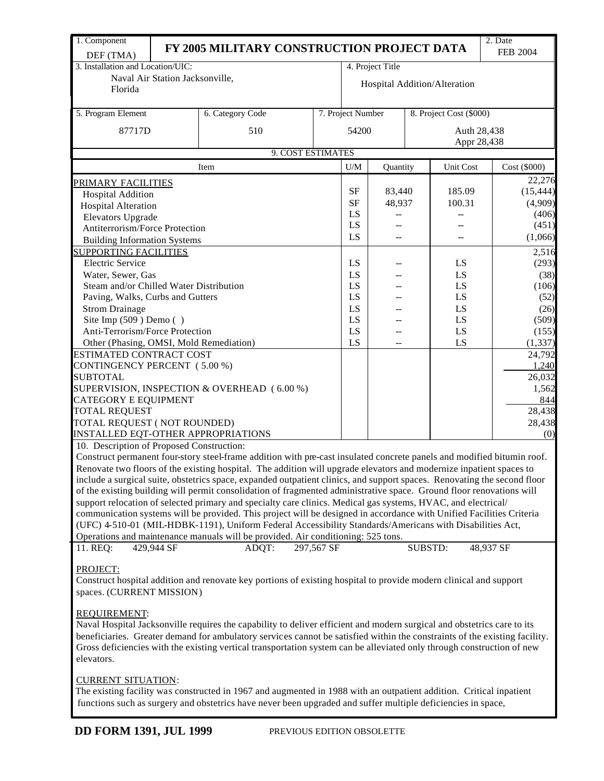| 1. Component                              |                                 | FY 2005 MILITARY CONSTRUCTION PROJECT DATA                                                                                 |            |                   |          |                |                              | 2. Date         |  |
|-------------------------------------------|---------------------------------|----------------------------------------------------------------------------------------------------------------------------|------------|-------------------|----------|----------------|------------------------------|-----------------|--|
| DEF (TMA)                                 |                                 |                                                                                                                            |            |                   |          |                |                              | <b>FEB 2004</b> |  |
| 3. Installation and Location/UIC:         |                                 |                                                                                                                            |            | 4. Project Title  |          |                |                              |                 |  |
| Florida                                   | Naval Air Station Jacksonville, |                                                                                                                            |            |                   |          |                | Hospital Addition/Alteration |                 |  |
|                                           |                                 |                                                                                                                            |            |                   |          |                |                              |                 |  |
| 5. Program Element                        |                                 | 6. Category Code                                                                                                           |            | 7. Project Number |          |                | 8. Project Cost (\$000)      |                 |  |
| 87717D                                    |                                 | 510                                                                                                                        |            | 54200             |          |                | Auth 28,438                  |                 |  |
|                                           |                                 |                                                                                                                            |            |                   |          |                | Appr 28,438                  |                 |  |
|                                           |                                 | 9. COST ESTIMATES                                                                                                          |            |                   |          |                |                              |                 |  |
|                                           |                                 | Item                                                                                                                       |            | U/M               | Quantity |                | Unit Cost                    | Cost (\$000)    |  |
| <u>PRIMARY FACILITIES</u>                 |                                 |                                                                                                                            |            |                   |          |                |                              | 22,276          |  |
| <b>Hospital Addition</b>                  |                                 |                                                                                                                            |            | SF                | 83,440   |                | 185.09                       | (15, 444)       |  |
| <b>Hospital Alteration</b>                |                                 |                                                                                                                            | <b>SF</b>  | 48,937            |          | 100.31         | (4,909)                      |                 |  |
| Elevators Upgrade                         |                                 |                                                                                                                            |            | LS                |          |                |                              | (406)           |  |
| Antiterrorism/Force Protection            |                                 |                                                                                                                            |            | LS                |          |                |                              | (451)           |  |
| <b>Building Information Systems</b>       |                                 |                                                                                                                            |            | LS                |          |                |                              | (1,066)         |  |
| <b>SUPPORTING FACILITIES</b>              |                                 |                                                                                                                            |            |                   |          |                |                              | 2,516           |  |
| <b>Electric Service</b>                   |                                 |                                                                                                                            |            | LS                |          |                | LS                           | (293)           |  |
| Water, Sewer, Gas                         |                                 |                                                                                                                            |            | LS                |          |                | LS                           | (38)            |  |
| Steam and/or Chilled Water Distribution   |                                 |                                                                                                                            |            | LS                |          |                | LS                           | (106)           |  |
| Paving, Walks, Curbs and Gutters          |                                 |                                                                                                                            |            | LS                |          |                | LS                           | (52)            |  |
| <b>Strom Drainage</b>                     |                                 |                                                                                                                            |            | LS                |          |                | LS                           | (26)            |  |
| Site Imp (509) Demo ()                    |                                 |                                                                                                                            |            | LS                |          |                | LS                           | (509)           |  |
| Anti-Terrorism/Force Protection           |                                 |                                                                                                                            |            |                   | LS       |                | LS                           | (155)           |  |
| Other (Phasing, OMSI, Mold Remediation)   |                                 |                                                                                                                            |            | LS                |          |                | LS                           | (1, 337)        |  |
| ESTIMATED CONTRACT COST                   |                                 |                                                                                                                            |            |                   |          |                |                              | 24,792          |  |
| CONTINGENCY PERCENT (5.00 %)              |                                 |                                                                                                                            |            |                   |          |                |                              | 1,240           |  |
| <b>SUBTOTAL</b>                           |                                 |                                                                                                                            |            |                   |          |                |                              | 26,032          |  |
| CATEGORY E EQUIPMENT                      |                                 | SUPERVISION, INSPECTION & OVERHEAD (6.00 %)                                                                                |            |                   |          |                |                              | 1,562<br>844    |  |
| <b>TOTAL REQUEST</b>                      |                                 |                                                                                                                            |            |                   |          |                |                              | 28,438          |  |
| TOTAL REQUEST (NOT ROUNDED)               |                                 |                                                                                                                            |            |                   |          |                |                              | 28,438          |  |
| <b>INSTALLED EQT-OTHER APPROPRIATIONS</b> |                                 |                                                                                                                            |            |                   |          |                |                              | (0)             |  |
| 10. Description of Proposed Construction: |                                 |                                                                                                                            |            |                   |          |                |                              |                 |  |
|                                           |                                 | Construct permanent four-story steel-frame addition with pre-cast insulated concrete panels and modified bitumin roof.     |            |                   |          |                |                              |                 |  |
|                                           |                                 | Renovate two floors of the existing hospital. The addition will upgrade elevators and modernize inpatient spaces to        |            |                   |          |                |                              |                 |  |
|                                           |                                 | include a surgical suite, obstetrics space, expanded outpatient clinics, and support spaces. Renovating the second floor   |            |                   |          |                |                              |                 |  |
|                                           |                                 | of the existing building will permit consolidation of fragmented administrative space. Ground floor renovations will       |            |                   |          |                |                              |                 |  |
|                                           |                                 | support relocation of selected primary and specialty care clinics. Medical gas systems, HVAC, and electrical/              |            |                   |          |                |                              |                 |  |
|                                           |                                 | communication systems will be provided. This project will be designed in accordance with Unified Facilities Criteria       |            |                   |          |                |                              |                 |  |
|                                           |                                 | (UFC) 4-510-01 (MIL-HDBK-1191), Uniform Federal Accessibility Standards/Americans with Disabilities Act,                   |            |                   |          |                |                              |                 |  |
|                                           |                                 | Operations and maintenance manuals will be provided. Air conditioning: 525 tons.                                           |            |                   |          |                |                              |                 |  |
| 11. REQ:                                  | 429,944 SF                      | ADQT:                                                                                                                      | 297,567 SF |                   |          | <b>SUBSTD:</b> |                              | 48,937 SF       |  |
|                                           |                                 |                                                                                                                            |            |                   |          |                |                              |                 |  |
| PROJECT:                                  |                                 | Construct hospital addition and renovate key portions of existing hospital to provide modern clinical and support          |            |                   |          |                |                              |                 |  |
| spaces. (CURRENT MISSION)                 |                                 |                                                                                                                            |            |                   |          |                |                              |                 |  |
|                                           |                                 |                                                                                                                            |            |                   |          |                |                              |                 |  |
| <b>REQUIREMENT:</b>                       |                                 |                                                                                                                            |            |                   |          |                |                              |                 |  |
|                                           |                                 | Naval Hospital Jacksonville requires the capability to deliver efficient and modern surgical and obstetrics care to its    |            |                   |          |                |                              |                 |  |
|                                           |                                 | beneficiaries. Greater demand for ambulatory services cannot be satisfied within the constraints of the existing facility. |            |                   |          |                |                              |                 |  |
|                                           |                                 | Gross deficiencies with the existing vertical transportation system can be alleviated only through construction of new     |            |                   |          |                |                              |                 |  |
| elevators.                                |                                 |                                                                                                                            |            |                   |          |                |                              |                 |  |
|                                           |                                 |                                                                                                                            |            |                   |          |                |                              |                 |  |
| <b>CURRENT SITUATION:</b>                 |                                 |                                                                                                                            |            |                   |          |                |                              |                 |  |
|                                           |                                 | The existing facility was constructed in 1967 and augmented in 1988 with an outpatient addition. Critical inpatient        |            |                   |          |                |                              |                 |  |
|                                           |                                 | functions such as surgery and obstetrics have never been upgraded and suffer multiple deficiencies in space,               |            |                   |          |                |                              |                 |  |
|                                           |                                 |                                                                                                                            |            |                   |          |                |                              |                 |  |
| <b>DD FORM 1391, JUL 1999</b>             |                                 | PREVIOUS EDITION OBSOLETTE                                                                                                 |            |                   |          |                |                              |                 |  |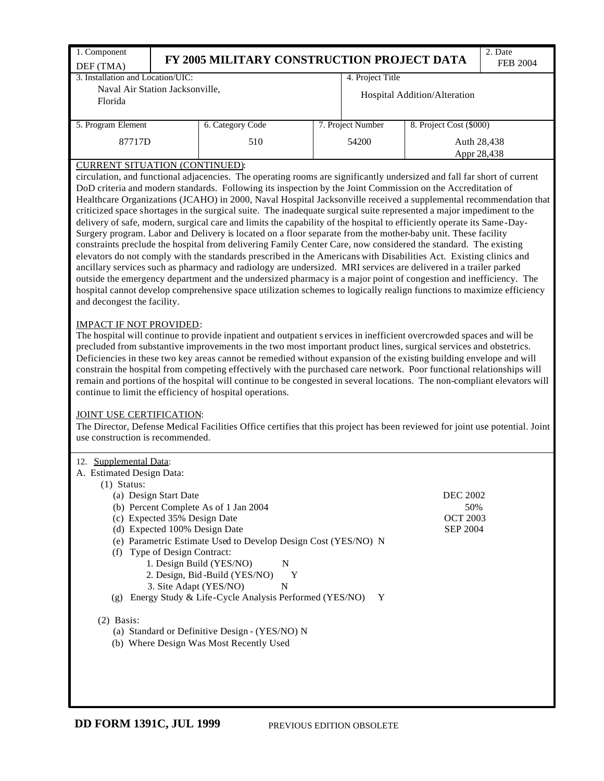| 1. Component                                                                                                                                                                                                                           |                                                                |  |                   |                              | 2. Date         |  |  |  |  |  |  |
|----------------------------------------------------------------------------------------------------------------------------------------------------------------------------------------------------------------------------------------|----------------------------------------------------------------|--|-------------------|------------------------------|-----------------|--|--|--|--|--|--|
| DEF (TMA)                                                                                                                                                                                                                              | FY 2005 MILITARY CONSTRUCTION PROJECT DATA                     |  |                   |                              | <b>FEB 2004</b> |  |  |  |  |  |  |
| 3. Installation and Location/UIC:                                                                                                                                                                                                      |                                                                |  | 4. Project Title  |                              |                 |  |  |  |  |  |  |
| Naval Air Station Jacksonville,                                                                                                                                                                                                        |                                                                |  |                   |                              |                 |  |  |  |  |  |  |
| Florida                                                                                                                                                                                                                                |                                                                |  |                   | Hospital Addition/Alteration |                 |  |  |  |  |  |  |
|                                                                                                                                                                                                                                        |                                                                |  |                   |                              |                 |  |  |  |  |  |  |
| 5. Program Element                                                                                                                                                                                                                     | 6. Category Code                                               |  | 7. Project Number | 8. Project Cost (\$000)      |                 |  |  |  |  |  |  |
| 87717D                                                                                                                                                                                                                                 | 510                                                            |  | 54200             | Auth 28,438                  |                 |  |  |  |  |  |  |
|                                                                                                                                                                                                                                        |                                                                |  |                   | Appr 28,438                  |                 |  |  |  |  |  |  |
| <b>CURRENT SITUATION (CONTINUED):</b><br>circulation, and functional adjacencies. The operating rooms are significantly undersized and fall far short of current                                                                       |                                                                |  |                   |                              |                 |  |  |  |  |  |  |
| DoD criteria and modern standards. Following its inspection by the Joint Commission on the Accreditation of                                                                                                                            |                                                                |  |                   |                              |                 |  |  |  |  |  |  |
| Healthcare Organizations (JCAHO) in 2000, Naval Hospital Jacksonville received a supplemental recommendation that                                                                                                                      |                                                                |  |                   |                              |                 |  |  |  |  |  |  |
| criticized space shortages in the surgical suite. The inadequate surgical suite represented a major impediment to the                                                                                                                  |                                                                |  |                   |                              |                 |  |  |  |  |  |  |
| delivery of safe, modern, surgical care and limits the capability of the hospital to efficiently operate its Same-Day-<br>Surgery program. Labor and Delivery is located on a floor separate from the mother-baby unit. These facility |                                                                |  |                   |                              |                 |  |  |  |  |  |  |
| constraints preclude the hospital from delivering Family Center Care, now considered the standard. The existing                                                                                                                        |                                                                |  |                   |                              |                 |  |  |  |  |  |  |
| elevators do not comply with the standards prescribed in the Americans with Disabilities Act. Existing clinics and                                                                                                                     |                                                                |  |                   |                              |                 |  |  |  |  |  |  |
| ancillary services such as pharmacy and radiology are undersized. MRI services are delivered in a trailer parked                                                                                                                       |                                                                |  |                   |                              |                 |  |  |  |  |  |  |
| outside the emergency department and the undersized pharmacy is a major point of congestion and inefficiency. The                                                                                                                      |                                                                |  |                   |                              |                 |  |  |  |  |  |  |
| hospital cannot develop comprehensive space utilization schemes to logically realign functions to maximize efficiency                                                                                                                  |                                                                |  |                   |                              |                 |  |  |  |  |  |  |
| and decongest the facility.                                                                                                                                                                                                            |                                                                |  |                   |                              |                 |  |  |  |  |  |  |
| <b>IMPACT IF NOT PROVIDED:</b>                                                                                                                                                                                                         |                                                                |  |                   |                              |                 |  |  |  |  |  |  |
| The hospital will continue to provide inpatient and outpatient services in inefficient overcrowded spaces and will be                                                                                                                  |                                                                |  |                   |                              |                 |  |  |  |  |  |  |
| precluded from substantive improvements in the two most important product lines, surgical services and obstetrics.                                                                                                                     |                                                                |  |                   |                              |                 |  |  |  |  |  |  |
| Deficiencies in these two key areas cannot be remedied without expansion of the existing building envelope and will                                                                                                                    |                                                                |  |                   |                              |                 |  |  |  |  |  |  |
| constrain the hospital from competing effectively with the purchased care network. Poor functional relationships will                                                                                                                  |                                                                |  |                   |                              |                 |  |  |  |  |  |  |
| remain and portions of the hospital will continue to be congested in several locations. The non-compliant elevators will                                                                                                               |                                                                |  |                   |                              |                 |  |  |  |  |  |  |
| continue to limit the efficiency of hospital operations.                                                                                                                                                                               |                                                                |  |                   |                              |                 |  |  |  |  |  |  |
| JOINT USE CERTIFICATION:                                                                                                                                                                                                               |                                                                |  |                   |                              |                 |  |  |  |  |  |  |
| The Director, Defense Medical Facilities Office certifies that this project has been reviewed for joint use potential. Joint                                                                                                           |                                                                |  |                   |                              |                 |  |  |  |  |  |  |
| use construction is recommended.                                                                                                                                                                                                       |                                                                |  |                   |                              |                 |  |  |  |  |  |  |
|                                                                                                                                                                                                                                        |                                                                |  |                   |                              |                 |  |  |  |  |  |  |
| 12. Supplemental Data:<br>A. Estimated Design Data:                                                                                                                                                                                    |                                                                |  |                   |                              |                 |  |  |  |  |  |  |
| $(1)$ Status:                                                                                                                                                                                                                          |                                                                |  |                   |                              |                 |  |  |  |  |  |  |
| (a) Design Start Date                                                                                                                                                                                                                  |                                                                |  |                   | <b>DEC 2002</b>              |                 |  |  |  |  |  |  |
| (b) Percent Complete As of 1 Jan 2004                                                                                                                                                                                                  |                                                                |  |                   | 50%                          |                 |  |  |  |  |  |  |
| (c) Expected 35% Design Date                                                                                                                                                                                                           |                                                                |  |                   | <b>OCT 2003</b>              |                 |  |  |  |  |  |  |
| (d) Expected 100% Design Date                                                                                                                                                                                                          |                                                                |  |                   | <b>SEP 2004</b>              |                 |  |  |  |  |  |  |
| (f) Type of Design Contract:                                                                                                                                                                                                           | (e) Parametric Estimate Used to Develop Design Cost (YES/NO) N |  |                   |                              |                 |  |  |  |  |  |  |
|                                                                                                                                                                                                                                        | 1. Design Build (YES/NO)<br>N                                  |  |                   |                              |                 |  |  |  |  |  |  |
|                                                                                                                                                                                                                                        | 2. Design, Bid-Build (YES/NO)<br>Y                             |  |                   |                              |                 |  |  |  |  |  |  |
| 3. Site Adapt (YES/NO)                                                                                                                                                                                                                 | N                                                              |  |                   |                              |                 |  |  |  |  |  |  |
|                                                                                                                                                                                                                                        | (g) Energy Study & Life-Cycle Analysis Performed (YES/NO)      |  | Y                 |                              |                 |  |  |  |  |  |  |
| $(2)$ Basis:                                                                                                                                                                                                                           |                                                                |  |                   |                              |                 |  |  |  |  |  |  |
|                                                                                                                                                                                                                                        | (a) Standard or Definitive Design - (YES/NO) N                 |  |                   |                              |                 |  |  |  |  |  |  |
|                                                                                                                                                                                                                                        | (b) Where Design Was Most Recently Used                        |  |                   |                              |                 |  |  |  |  |  |  |
|                                                                                                                                                                                                                                        |                                                                |  |                   |                              |                 |  |  |  |  |  |  |
|                                                                                                                                                                                                                                        |                                                                |  |                   |                              |                 |  |  |  |  |  |  |
|                                                                                                                                                                                                                                        |                                                                |  |                   |                              |                 |  |  |  |  |  |  |
|                                                                                                                                                                                                                                        |                                                                |  |                   |                              |                 |  |  |  |  |  |  |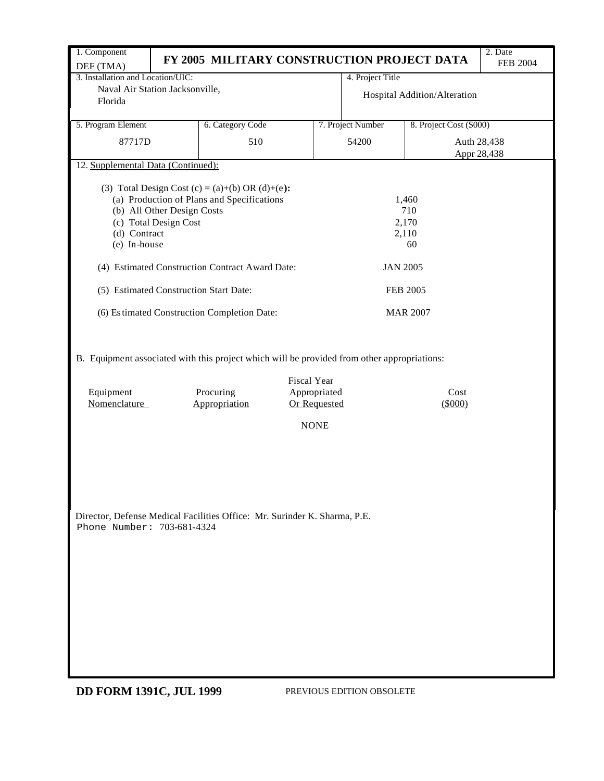| 1. Component<br>DEF (TMA)                                                                                                                                                                                                                                                                          | FY 2005 MILITARY CONSTRUCTION PROJECT DATA |                                                                   |                              |                         | 2. Date<br><b>FEB 2004</b> |  |  |  |  |  |  |
|----------------------------------------------------------------------------------------------------------------------------------------------------------------------------------------------------------------------------------------------------------------------------------------------------|--------------------------------------------|-------------------------------------------------------------------|------------------------------|-------------------------|----------------------------|--|--|--|--|--|--|
| 3. Installation and Location/UIC:                                                                                                                                                                                                                                                                  |                                            |                                                                   | 4. Project Title             |                         |                            |  |  |  |  |  |  |
| Naval Air Station Jacksonville,<br>Florida                                                                                                                                                                                                                                                         |                                            |                                                                   | Hospital Addition/Alteration |                         |                            |  |  |  |  |  |  |
| 5. Program Element                                                                                                                                                                                                                                                                                 | 6. Category Code                           |                                                                   | 7. Project Number            | 8. Project Cost (\$000) |                            |  |  |  |  |  |  |
| 87717D                                                                                                                                                                                                                                                                                             | 510                                        |                                                                   | 54200                        |                         | Auth 28,438<br>Appr 28,438 |  |  |  |  |  |  |
| 12. Supplemental Data (Continued):                                                                                                                                                                                                                                                                 |                                            |                                                                   |                              |                         |                            |  |  |  |  |  |  |
| (3) Total Design Cost (c) = (a)+(b) OR (d)+(e):<br>(a) Production of Plans and Specifications<br>1,460<br>710<br>(b) All Other Design Costs<br>(c) Total Design Cost<br>2,170<br>(d) Contract<br>2,110<br>(e) In-house<br>60<br>(4) Estimated Construction Contract Award Date:<br><b>JAN 2005</b> |                                            |                                                                   |                              |                         |                            |  |  |  |  |  |  |
|                                                                                                                                                                                                                                                                                                    |                                            |                                                                   |                              |                         |                            |  |  |  |  |  |  |
| (5) Estimated Construction Start Date:<br><b>FEB 2005</b>                                                                                                                                                                                                                                          |                                            |                                                                   |                              |                         |                            |  |  |  |  |  |  |
| (6) Estimated Construction Completion Date:                                                                                                                                                                                                                                                        |                                            |                                                                   |                              | <b>MAR 2007</b>         |                            |  |  |  |  |  |  |
| Equipment<br>Nomenclature                                                                                                                                                                                                                                                                          | Procuring<br>Appropriation                 | <b>Fiscal Year</b><br>Appropriated<br>Or Requested<br><b>NONE</b> |                              | Cost<br>(5000)          |                            |  |  |  |  |  |  |
| Director, Defense Medical Facilities Office: Mr. Surinder K. Sharma, P.E.<br>Phone Number: 703-681-4324                                                                                                                                                                                            |                                            |                                                                   |                              |                         |                            |  |  |  |  |  |  |

**DD FORM 1391C, JUL 1999** PREVIOUS EDITION OBSOLETE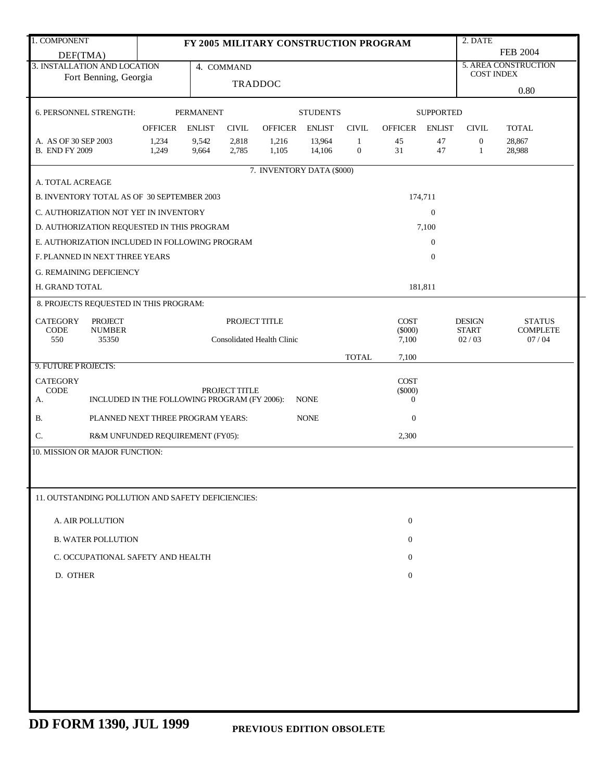| 1. COMPONENT                                       |                                                            |                  |                | FY 2005 MILITARY CONSTRUCTION PROGRAM |                 |                |                    |                  | 2. DATE               |                          |
|----------------------------------------------------|------------------------------------------------------------|------------------|----------------|---------------------------------------|-----------------|----------------|--------------------|------------------|-----------------------|--------------------------|
| DEF(TMA)                                           |                                                            |                  |                |                                       |                 |                |                    |                  |                       | <b>FEB 2004</b>          |
| 3. INSTALLATION AND LOCATION                       |                                                            |                  | 4. COMMAND     |                                       |                 |                |                    |                  | <b>COST INDEX</b>     | 5. AREA CONSTRUCTION     |
| Fort Benning, Georgia                              |                                                            |                  | <b>TRADDOC</b> |                                       |                 |                |                    |                  |                       |                          |
|                                                    |                                                            |                  |                |                                       |                 |                |                    |                  |                       | 0.80                     |
| 6. PERSONNEL STRENGTH:                             |                                                            | <b>PERMANENT</b> |                |                                       | <b>STUDENTS</b> |                |                    | <b>SUPPORTED</b> |                       |                          |
|                                                    | <b>OFFICER</b>                                             | <b>ENLIST</b>    | <b>CIVIL</b>   | <b>OFFICER</b>                        | <b>ENLIST</b>   | <b>CIVIL</b>   | OFFICER            | ENLIST           | <b>CIVIL</b>          | <b>TOTAL</b>             |
| A. AS OF 30 SEP 2003                               | 1,234                                                      | 9,542            | 2,818          | 1,216                                 | 13,964          | $\mathbf{1}$   | 45                 | 47               | $\boldsymbol{0}$      | 28,867                   |
| <b>B. END FY 2009</b>                              | 1,249                                                      | 9,664            | 2,785          | 1,105                                 | 14,106          | $\overline{0}$ | 31                 | 47               | 1                     | 28,988                   |
|                                                    |                                                            |                  |                | 7. INVENTORY DATA (\$000)             |                 |                |                    |                  |                       |                          |
| A. TOTAL ACREAGE                                   |                                                            |                  |                |                                       |                 |                |                    |                  |                       |                          |
| B. INVENTORY TOTAL AS OF 30 SEPTEMBER 2003         |                                                            |                  |                | 174,711                               |                 |                |                    |                  |                       |                          |
| C. AUTHORIZATION NOT YET IN INVENTORY              |                                                            |                  |                | $\boldsymbol{0}$                      |                 |                |                    |                  |                       |                          |
| D. AUTHORIZATION REQUESTED IN THIS PROGRAM         |                                                            |                  |                |                                       |                 |                |                    | 7,100            |                       |                          |
| E. AUTHORIZATION INCLUDED IN FOLLOWING PROGRAM     |                                                            |                  |                |                                       |                 |                |                    | $\overline{0}$   |                       |                          |
|                                                    |                                                            |                  |                |                                       |                 |                |                    |                  |                       |                          |
| F. PLANNED IN NEXT THREE YEARS                     |                                                            |                  |                |                                       |                 |                |                    | $\mathbf{0}$     |                       |                          |
| <b>G. REMAINING DEFICIENCY</b>                     |                                                            |                  |                |                                       |                 |                |                    |                  |                       |                          |
| H. GRAND TOTAL                                     |                                                            |                  |                |                                       |                 |                |                    | 181,811          |                       |                          |
| 8. PROJECTS REQUESTED IN THIS PROGRAM:             |                                                            |                  |                |                                       |                 |                |                    |                  |                       |                          |
| <b>CATEGORY</b><br>PROJECT                         |                                                            |                  | PROJECT TITLE  |                                       |                 |                | <b>COST</b>        |                  | <b>DESIGN</b>         | <b>STATUS</b>            |
| 550<br>35350                                       | <b>NUMBER</b><br><b>CODE</b><br>Consolidated Health Clinic |                  |                |                                       |                 |                | $(\$000)$<br>7,100 |                  | <b>START</b><br>02/03 | <b>COMPLETE</b><br>07/04 |
|                                                    |                                                            |                  |                |                                       |                 |                |                    |                  |                       |                          |
| 9. FUTURE PROJECTS:                                |                                                            |                  |                |                                       |                 | <b>TOTAL</b>   | 7,100              |                  |                       |                          |
| <b>CATEGORY</b>                                    |                                                            |                  |                |                                       |                 |                | <b>COST</b>        |                  |                       |                          |
| <b>CODE</b>                                        |                                                            |                  | PROJECT TITLE  |                                       |                 |                | $(\$000)$          |                  |                       |                          |
| А.                                                 | INCLUDED IN THE FOLLOWING PROGRAM (FY 2006):               |                  |                |                                       | <b>NONE</b>     |                | $\mathbf{0}$       |                  |                       |                          |
| <b>B.</b>                                          | PLANNED NEXT THREE PROGRAM YEARS:                          |                  |                |                                       | <b>NONE</b>     |                | $\boldsymbol{0}$   |                  |                       |                          |
| C.                                                 | R&M UNFUNDED REQUIREMENT (FY05):                           |                  |                |                                       |                 |                | 2,300              |                  |                       |                          |
| 10. MISSION OR MAJOR FUNCTION:                     |                                                            |                  |                |                                       |                 |                |                    |                  |                       |                          |
|                                                    |                                                            |                  |                |                                       |                 |                |                    |                  |                       |                          |
|                                                    |                                                            |                  |                |                                       |                 |                |                    |                  |                       |                          |
| 11. OUTSTANDING POLLUTION AND SAFETY DEFICIENCIES: |                                                            |                  |                |                                       |                 |                |                    |                  |                       |                          |
|                                                    |                                                            |                  |                |                                       |                 |                |                    |                  |                       |                          |
| A. AIR POLLUTION                                   |                                                            |                  |                |                                       |                 |                | $\theta$           |                  |                       |                          |
| <b>B. WATER POLLUTION</b>                          |                                                            |                  |                |                                       |                 |                | $\overline{0}$     |                  |                       |                          |
|                                                    |                                                            |                  |                |                                       |                 |                |                    |                  |                       |                          |
| C. OCCUPATIONAL SAFETY AND HEALTH                  |                                                            |                  |                |                                       |                 |                | $\overline{0}$     |                  |                       |                          |
| D. OTHER                                           |                                                            |                  |                |                                       |                 |                | $\overline{0}$     |                  |                       |                          |
|                                                    |                                                            |                  |                |                                       |                 |                |                    |                  |                       |                          |
|                                                    |                                                            |                  |                |                                       |                 |                |                    |                  |                       |                          |
|                                                    |                                                            |                  |                |                                       |                 |                |                    |                  |                       |                          |
|                                                    |                                                            |                  |                |                                       |                 |                |                    |                  |                       |                          |
|                                                    |                                                            |                  |                |                                       |                 |                |                    |                  |                       |                          |
|                                                    |                                                            |                  |                |                                       |                 |                |                    |                  |                       |                          |
|                                                    |                                                            |                  |                |                                       |                 |                |                    |                  |                       |                          |
|                                                    |                                                            |                  |                |                                       |                 |                |                    |                  |                       |                          |
|                                                    |                                                            |                  |                |                                       |                 |                |                    |                  |                       |                          |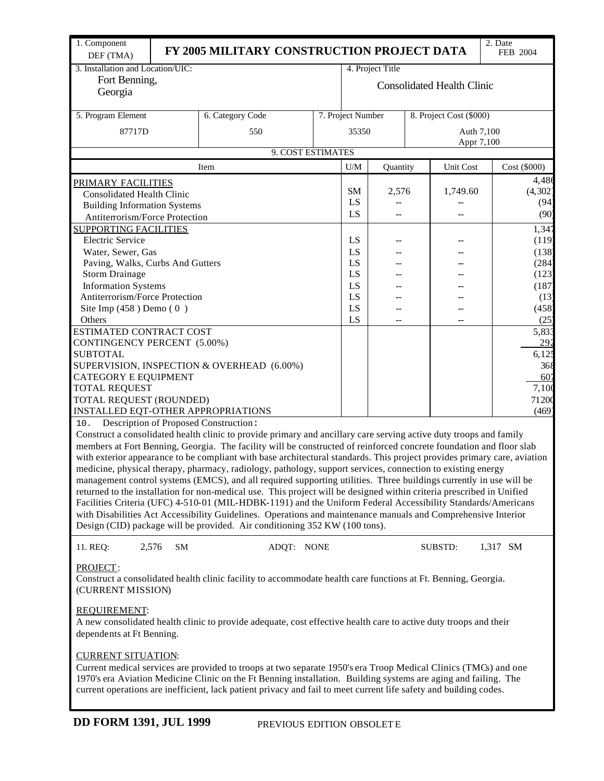| 1. Component<br>DEF (TMA)                              |    | FY 2005 MILITARY CONSTRUCTION PROJECT DATA                                                                                                                                                                                                                                                                                                                                                                                                                                                                                                                                                                                                                                                                                                                                                                                                                                                                                   |                                   |                  |  |                         | 2. Date<br>FEB 2004 |  |
|--------------------------------------------------------|----|------------------------------------------------------------------------------------------------------------------------------------------------------------------------------------------------------------------------------------------------------------------------------------------------------------------------------------------------------------------------------------------------------------------------------------------------------------------------------------------------------------------------------------------------------------------------------------------------------------------------------------------------------------------------------------------------------------------------------------------------------------------------------------------------------------------------------------------------------------------------------------------------------------------------------|-----------------------------------|------------------|--|-------------------------|---------------------|--|
| 3. Installation and Location/UIC:                      |    |                                                                                                                                                                                                                                                                                                                                                                                                                                                                                                                                                                                                                                                                                                                                                                                                                                                                                                                              |                                   | 4. Project Title |  |                         |                     |  |
| Fort Benning,<br>Georgia                               |    |                                                                                                                                                                                                                                                                                                                                                                                                                                                                                                                                                                                                                                                                                                                                                                                                                                                                                                                              | <b>Consolidated Health Clinic</b> |                  |  |                         |                     |  |
| 5. Program Element                                     |    | 6. Category Code                                                                                                                                                                                                                                                                                                                                                                                                                                                                                                                                                                                                                                                                                                                                                                                                                                                                                                             | 7. Project Number                 |                  |  | 8. Project Cost (\$000) |                     |  |
| 87717D                                                 |    | 550                                                                                                                                                                                                                                                                                                                                                                                                                                                                                                                                                                                                                                                                                                                                                                                                                                                                                                                          | 35350                             |                  |  | Auth 7,100              |                     |  |
|                                                        |    | 9. COST ESTIMATES                                                                                                                                                                                                                                                                                                                                                                                                                                                                                                                                                                                                                                                                                                                                                                                                                                                                                                            |                                   |                  |  | Appr 7,100              |                     |  |
|                                                        |    | Item                                                                                                                                                                                                                                                                                                                                                                                                                                                                                                                                                                                                                                                                                                                                                                                                                                                                                                                         | U/M                               | Quantity         |  | Unit Cost               | Cost (\$000)        |  |
| <u>PRIMARY FACILITIES</u>                              |    |                                                                                                                                                                                                                                                                                                                                                                                                                                                                                                                                                                                                                                                                                                                                                                                                                                                                                                                              |                                   |                  |  |                         | 4,486               |  |
| <b>Consolidated Health Clinic</b>                      |    |                                                                                                                                                                                                                                                                                                                                                                                                                                                                                                                                                                                                                                                                                                                                                                                                                                                                                                                              | <b>SM</b>                         | 2,576            |  | 1,749.60                | (4, 302)            |  |
| <b>Building Information Systems</b>                    |    |                                                                                                                                                                                                                                                                                                                                                                                                                                                                                                                                                                                                                                                                                                                                                                                                                                                                                                                              | LS                                |                  |  |                         | (94)                |  |
| Antiterrorism/Force Protection                         |    |                                                                                                                                                                                                                                                                                                                                                                                                                                                                                                                                                                                                                                                                                                                                                                                                                                                                                                                              | LS                                | $\overline{a}$   |  | --                      | (90)                |  |
| <b>SUPPORTING FACILITIES</b>                           |    |                                                                                                                                                                                                                                                                                                                                                                                                                                                                                                                                                                                                                                                                                                                                                                                                                                                                                                                              |                                   |                  |  |                         | 1,347               |  |
| <b>Electric Service</b>                                |    |                                                                                                                                                                                                                                                                                                                                                                                                                                                                                                                                                                                                                                                                                                                                                                                                                                                                                                                              | LS                                |                  |  |                         | (119)               |  |
| Water, Sewer, Gas<br>Paving, Walks, Curbs And Gutters  |    |                                                                                                                                                                                                                                                                                                                                                                                                                                                                                                                                                                                                                                                                                                                                                                                                                                                                                                                              | LS<br>LS                          |                  |  |                         | (138)<br>(284)      |  |
| <b>Storm Drainage</b>                                  |    |                                                                                                                                                                                                                                                                                                                                                                                                                                                                                                                                                                                                                                                                                                                                                                                                                                                                                                                              | LS                                |                  |  |                         | (123)               |  |
| <b>Information Systems</b>                             |    |                                                                                                                                                                                                                                                                                                                                                                                                                                                                                                                                                                                                                                                                                                                                                                                                                                                                                                                              | LS                                |                  |  |                         | (187)               |  |
| Antiterrorism/Force Protection                         |    |                                                                                                                                                                                                                                                                                                                                                                                                                                                                                                                                                                                                                                                                                                                                                                                                                                                                                                                              | LS                                |                  |  |                         | (13)                |  |
| Site Imp $(458)$ Demo $(0)$                            |    |                                                                                                                                                                                                                                                                                                                                                                                                                                                                                                                                                                                                                                                                                                                                                                                                                                                                                                                              | LS                                |                  |  |                         | (458)               |  |
| Others                                                 |    |                                                                                                                                                                                                                                                                                                                                                                                                                                                                                                                                                                                                                                                                                                                                                                                                                                                                                                                              | LS                                |                  |  |                         | (25)                |  |
| ESTIMATED CONTRACT COST<br>CONTINGENCY PERCENT (5.00%) |    |                                                                                                                                                                                                                                                                                                                                                                                                                                                                                                                                                                                                                                                                                                                                                                                                                                                                                                                              |                                   |                  |  |                         | 5,833<br>292        |  |
| <b>SUBTOTAL</b>                                        |    |                                                                                                                                                                                                                                                                                                                                                                                                                                                                                                                                                                                                                                                                                                                                                                                                                                                                                                                              |                                   |                  |  |                         | 6,125               |  |
|                                                        |    | SUPERVISION, INSPECTION & OVERHEAD (6.00%)                                                                                                                                                                                                                                                                                                                                                                                                                                                                                                                                                                                                                                                                                                                                                                                                                                                                                   |                                   |                  |  |                         | 368                 |  |
| CATEGORY E EQUIPMENT                                   |    |                                                                                                                                                                                                                                                                                                                                                                                                                                                                                                                                                                                                                                                                                                                                                                                                                                                                                                                              |                                   |                  |  |                         | 607                 |  |
| <b>TOTAL REQUEST</b>                                   |    |                                                                                                                                                                                                                                                                                                                                                                                                                                                                                                                                                                                                                                                                                                                                                                                                                                                                                                                              |                                   |                  |  |                         | 7,100               |  |
| TOTAL REQUEST (ROUNDED)                                |    |                                                                                                                                                                                                                                                                                                                                                                                                                                                                                                                                                                                                                                                                                                                                                                                                                                                                                                                              |                                   |                  |  |                         | 71200               |  |
| INSTALLED EQT-OTHER APPROPRIATIONS                     |    |                                                                                                                                                                                                                                                                                                                                                                                                                                                                                                                                                                                                                                                                                                                                                                                                                                                                                                                              |                                   |                  |  |                         | (469)               |  |
| 10.                                                    |    | Description of Proposed Construction:<br>Construct a consolidated health clinic to provide primary and ancillary care serving active duty troops and family                                                                                                                                                                                                                                                                                                                                                                                                                                                                                                                                                                                                                                                                                                                                                                  |                                   |                  |  |                         |                     |  |
|                                                        |    | members at Fort Benning, Georgia. The facility will be constructed of reinforced concrete foundation and floor slab<br>with exterior appearance to be compliant with base architectural standards. This project provides primary care, aviation<br>medicine, physical therapy, pharmacy, radiology, pathology, support services, connection to existing energy<br>management control systems (EMCS), and all required supporting utilities. Three buildings currently in use will be<br>returned to the installation for non-medical use. This project will be designed within criteria prescribed in Unified<br>Facilities Criteria (UFC) 4-510-01 (MIL-HDBK-1191) and the Uniform Federal Accessibility Standards/Americans<br>with Disabilities Act Accessibility Guidelines. Operations and maintenance manuals and Comprehensive Interior<br>Design (CID) package will be provided. Air conditioning 352 KW (100 tons). |                                   |                  |  |                         |                     |  |
| 2,576<br>11. REQ:                                      | SM | ADQT: NONE                                                                                                                                                                                                                                                                                                                                                                                                                                                                                                                                                                                                                                                                                                                                                                                                                                                                                                                   |                                   |                  |  | <b>SUBSTD:</b>          | 1,317 SM            |  |
| PROJECT:<br>(CURRENT MISSION)                          |    | Construct a consolidated health clinic facility to accommodate health care functions at Ft. Benning, Georgia.                                                                                                                                                                                                                                                                                                                                                                                                                                                                                                                                                                                                                                                                                                                                                                                                                |                                   |                  |  |                         |                     |  |
| <b>REQUIREMENT:</b><br>dependents at Ft Benning.       |    | A new consolidated health clinic to provide adequate, cost effective health care to active duty troops and their                                                                                                                                                                                                                                                                                                                                                                                                                                                                                                                                                                                                                                                                                                                                                                                                             |                                   |                  |  |                         |                     |  |
| <b>CURRENT SITUATION:</b>                              |    | Current medical services are provided to troops at two separate 1950's era Troop Medical Clinics (TMCs) and one<br>1970's era Aviation Medicine Clinic on the Ft Benning installation. Building systems are aging and failing. The<br>current operations are inefficient, lack patient privacy and fail to meet current life safety and building codes.                                                                                                                                                                                                                                                                                                                                                                                                                                                                                                                                                                      |                                   |                  |  |                         |                     |  |
| <b>DD FORM 1391, JUL 1999</b>                          |    | PREVIOUS EDITION OBSOLET E                                                                                                                                                                                                                                                                                                                                                                                                                                                                                                                                                                                                                                                                                                                                                                                                                                                                                                   |                                   |                  |  |                         |                     |  |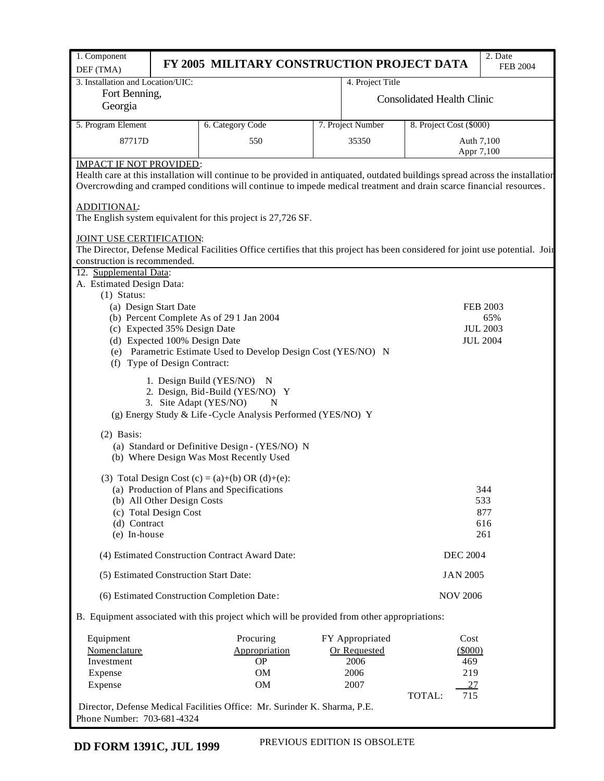| 1. Component                      |                                                               | FY 2005 MILITARY CONSTRUCTION PROJECT DATA                                                                                     |                   |                                   | 2. Date                            |
|-----------------------------------|---------------------------------------------------------------|--------------------------------------------------------------------------------------------------------------------------------|-------------------|-----------------------------------|------------------------------------|
| DEF (TMA)                         |                                                               |                                                                                                                                |                   |                                   | <b>FEB 2004</b>                    |
| 3. Installation and Location/UIC: |                                                               |                                                                                                                                | 4. Project Title  |                                   |                                    |
| Fort Benning,                     |                                                               |                                                                                                                                |                   | <b>Consolidated Health Clinic</b> |                                    |
| Georgia                           |                                                               |                                                                                                                                |                   |                                   |                                    |
| 5. Program Element                |                                                               | 6. Category Code                                                                                                               | 7. Project Number | 8. Project Cost (\$000)           |                                    |
| 87717D                            |                                                               | 550                                                                                                                            | 35350             | Auth 7,100                        |                                    |
|                                   |                                                               |                                                                                                                                |                   | Appr 7,100                        |                                    |
| <b>IMPACT IF NOT PROVIDED:</b>    |                                                               |                                                                                                                                |                   |                                   |                                    |
|                                   |                                                               | Health care at this installation will continue to be provided in antiquated, outdated buildings spread across the installation |                   |                                   |                                    |
|                                   |                                                               | Overcrowding and cramped conditions will continue to impede medical treatment and drain scarce financial resources.            |                   |                                   |                                    |
| ADDITIONAL:                       |                                                               |                                                                                                                                |                   |                                   |                                    |
|                                   |                                                               | The English system equivalent for this project is 27,726 SF.                                                                   |                   |                                   |                                    |
|                                   |                                                               |                                                                                                                                |                   |                                   |                                    |
| JOINT USE CERTIFICATION:          |                                                               |                                                                                                                                |                   |                                   |                                    |
| construction is recommended.      |                                                               | The Director, Defense Medical Facilities Office certifies that this project has been considered for joint use potential. Joir  |                   |                                   |                                    |
| 12. Supplemental Data:            |                                                               |                                                                                                                                |                   |                                   |                                    |
| A. Estimated Design Data:         |                                                               |                                                                                                                                |                   |                                   |                                    |
| $(1)$ Status:                     |                                                               |                                                                                                                                |                   |                                   |                                    |
|                                   | (a) Design Start Date                                         |                                                                                                                                |                   |                                   | <b>FEB 2003</b>                    |
|                                   |                                                               | (b) Percent Complete As of 29 1 Jan 2004                                                                                       |                   |                                   | 65%                                |
|                                   | (c) Expected 35% Design Date<br>(d) Expected 100% Design Date |                                                                                                                                |                   |                                   | <b>JUL 2003</b><br><b>JUL 2004</b> |
|                                   |                                                               | (e) Parametric Estimate Used to Develop Design Cost (YES/NO) N                                                                 |                   |                                   |                                    |
|                                   | (f) Type of Design Contract:                                  |                                                                                                                                |                   |                                   |                                    |
|                                   |                                                               |                                                                                                                                |                   |                                   |                                    |
|                                   |                                                               | 1. Design Build (YES/NO) N<br>2. Design, Bid-Build (YES/NO) Y                                                                  |                   |                                   |                                    |
|                                   |                                                               | 3. Site Adapt (YES/NO)<br>N                                                                                                    |                   |                                   |                                    |
|                                   |                                                               | (g) Energy Study & Life-Cycle Analysis Performed (YES/NO) Y                                                                    |                   |                                   |                                    |
|                                   |                                                               |                                                                                                                                |                   |                                   |                                    |
| $(2)$ Basis:                      |                                                               |                                                                                                                                |                   |                                   |                                    |
|                                   |                                                               | (a) Standard or Definitive Design - (YES/NO) N<br>(b) Where Design Was Most Recently Used                                      |                   |                                   |                                    |
|                                   |                                                               |                                                                                                                                |                   |                                   |                                    |
|                                   |                                                               | (3) Total Design Cost (c) = (a)+(b) OR (d)+(e):                                                                                |                   |                                   |                                    |
|                                   |                                                               | (a) Production of Plans and Specifications                                                                                     |                   |                                   | 344                                |
|                                   | (b) All Other Design Costs                                    |                                                                                                                                |                   |                                   | 533                                |
| (d) Contract                      | (c) Total Design Cost                                         |                                                                                                                                |                   |                                   | 877<br>616                         |
| (e) In-house                      |                                                               |                                                                                                                                |                   |                                   | 261                                |
|                                   |                                                               | (4) Estimated Construction Contract Award Date:                                                                                |                   | <b>DEC 2004</b>                   |                                    |
|                                   |                                                               | (5) Estimated Construction Start Date:                                                                                         |                   | <b>JAN 2005</b>                   |                                    |
|                                   |                                                               | (6) Estimated Construction Completion Date:                                                                                    |                   | <b>NOV 2006</b>                   |                                    |
|                                   |                                                               | B. Equipment associated with this project which will be provided from other appropriations:                                    |                   |                                   |                                    |
|                                   |                                                               |                                                                                                                                |                   |                                   |                                    |
| Equipment                         |                                                               | Procuring                                                                                                                      | FY Appropriated   | Cost                              |                                    |
| Nomenclature                      |                                                               | Appropriation                                                                                                                  | Or Requested      | (5000)                            |                                    |
| Investment                        |                                                               | <b>OP</b>                                                                                                                      | 2006              | 469                               |                                    |
| Expense                           |                                                               | <b>OM</b>                                                                                                                      | 2006              | 219                               |                                    |
| Expense                           |                                                               | <b>OM</b>                                                                                                                      | 2007              | 27<br>TOTAL:<br>715               |                                    |
|                                   |                                                               | Director, Defense Medical Facilities Office: Mr. Surinder K. Sharma, P.E.                                                      |                   |                                   |                                    |

Phone Number: 703-681-4324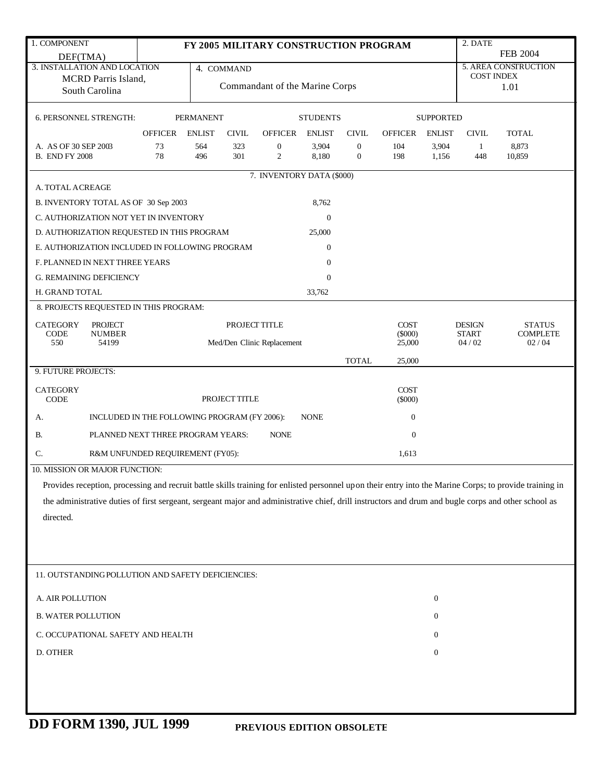| 1. COMPONENT                                                                                                                                            |                |                  |               | FY 2005 MILITARY CONSTRUCTION PROGRAM |                  |                                    |                          |                  | 2. DATE               |                          |  |
|---------------------------------------------------------------------------------------------------------------------------------------------------------|----------------|------------------|---------------|---------------------------------------|------------------|------------------------------------|--------------------------|------------------|-----------------------|--------------------------|--|
| DEF(TMA)                                                                                                                                                |                |                  |               |                                       |                  |                                    |                          |                  | <b>FEB 2004</b>       |                          |  |
| 3. INSTALLATION AND LOCATION                                                                                                                            |                |                  | 4. COMMAND    |                                       |                  |                                    |                          |                  | <b>COST INDEX</b>     | 5. AREA CONSTRUCTION     |  |
| MCRD Parris Island,<br>South Carolina                                                                                                                   |                |                  |               | Commandant of the Marine Corps        |                  |                                    |                          |                  | 1.01                  |                          |  |
|                                                                                                                                                         |                |                  |               |                                       |                  |                                    |                          |                  |                       |                          |  |
| 6. PERSONNEL STRENGTH:                                                                                                                                  |                | <b>PERMANENT</b> |               |                                       | <b>STUDENTS</b>  |                                    |                          | <b>SUPPORTED</b> |                       |                          |  |
|                                                                                                                                                         | OFFICER ENLIST |                  | <b>CIVIL</b>  | OFFICER ENLIST                        |                  | <b>CIVIL</b>                       | <b>OFFICER</b>           | <b>ENLIST</b>    | <b>CIVIL</b>          | <b>TOTAL</b>             |  |
| A. AS OF 30 SEP 2003<br><b>B. END FY 2008</b>                                                                                                           | 73<br>78       | 564<br>496       | 323<br>301    | $\boldsymbol{0}$<br>$\overline{c}$    | 3,904<br>8,180   | $\boldsymbol{0}$<br>$\overline{0}$ | 104<br>198               | 3,904<br>1,156   | -1<br>448             | 8,873<br>10,859          |  |
|                                                                                                                                                         |                |                  |               | 7. INVENTORY DATA (\$000)             |                  |                                    |                          |                  |                       |                          |  |
| A. TOTAL ACREAGE                                                                                                                                        |                |                  |               |                                       |                  |                                    |                          |                  |                       |                          |  |
| B. INVENTORY TOTAL AS OF 30 Sep 2003                                                                                                                    |                |                  |               |                                       | 8,762            |                                    |                          |                  |                       |                          |  |
| C. AUTHORIZATION NOT YET IN INVENTORY                                                                                                                   |                |                  |               |                                       | $\mathbf{0}$     |                                    |                          |                  |                       |                          |  |
| D. AUTHORIZATION REQUESTED IN THIS PROGRAM                                                                                                              |                |                  |               |                                       | 25,000           |                                    |                          |                  |                       |                          |  |
| E. AUTHORIZATION INCLUDED IN FOLLOWING PROGRAM                                                                                                          |                |                  |               |                                       | $\boldsymbol{0}$ |                                    |                          |                  |                       |                          |  |
| F. PLANNED IN NEXT THREE YEARS                                                                                                                          |                |                  |               |                                       | $\mathbf{0}$     |                                    |                          |                  |                       |                          |  |
| <b>G. REMAINING DEFICIENCY</b>                                                                                                                          |                |                  |               |                                       | $\mathbf{0}$     |                                    |                          |                  |                       |                          |  |
| H. GRAND TOTAL                                                                                                                                          |                |                  |               |                                       | 33,762           |                                    |                          |                  |                       |                          |  |
| 8. PROJECTS REQUESTED IN THIS PROGRAM:                                                                                                                  |                |                  |               |                                       |                  |                                    |                          |                  |                       |                          |  |
| <b>CATEGORY</b><br><b>PROJECT</b>                                                                                                                       |                |                  |               | PROJECT TITLE                         |                  |                                    | <b>COST</b>              |                  | <b>DESIGN</b>         | <b>STATUS</b>            |  |
| CODE<br><b>NUMBER</b><br>550<br>54199                                                                                                                   |                |                  |               |                                       |                  |                                    | $(\$000)$<br>25,000      |                  | <b>START</b><br>04/02 | <b>COMPLETE</b><br>02/04 |  |
|                                                                                                                                                         |                |                  |               | Med/Den Clinic Replacement            |                  |                                    |                          |                  |                       |                          |  |
| 9. FUTURE PROJECTS:                                                                                                                                     |                |                  |               |                                       |                  | <b>TOTAL</b>                       | 25,000                   |                  |                       |                          |  |
|                                                                                                                                                         |                |                  |               |                                       |                  |                                    |                          |                  |                       |                          |  |
| <b>CATEGORY</b><br><b>CODE</b>                                                                                                                          |                |                  | PROJECT TITLE |                                       |                  |                                    | <b>COST</b><br>$(\$000)$ |                  |                       |                          |  |
| INCLUDED IN THE FOLLOWING PROGRAM (FY 2006):<br>А.                                                                                                      |                |                  |               |                                       | <b>NONE</b>      |                                    | $\boldsymbol{0}$         |                  |                       |                          |  |
| PLANNED NEXT THREE PROGRAM YEARS:<br>В.                                                                                                                 |                |                  |               | <b>NONE</b>                           |                  |                                    | $\boldsymbol{0}$         |                  |                       |                          |  |
| C.<br>R&M UNFUNDED REQUIREMENT (FY05):                                                                                                                  |                |                  |               |                                       |                  |                                    | 1,613                    |                  |                       |                          |  |
| 10. MISSION OR MAJOR FUNCTION:                                                                                                                          |                |                  |               |                                       |                  |                                    |                          |                  |                       |                          |  |
| Provides reception, processing and recruit battle skills training for enlisted personnel upon their entry into the Marine Corps; to provide training in |                |                  |               |                                       |                  |                                    |                          |                  |                       |                          |  |
| the administrative duties of first sergeant, sergeant major and administrative chief, drill instructors and drum and bugle corps and other school as    |                |                  |               |                                       |                  |                                    |                          |                  |                       |                          |  |
| directed.                                                                                                                                               |                |                  |               |                                       |                  |                                    |                          |                  |                       |                          |  |
|                                                                                                                                                         |                |                  |               |                                       |                  |                                    |                          |                  |                       |                          |  |
|                                                                                                                                                         |                |                  |               |                                       |                  |                                    |                          |                  |                       |                          |  |
|                                                                                                                                                         |                |                  |               |                                       |                  |                                    |                          |                  |                       |                          |  |
| 11. OUTSTANDING POLLUTION AND SAFETY DEFICIENCIES:                                                                                                      |                |                  |               |                                       |                  |                                    |                          |                  |                       |                          |  |
| A. AIR POLLUTION                                                                                                                                        |                |                  |               |                                       |                  |                                    |                          | $\boldsymbol{0}$ |                       |                          |  |
| <b>B. WATER POLLUTION</b>                                                                                                                               |                |                  |               |                                       |                  |                                    |                          | $\overline{0}$   |                       |                          |  |
| C. OCCUPATIONAL SAFETY AND HEALTH                                                                                                                       |                |                  |               |                                       |                  |                                    |                          | 0                |                       |                          |  |
| D. OTHER                                                                                                                                                |                |                  |               |                                       |                  |                                    |                          | 0                |                       |                          |  |
|                                                                                                                                                         |                |                  |               |                                       |                  |                                    |                          |                  |                       |                          |  |
|                                                                                                                                                         |                |                  |               |                                       |                  |                                    |                          |                  |                       |                          |  |
|                                                                                                                                                         |                |                  |               |                                       |                  |                                    |                          |                  |                       |                          |  |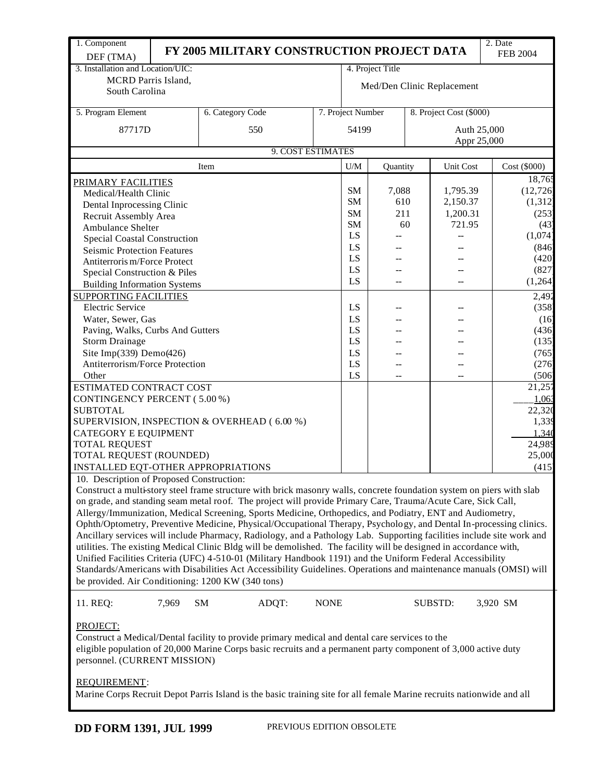| 1. Component                                                                                                   |                                                                                                                       |                                                                                                                       |             |                            |                  |    |                         | 2. Date         |  |
|----------------------------------------------------------------------------------------------------------------|-----------------------------------------------------------------------------------------------------------------------|-----------------------------------------------------------------------------------------------------------------------|-------------|----------------------------|------------------|----|-------------------------|-----------------|--|
| DEF (TMA)                                                                                                      |                                                                                                                       | FY 2005 MILITARY CONSTRUCTION PROJECT DATA                                                                            |             |                            |                  |    |                         | <b>FEB 2004</b> |  |
| 3. Installation and Location/UIC:                                                                              |                                                                                                                       |                                                                                                                       |             |                            | 4. Project Title |    |                         |                 |  |
| MCRD Parris Island,                                                                                            |                                                                                                                       |                                                                                                                       |             |                            |                  |    |                         |                 |  |
| South Carolina                                                                                                 |                                                                                                                       |                                                                                                                       |             | Med/Den Clinic Replacement |                  |    |                         |                 |  |
| 5. Program Element                                                                                             |                                                                                                                       | 6. Category Code                                                                                                      |             | 7. Project Number          |                  |    | 8. Project Cost (\$000) |                 |  |
|                                                                                                                |                                                                                                                       |                                                                                                                       |             |                            |                  |    |                         |                 |  |
| 87717D                                                                                                         |                                                                                                                       | 550                                                                                                                   |             | 54199                      |                  |    | Auth 25,000             |                 |  |
|                                                                                                                |                                                                                                                       | 9. COST ESTIMATES                                                                                                     |             |                            |                  |    |                         | Appr 25,000     |  |
|                                                                                                                |                                                                                                                       | Item                                                                                                                  |             | U/M                        | Quantity         |    | <b>Unit Cost</b>        | Cost (\$000)    |  |
| PRIMARY FACILITIES                                                                                             |                                                                                                                       |                                                                                                                       |             |                            |                  |    |                         | 18,765          |  |
| Medical/Health Clinic                                                                                          |                                                                                                                       |                                                                                                                       |             | SM                         | 7,088            |    | 1,795.39                | (12, 726)       |  |
| Dental Inprocessing Clinic                                                                                     |                                                                                                                       |                                                                                                                       |             | <b>SM</b>                  | 610              |    | 2,150.37                | (1, 312)        |  |
| Recruit Assembly Area                                                                                          |                                                                                                                       |                                                                                                                       |             | <b>SM</b>                  | 211              |    | 1,200.31                | (253)           |  |
| <b>Ambulance Shelter</b>                                                                                       |                                                                                                                       |                                                                                                                       |             | <b>SM</b>                  |                  | 60 | 721.95                  | (43)            |  |
| <b>Special Coastal Construction</b>                                                                            |                                                                                                                       |                                                                                                                       |             | LS                         |                  |    |                         | (1,074)         |  |
|                                                                                                                |                                                                                                                       |                                                                                                                       |             | LS                         |                  |    |                         | (846)           |  |
| <b>Seismic Protection Features</b><br>Antiterroris m/Force Protect                                             |                                                                                                                       |                                                                                                                       |             | LS                         |                  |    |                         | (420)           |  |
|                                                                                                                |                                                                                                                       |                                                                                                                       |             | LS                         |                  |    |                         | (827)           |  |
| Special Construction & Piles                                                                                   |                                                                                                                       |                                                                                                                       |             | LS                         | --               |    |                         | (1,264)         |  |
| <b>Building Information Systems</b>                                                                            |                                                                                                                       |                                                                                                                       |             |                            |                  |    |                         |                 |  |
| <b>SUPPORTING FACILITIES</b>                                                                                   |                                                                                                                       |                                                                                                                       |             |                            |                  |    |                         | 2,492           |  |
| <b>Electric Service</b>                                                                                        |                                                                                                                       |                                                                                                                       |             | LS                         |                  |    |                         | (358)           |  |
| Water, Sewer, Gas                                                                                              |                                                                                                                       |                                                                                                                       |             | LS                         |                  |    |                         | (16)            |  |
| Paving, Walks, Curbs And Gutters                                                                               |                                                                                                                       |                                                                                                                       |             | LS                         |                  |    |                         | (436)           |  |
| <b>Storm Drainage</b>                                                                                          |                                                                                                                       |                                                                                                                       |             | LS                         |                  |    |                         | (135)           |  |
| Site Imp(339) Demo(426)                                                                                        |                                                                                                                       |                                                                                                                       |             | LS                         |                  |    |                         | (765)           |  |
| Antiterrorism/Force Protection                                                                                 |                                                                                                                       |                                                                                                                       |             | LS                         |                  |    |                         | (276)           |  |
| Other                                                                                                          |                                                                                                                       |                                                                                                                       |             | LS                         | --               |    | --                      | (506)           |  |
| ESTIMATED CONTRACT COST                                                                                        |                                                                                                                       |                                                                                                                       |             |                            |                  |    |                         | 21,257          |  |
| CONTINGENCY PERCENT (5.00%)                                                                                    |                                                                                                                       |                                                                                                                       |             |                            |                  |    |                         | 1,063           |  |
| <b>SUBTOTAL</b>                                                                                                |                                                                                                                       |                                                                                                                       |             |                            |                  |    |                         | 22,320          |  |
|                                                                                                                |                                                                                                                       | SUPERVISION, INSPECTION & OVERHEAD (6.00 %)                                                                           |             |                            |                  |    |                         | 1,339           |  |
| <b>CATEGORY E EQUIPMENT</b>                                                                                    |                                                                                                                       |                                                                                                                       |             |                            |                  |    |                         | 1,340           |  |
| <b>TOTAL REQUEST</b>                                                                                           |                                                                                                                       |                                                                                                                       |             |                            |                  |    |                         | 24,989          |  |
| TOTAL REQUEST (ROUNDED)                                                                                        |                                                                                                                       |                                                                                                                       |             |                            |                  |    |                         | 25,000          |  |
| INSTALLED EQT-OTHER APPROPRIATIONS                                                                             |                                                                                                                       |                                                                                                                       |             |                            |                  |    |                         | (415)           |  |
| 10. Description of Proposed Construction:                                                                      |                                                                                                                       |                                                                                                                       |             |                            |                  |    |                         |                 |  |
|                                                                                                                |                                                                                                                       | Construct a multi-story steel frame structure with brick masonry walls, concrete foundation system on piers with slab |             |                            |                  |    |                         |                 |  |
|                                                                                                                |                                                                                                                       | on grade, and standing seam metal roof. The project will provide Primary Care, Trauma/Acute Care, Sick Call,          |             |                            |                  |    |                         |                 |  |
|                                                                                                                |                                                                                                                       | Allergy/Immunization, Medical Screening, Sports Medicine, Orthopedics, and Podiatry, ENT and Audiometry,              |             |                            |                  |    |                         |                 |  |
|                                                                                                                |                                                                                                                       | Ophth/Optometry, Preventive Medicine, Physical/Occupational Therapy, Psychology, and Dental In-processing clinics.    |             |                            |                  |    |                         |                 |  |
|                                                                                                                |                                                                                                                       | Ancillary services will include Pharmacy, Radiology, and a Pathology Lab. Supporting facilities include site work and |             |                            |                  |    |                         |                 |  |
|                                                                                                                |                                                                                                                       | utilities. The existing Medical Clinic Bldg will be demolished. The facility will be designed in accordance with,     |             |                            |                  |    |                         |                 |  |
|                                                                                                                |                                                                                                                       | Unified Facilities Criteria (UFC) 4-510-01 (Military Handbook 1191) and the Uniform Federal Accessibility             |             |                            |                  |    |                         |                 |  |
|                                                                                                                |                                                                                                                       | Standards/Americans with Disabilities Act Accessibility Guidelines. Operations and maintenance manuals (OMSI) will    |             |                            |                  |    |                         |                 |  |
|                                                                                                                |                                                                                                                       |                                                                                                                       |             |                            |                  |    |                         |                 |  |
|                                                                                                                |                                                                                                                       | be provided. Air Conditioning: 1200 KW (340 tons)                                                                     |             |                            |                  |    |                         |                 |  |
| 11. REQ:                                                                                                       | 7,969                                                                                                                 | ADQT:<br><b>SM</b>                                                                                                    | <b>NONE</b> |                            |                  |    | <b>SUBSTD:</b>          | 3,920 SM        |  |
|                                                                                                                |                                                                                                                       |                                                                                                                       |             |                            |                  |    |                         |                 |  |
| PROJECT:                                                                                                       |                                                                                                                       |                                                                                                                       |             |                            |                  |    |                         |                 |  |
| Construct a Medical/Dental facility to provide primary medical and dental care services to the                 |                                                                                                                       |                                                                                                                       |             |                            |                  |    |                         |                 |  |
| eligible population of 20,000 Marine Corps basic recruits and a permanent party component of 3,000 active duty |                                                                                                                       |                                                                                                                       |             |                            |                  |    |                         |                 |  |
| personnel. (CURRENT MISSION)                                                                                   |                                                                                                                       |                                                                                                                       |             |                            |                  |    |                         |                 |  |
|                                                                                                                |                                                                                                                       |                                                                                                                       |             |                            |                  |    |                         |                 |  |
| <b>REQUIREMENT:</b>                                                                                            |                                                                                                                       |                                                                                                                       |             |                            |                  |    |                         |                 |  |
|                                                                                                                | Marine Corps Recruit Depot Parris Island is the basic training site for all female Marine recruits nationwide and all |                                                                                                                       |             |                            |                  |    |                         |                 |  |
|                                                                                                                |                                                                                                                       |                                                                                                                       |             |                            |                  |    |                         |                 |  |
|                                                                                                                |                                                                                                                       | MEVIOUS ENTHON ADSOLE                                                                                                 |             |                            |                  |    |                         |                 |  |

**DD FORM 1391, JUL 1999** PREVIOUS EDITION OBSOLETE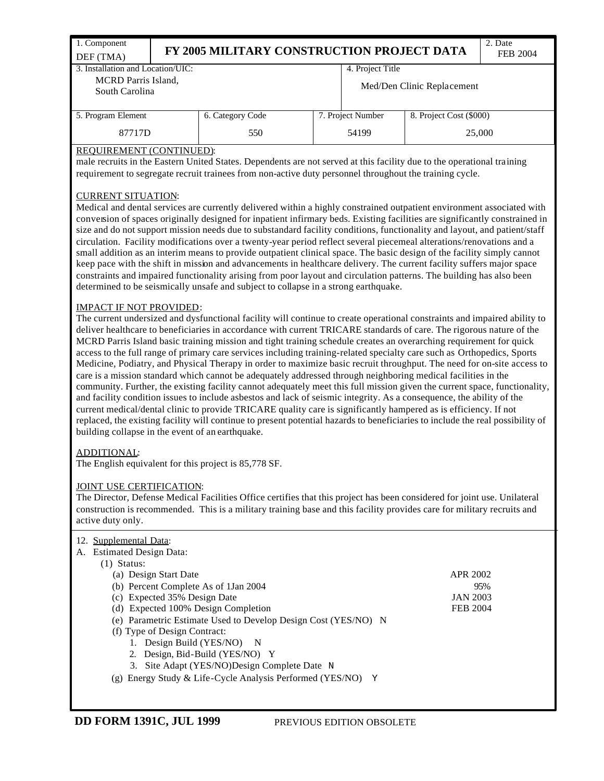| 1. Component<br>DEF (TMA)                    |  | 2. Date<br>FY 2005 MILITARY CONSTRUCTION PROJECT DATA |  |                            |                         |  |  |  |  |
|----------------------------------------------|--|-------------------------------------------------------|--|----------------------------|-------------------------|--|--|--|--|
| 3. Installation and Location/UIC:            |  |                                                       |  | 4. Project Title           |                         |  |  |  |  |
| <b>MCRD</b> Parris Island,<br>South Carolina |  |                                                       |  | Med/Den Clinic Replacement |                         |  |  |  |  |
| 5. Program Element                           |  | 6. Category Code                                      |  | 7. Project Number          | 8. Project Cost (\$000) |  |  |  |  |
| 87717D                                       |  | 550                                                   |  | 25,000                     |                         |  |  |  |  |

### REQUIREMENT (CONTINUED):

male recruits in the Eastern United States. Dependents are not served at this facility due to the operational training requirement to segregate recruit trainees from non-active duty personnel throughout the training cycle.

## CURRENT SITUATION:

Medical and dental services are currently delivered within a highly constrained outpatient environment associated with conversion of spaces originally designed for inpatient infirmary beds. Existing facilities are significantly constrained in size and do not support mission needs due to substandard facility conditions, functionality and layout, and patient/staff circulation. Facility modifications over a twenty-year period reflect several piecemeal alterations/renovations and a small addition as an interim means to provide outpatient clinical space. The basic design of the facility simply cannot keep pace with the shift in mission and advancements in healthcare delivery. The current facility suffers major space constraints and impaired functionality arising from poor layout and circulation patterns. The building has also been determined to be seismically unsafe and subject to collapse in a strong earthquake.

### IMPACT IF NOT PROVIDED:

The current undersized and dysfunctional facility will continue to create operational constraints and impaired ability to deliver healthcare to beneficiaries in accordance with current TRICARE standards of care. The rigorous nature of the MCRD Parris Island basic training mission and tight training schedule creates an overarching requirement for quick access to the full range of primary care services including training-related specialty care such as Orthopedics, Sports Medicine, Podiatry, and Physical Therapy in order to maximize basic recruit throughput. The need for on-site access to care is a mission standard which cannot be adequately addressed through neighboring medical facilities in the community. Further, the existing facility cannot adequately meet this full mission given the current space, functionality, and facility condition issues to include asbestos and lack of seismic integrity. As a consequence, the ability of the current medical/dental clinic to provide TRICARE quality care is significantly hampered as is efficiency. If not replaced, the existing facility will continue to present potential hazards to beneficiaries to include the real possibility of building collapse in the event of an earthquake.

### ADDITIONAL:

The English equivalent for this project is 85,778 SF.

### JOINT USE CERTIFICATION:

The Director, Defense Medical Facilities Office certifies that this project has been considered for joint use. Unilateral construction is recommended. This is a military training base and this facility provides care for military recruits and active duty only.

| 12. Supplemental Data:                                         |                 |
|----------------------------------------------------------------|-----------------|
| A. Estimated Design Data:                                      |                 |
| $(1)$ Status:                                                  |                 |
| (a) Design Start Date                                          | APR 2002        |
| (b) Percent Complete As of 1 Jan 2004                          | 95%             |
| (c) Expected 35% Design Date                                   | <b>JAN 2003</b> |
| (d) Expected 100% Design Completion                            | FEB 2004        |
| (e) Parametric Estimate Used to Develop Design Cost (YES/NO) N |                 |
| (f) Type of Design Contract:                                   |                 |
| 1. Design Build (YES/NO) N                                     |                 |
| Design, Bid-Build (YES/NO) Y<br>2.                             |                 |
| 3. Site Adapt (YES/NO)Design Complete Date N                   |                 |
| (g) Energy Study & Life-Cycle Analysis Performed (YES/NO) Y    |                 |
|                                                                |                 |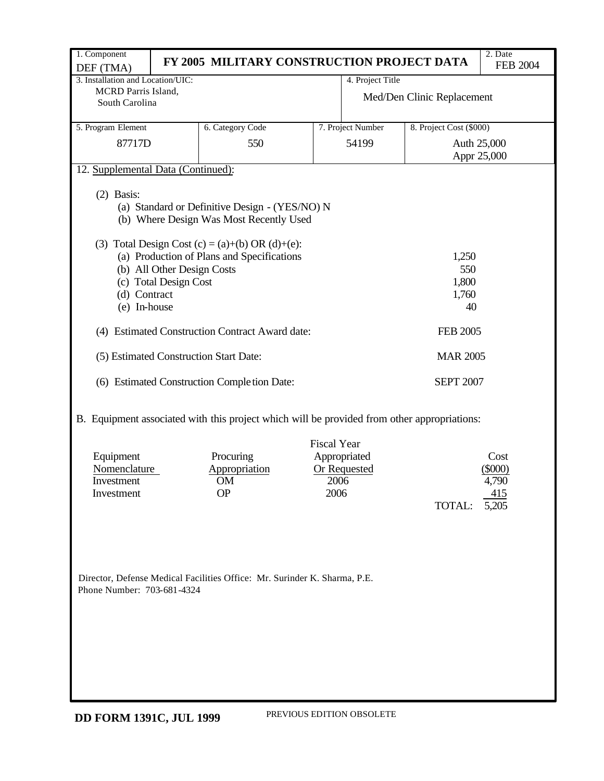| 1. Component                                          |                                                     | FY 2005 MILITARY CONSTRUCTION PROJECT DATA                                                                                                                                                 |                                    |                                     |                            | 2. Date<br><b>FEB 2004</b>                 |
|-------------------------------------------------------|-----------------------------------------------------|--------------------------------------------------------------------------------------------------------------------------------------------------------------------------------------------|------------------------------------|-------------------------------------|----------------------------|--------------------------------------------|
| DEF (TMA)<br>3. Installation and Location/UIC:        |                                                     |                                                                                                                                                                                            |                                    | 4. Project Title                    |                            |                                            |
| MCRD Parris Island,<br>South Carolina                 |                                                     |                                                                                                                                                                                            |                                    |                                     | Med/Den Clinic Replacement |                                            |
| 5. Program Element                                    |                                                     | 6. Category Code                                                                                                                                                                           |                                    | 7. Project Number                   | 8. Project Cost (\$000)    |                                            |
| 87717D                                                |                                                     | 550                                                                                                                                                                                        |                                    | 54199                               | Auth 25,000                | Appr 25,000                                |
| 12. Supplemental Data (Continued):                    |                                                     |                                                                                                                                                                                            |                                    |                                     |                            |                                            |
| $(2)$ Basis:                                          | (b) All Other Design Costs<br>(c) Total Design Cost | (a) Standard or Definitive Design - (YES/NO) N<br>(b) Where Design Was Most Recently Used<br>(3) Total Design Cost (c) = (a)+(b) OR (d)+(e):<br>(a) Production of Plans and Specifications |                                    |                                     | 1,250<br>550<br>1,800      |                                            |
| (d) Contract                                          |                                                     |                                                                                                                                                                                            |                                    |                                     | 1,760                      |                                            |
| (e) In-house                                          |                                                     |                                                                                                                                                                                            |                                    |                                     | 40                         |                                            |
|                                                       |                                                     | (4) Estimated Construction Contract Award date:                                                                                                                                            |                                    |                                     | <b>FEB 2005</b>            |                                            |
|                                                       |                                                     | (5) Estimated Construction Start Date:                                                                                                                                                     |                                    |                                     | <b>MAR 2005</b>            |                                            |
|                                                       |                                                     | (6) Estimated Construction Completion Date:                                                                                                                                                |                                    |                                     | <b>SEPT 2007</b>           |                                            |
|                                                       |                                                     | B. Equipment associated with this project which will be provided from other appropriations:                                                                                                |                                    |                                     |                            |                                            |
| Equipment<br>Nomenclature<br>Investment<br>Investment |                                                     | Procuring<br>Appropriation<br>OM<br><b>OP</b>                                                                                                                                              | <b>Fiscal Year</b><br>2006<br>2006 | Appropriated<br><b>Or Requested</b> | TOTAL:                     | Cost<br>$(\$000)$<br>4,790<br>415<br>5,205 |
| Phone Number: 703-681-4324                            |                                                     | Director, Defense Medical Facilities Office: Mr. Surinder K. Sharma, P.E.                                                                                                                  |                                    |                                     |                            |                                            |

PREVIOUS EDITION OBSOLETE **DD FORM 1391C, JUL 1999**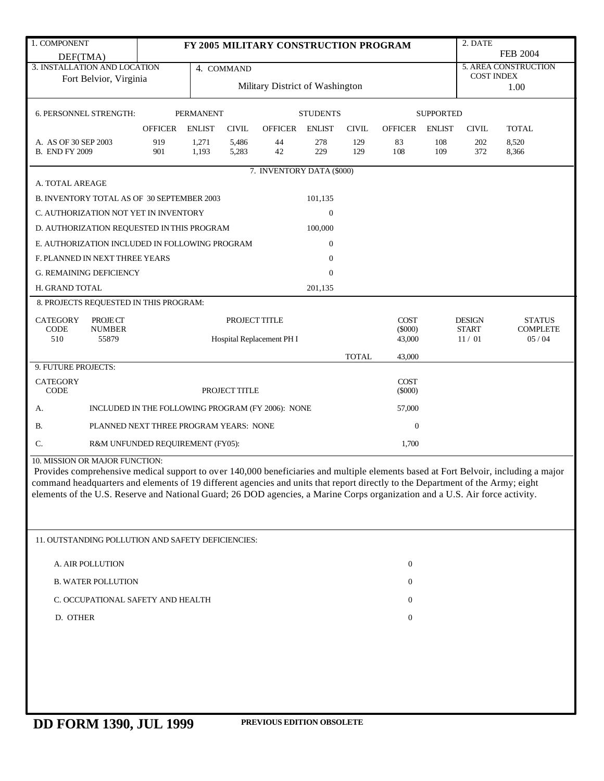| 1. COMPONENT                                                                                                                        | 2. DATE<br>FY 2005 MILITARY CONSTRUCTION PROGRAM |                  |                                 |                           |                      |              |                      |                      |                               |                                  |  |
|-------------------------------------------------------------------------------------------------------------------------------------|--------------------------------------------------|------------------|---------------------------------|---------------------------|----------------------|--------------|----------------------|----------------------|-------------------------------|----------------------------------|--|
| DEF(TMA)                                                                                                                            |                                                  |                  |                                 |                           |                      |              |                      |                      |                               | <b>FEB 2004</b>                  |  |
| 3. INSTALLATION AND LOCATION                                                                                                        |                                                  |                  | 4. COMMAND                      |                           |                      |              |                      |                      |                               | 5. AREA CONSTRUCTION             |  |
| Fort Belvior, Virginia                                                                                                              |                                                  |                  | Military District of Washington |                           |                      |              |                      |                      |                               | <b>COST INDEX</b><br>1.00        |  |
|                                                                                                                                     |                                                  |                  |                                 |                           |                      |              |                      |                      |                               |                                  |  |
| 6. PERSONNEL STRENGTH:                                                                                                              |                                                  | <b>PERMANENT</b> |                                 |                           | <b>STUDENTS</b>      |              |                      | <b>SUPPORTED</b>     |                               |                                  |  |
|                                                                                                                                     |                                                  | <b>ENLIST</b>    |                                 |                           |                      |              |                      |                      |                               |                                  |  |
| A. AS OF 30 SEP 2003                                                                                                                | <b>OFFICER</b><br>919                            | 1,271            | <b>CIVIL</b>                    | <b>OFFICER</b><br>44      | <b>ENLIST</b><br>278 | <b>CIVIL</b> | <b>OFFICER</b><br>83 | <b>ENLIST</b><br>108 | <b>CIVIL</b><br>202           | <b>TOTAL</b><br>8,520            |  |
| <b>B. END FY 2009</b>                                                                                                               | 901                                              | 1,193            | 5,486<br>5,283                  | 42                        | 229                  | 129<br>129   | 108                  | 109                  | 372                           | 8,366                            |  |
|                                                                                                                                     |                                                  |                  |                                 |                           |                      |              |                      |                      |                               |                                  |  |
|                                                                                                                                     |                                                  |                  |                                 | 7. INVENTORY DATA (\$000) |                      |              |                      |                      |                               |                                  |  |
| A. TOTAL AREAGE                                                                                                                     |                                                  |                  |                                 |                           |                      |              |                      |                      |                               |                                  |  |
| B. INVENTORY TOTAL AS OF 30 SEPTEMBER 2003                                                                                          |                                                  |                  |                                 |                           | 101,135              |              |                      |                      |                               |                                  |  |
| C. AUTHORIZATION NOT YET IN INVENTORY                                                                                               |                                                  |                  |                                 |                           | $\boldsymbol{0}$     |              |                      |                      |                               |                                  |  |
| D. AUTHORIZATION REQUESTED IN THIS PROGRAM                                                                                          |                                                  |                  |                                 |                           | 100,000              |              |                      |                      |                               |                                  |  |
| E. AUTHORIZATION INCLUDED IN FOLLOWING PROGRAM                                                                                      |                                                  |                  |                                 |                           | $\Omega$             |              |                      |                      |                               |                                  |  |
| F. PLANNED IN NEXT THREE YEARS                                                                                                      |                                                  |                  |                                 |                           | $\overline{0}$       |              |                      |                      |                               |                                  |  |
| <b>G. REMAINING DEFICIENCY</b>                                                                                                      |                                                  |                  |                                 |                           | $\Omega$             |              |                      |                      |                               |                                  |  |
| H. GRAND TOTAL                                                                                                                      |                                                  |                  |                                 |                           | 201,135              |              |                      |                      |                               |                                  |  |
| 8. PROJECTS REQUESTED IN THIS PROGRAM:                                                                                              |                                                  |                  |                                 |                           |                      |              |                      |                      |                               |                                  |  |
| <b>CATEGORY</b>                                                                                                                     |                                                  |                  | PROJECT TITLE                   |                           |                      |              | <b>COST</b>          |                      |                               |                                  |  |
| PROJECT<br>CODE<br><b>NUMBER</b>                                                                                                    |                                                  |                  |                                 |                           |                      |              | $(\$000)$            |                      | <b>DESIGN</b><br><b>START</b> | <b>STATUS</b><br><b>COMPLETE</b> |  |
| 510<br>55879                                                                                                                        |                                                  |                  |                                 | Hospital Replacement PH I |                      |              | 43,000               |                      | 11/01                         | 05/04                            |  |
|                                                                                                                                     |                                                  |                  |                                 |                           |                      | <b>TOTAL</b> | 43,000               |                      |                               |                                  |  |
| 9. FUTURE PROJECTS:                                                                                                                 |                                                  |                  |                                 |                           |                      |              |                      |                      |                               |                                  |  |
| <b>CATEGORY</b>                                                                                                                     |                                                  |                  |                                 |                           |                      |              | <b>COST</b>          |                      |                               |                                  |  |
| <b>CODE</b>                                                                                                                         |                                                  |                  | PROJECT TITLE                   |                           |                      |              | $(\$000)$            |                      |                               |                                  |  |
| INCLUDED IN THE FOLLOWING PROGRAM (FY 2006): NONE<br>А.                                                                             |                                                  |                  |                                 |                           |                      |              | 57,000               |                      |                               |                                  |  |
| <b>B.</b><br>PLANNED NEXT THREE PROGRAM YEARS: NONE                                                                                 |                                                  |                  |                                 |                           |                      |              | $\boldsymbol{0}$     |                      |                               |                                  |  |
| C.<br>R&M UNFUNDED REQUIREMENT (FY05):                                                                                              |                                                  |                  |                                 |                           |                      |              | 1,700                |                      |                               |                                  |  |
| 10. MISSION OR MAJOR FUNCTION:                                                                                                      |                                                  |                  |                                 |                           |                      |              |                      |                      |                               |                                  |  |
| Provides comprehensive medical support to over 140,000 beneficiaries and multiple elements based at Fort Belvoir, including a major |                                                  |                  |                                 |                           |                      |              |                      |                      |                               |                                  |  |
| command headquarters and elements of 19 different agencies and units that report directly to the Department of the Army; eight      |                                                  |                  |                                 |                           |                      |              |                      |                      |                               |                                  |  |
| elements of the U.S. Reserve and National Guard; 26 DOD agencies, a Marine Corps organization and a U.S. Air force activity.        |                                                  |                  |                                 |                           |                      |              |                      |                      |                               |                                  |  |
|                                                                                                                                     |                                                  |                  |                                 |                           |                      |              |                      |                      |                               |                                  |  |
|                                                                                                                                     |                                                  |                  |                                 |                           |                      |              |                      |                      |                               |                                  |  |
| 11. OUTSTANDING POLLUTION AND SAFETY DEFICIENCIES:                                                                                  |                                                  |                  |                                 |                           |                      |              |                      |                      |                               |                                  |  |
| A. AIR POLLUTION                                                                                                                    |                                                  |                  |                                 |                           |                      |              | $\bf{0}$             |                      |                               |                                  |  |
| <b>B. WATER POLLUTION</b>                                                                                                           |                                                  |                  |                                 |                           |                      |              | $\bf{0}$             |                      |                               |                                  |  |
| C. OCCUPATIONAL SAFETY AND HEALTH                                                                                                   |                                                  |                  |                                 |                           |                      |              | $\bf{0}$             |                      |                               |                                  |  |
| D. OTHER                                                                                                                            |                                                  |                  |                                 |                           |                      |              | $\boldsymbol{0}$     |                      |                               |                                  |  |
|                                                                                                                                     |                                                  |                  |                                 |                           |                      |              |                      |                      |                               |                                  |  |
|                                                                                                                                     |                                                  |                  |                                 |                           |                      |              |                      |                      |                               |                                  |  |
|                                                                                                                                     |                                                  |                  |                                 |                           |                      |              |                      |                      |                               |                                  |  |
|                                                                                                                                     |                                                  |                  |                                 |                           |                      |              |                      |                      |                               |                                  |  |
|                                                                                                                                     |                                                  |                  |                                 |                           |                      |              |                      |                      |                               |                                  |  |
|                                                                                                                                     |                                                  |                  |                                 |                           |                      |              |                      |                      |                               |                                  |  |
|                                                                                                                                     |                                                  |                  |                                 |                           |                      |              |                      |                      |                               |                                  |  |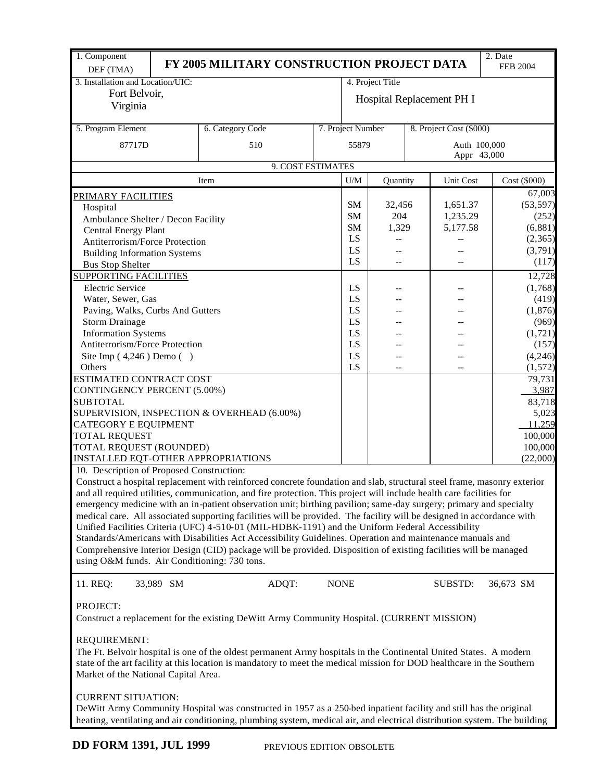| 1. Component<br>DEF (TMA)                                                                                              |                           | FY 2005 MILITARY CONSTRUCTION PROJECT DATA                                                                                |          |                           |                  |              |                             | 2. Date<br><b>FEB 2004</b> |                   |
|------------------------------------------------------------------------------------------------------------------------|---------------------------|---------------------------------------------------------------------------------------------------------------------------|----------|---------------------------|------------------|--------------|-----------------------------|----------------------------|-------------------|
| 3. Installation and Location/UIC:                                                                                      |                           |                                                                                                                           |          |                           | 4. Project Title |              |                             |                            |                   |
| Fort Belvoir,                                                                                                          |                           |                                                                                                                           |          |                           |                  |              |                             |                            |                   |
| Virginia                                                                                                               |                           |                                                                                                                           |          | Hospital Replacement PH I |                  |              |                             |                            |                   |
|                                                                                                                        |                           |                                                                                                                           |          |                           |                  |              |                             |                            |                   |
| 5. Program Element                                                                                                     |                           | 6. Category Code                                                                                                          |          | 7. Project Number         |                  |              | 8. Project Cost (\$000)     |                            |                   |
| 87717D                                                                                                                 | 510                       |                                                                                                                           |          |                           |                  |              | Auth 100,000<br>Appr 43,000 |                            |                   |
|                                                                                                                        | 9. COST ESTIMATES         |                                                                                                                           |          |                           |                  |              |                             |                            |                   |
|                                                                                                                        |                           | U/M                                                                                                                       | Quantity |                           | Unit Cost        | Cost (\$000) |                             |                            |                   |
|                                                                                                                        |                           | Item                                                                                                                      |          |                           |                  |              |                             |                            | 67,003            |
| <u>PRIMARY FACILITIES</u>                                                                                              |                           | SM                                                                                                                        | 32,456   |                           | 1,651.37         |              | (53, 597)                   |                            |                   |
| Hospital                                                                                                               |                           |                                                                                                                           |          | SM                        | 204              |              | 1,235.29                    |                            | (252)             |
| Ambulance Shelter / Decon Facility                                                                                     |                           |                                                                                                                           |          | <b>SM</b>                 | 1,329            |              | 5,177.58                    |                            | (6, 881)          |
| Central Energy Plant<br>Antiterrorism/Force Protection                                                                 |                           |                                                                                                                           |          | LS                        |                  |              |                             |                            | (2,365)           |
|                                                                                                                        |                           |                                                                                                                           |          | LS                        |                  |              |                             |                            | (3,791)           |
| <b>Building Information Systems</b><br><b>Bus Stop Shelter</b>                                                         |                           |                                                                                                                           |          | LS                        | --               |              |                             |                            | (117)             |
| <b>SUPPORTING FACILITIES</b>                                                                                           |                           |                                                                                                                           |          |                           |                  |              |                             |                            | 12,728            |
| <b>Electric Service</b>                                                                                                |                           |                                                                                                                           |          |                           |                  |              |                             |                            |                   |
|                                                                                                                        |                           |                                                                                                                           |          | LS<br>LS                  |                  |              |                             |                            | (1,768)           |
| Water, Sewer, Gas                                                                                                      |                           |                                                                                                                           |          | LS                        |                  |              |                             |                            | (419)<br>(1, 876) |
| Paving, Walks, Curbs And Gutters<br><b>Storm Drainage</b>                                                              |                           |                                                                                                                           |          | LS                        |                  |              |                             |                            |                   |
| <b>Information Systems</b>                                                                                             |                           |                                                                                                                           |          | LS                        |                  |              |                             |                            | (969)<br>(1,721)  |
| Antiterrorism/Force Protection                                                                                         |                           |                                                                                                                           |          | LS                        |                  |              |                             |                            | (157)             |
|                                                                                                                        |                           |                                                                                                                           |          | LS                        |                  |              |                             |                            |                   |
| Site Imp $(4,246)$ Demo $( )$<br>Others                                                                                |                           |                                                                                                                           |          | LS                        |                  |              |                             |                            | (4,246)           |
| ESTIMATED CONTRACT COST                                                                                                |                           |                                                                                                                           |          |                           |                  |              |                             |                            | (1,572)<br>79,731 |
| <b>CONTINGENCY PERCENT (5.00%)</b>                                                                                     |                           |                                                                                                                           |          |                           |                  |              |                             |                            | 3,987             |
| <b>SUBTOTAL</b>                                                                                                        |                           |                                                                                                                           |          |                           |                  |              |                             |                            | 83,718            |
|                                                                                                                        |                           | SUPERVISION, INSPECTION & OVERHEAD (6.00%)                                                                                |          |                           |                  |              |                             |                            | 5,023             |
| <b>CATEGORY E EQUIPMENT</b>                                                                                            |                           |                                                                                                                           |          |                           |                  |              |                             |                            | 11,259            |
| <b>TOTAL REQUEST</b>                                                                                                   |                           |                                                                                                                           |          |                           |                  |              |                             |                            | 100,000           |
| TOTAL REQUEST (ROUNDED)                                                                                                |                           |                                                                                                                           |          |                           |                  |              |                             |                            | 100,000           |
| INSTALLED EQT-OTHER APPROPRIATIONS                                                                                     |                           |                                                                                                                           |          |                           |                  |              |                             |                            | (22,000)          |
| 10. Description of Proposed Construction:                                                                              |                           |                                                                                                                           |          |                           |                  |              |                             |                            |                   |
|                                                                                                                        |                           | Construct a hospital replacement with reinforced concrete foundation and slab, structural steel frame, masonry exterior   |          |                           |                  |              |                             |                            |                   |
|                                                                                                                        |                           | and all required utilities, communication, and fire protection. This project will include health care facilities for      |          |                           |                  |              |                             |                            |                   |
|                                                                                                                        |                           | emergency medicine with an in-patient observation unit; birthing pavilion; same-day surgery; primary and specialty        |          |                           |                  |              |                             |                            |                   |
|                                                                                                                        |                           | medical care. All associated supporting facilities will be provided. The facility will be designed in accordance with     |          |                           |                  |              |                             |                            |                   |
|                                                                                                                        |                           | Unified Facilities Criteria (UFC) 4-510-01 (MIL-HDBK-1191) and the Uniform Federal Accessibility                          |          |                           |                  |              |                             |                            |                   |
|                                                                                                                        |                           | Standards/Americans with Disabilities Act Accessibility Guidelines. Operation and maintenance manuals and                 |          |                           |                  |              |                             |                            |                   |
|                                                                                                                        |                           | Comprehensive Interior Design (CID) package will be provided. Disposition of existing facilities will be managed          |          |                           |                  |              |                             |                            |                   |
| using O&M funds. Air Conditioning: 730 tons.                                                                           |                           |                                                                                                                           |          |                           |                  |              |                             |                            |                   |
|                                                                                                                        |                           |                                                                                                                           |          |                           |                  |              |                             |                            |                   |
| 11. REQ:                                                                                                               | 33,989 SM                 | ADQT:                                                                                                                     |          | <b>NONE</b>               |                  |              | <b>SUBSTD:</b>              | 36,673 SM                  |                   |
|                                                                                                                        |                           |                                                                                                                           |          |                           |                  |              |                             |                            |                   |
| PROJECT:                                                                                                               |                           |                                                                                                                           |          |                           |                  |              |                             |                            |                   |
|                                                                                                                        |                           | Construct a replacement for the existing DeWitt Army Community Hospital. (CURRENT MISSION)                                |          |                           |                  |              |                             |                            |                   |
|                                                                                                                        |                           |                                                                                                                           |          |                           |                  |              |                             |                            |                   |
| REQUIREMENT:                                                                                                           |                           |                                                                                                                           |          |                           |                  |              |                             |                            |                   |
| The Ft. Belvoir hospital is one of the oldest permanent Army hospitals in the Continental United States. A modern      |                           |                                                                                                                           |          |                           |                  |              |                             |                            |                   |
| state of the art facility at this location is mandatory to meet the medical mission for DOD healthcare in the Southern |                           |                                                                                                                           |          |                           |                  |              |                             |                            |                   |
| Market of the National Capital Area.                                                                                   |                           |                                                                                                                           |          |                           |                  |              |                             |                            |                   |
|                                                                                                                        |                           |                                                                                                                           |          |                           |                  |              |                             |                            |                   |
|                                                                                                                        | <b>CURRENT SITUATION:</b> |                                                                                                                           |          |                           |                  |              |                             |                            |                   |
|                                                                                                                        |                           | DeWitt Army Community Hospital was constructed in 1957 as a 250-bed inpatient facility and still has the original         |          |                           |                  |              |                             |                            |                   |
|                                                                                                                        |                           | heating, ventilating and air conditioning, plumbing system, medical air, and electrical distribution system. The building |          |                           |                  |              |                             |                            |                   |
|                                                                                                                        |                           |                                                                                                                           |          |                           |                  |              |                             |                            |                   |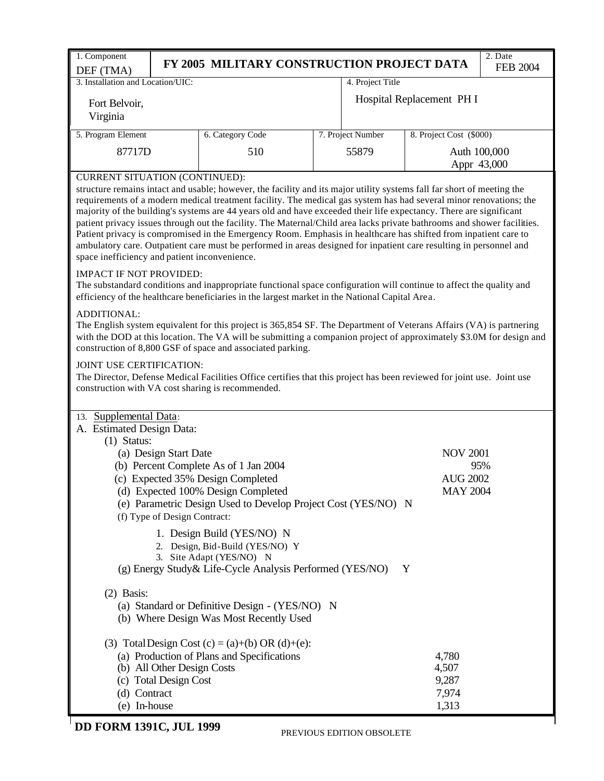| 1. Component                                                                                                                                                                                                                                                                                                                                                                                                                                                                                                                                                                                                                                                                                                                                                                                                              | FY 2005 MILITARY CONSTRUCTION PROJECT DATA                                                          |                   |                           | 2. Date<br><b>FEB 2004</b> |
|---------------------------------------------------------------------------------------------------------------------------------------------------------------------------------------------------------------------------------------------------------------------------------------------------------------------------------------------------------------------------------------------------------------------------------------------------------------------------------------------------------------------------------------------------------------------------------------------------------------------------------------------------------------------------------------------------------------------------------------------------------------------------------------------------------------------------|-----------------------------------------------------------------------------------------------------|-------------------|---------------------------|----------------------------|
| DEF (TMA)<br>3. Installation and Location/UIC:                                                                                                                                                                                                                                                                                                                                                                                                                                                                                                                                                                                                                                                                                                                                                                            |                                                                                                     | 4. Project Title  |                           |                            |
| Fort Belvoir,<br>Virginia                                                                                                                                                                                                                                                                                                                                                                                                                                                                                                                                                                                                                                                                                                                                                                                                 |                                                                                                     |                   | Hospital Replacement PH I |                            |
| 5. Program Element                                                                                                                                                                                                                                                                                                                                                                                                                                                                                                                                                                                                                                                                                                                                                                                                        | 6. Category Code                                                                                    | 7. Project Number | 8. Project Cost (\$000)   |                            |
| 87717D                                                                                                                                                                                                                                                                                                                                                                                                                                                                                                                                                                                                                                                                                                                                                                                                                    | 510                                                                                                 | 55879             |                           | Auth 100,000               |
| <b>CURRENT SITUATION (CONTINUED):</b>                                                                                                                                                                                                                                                                                                                                                                                                                                                                                                                                                                                                                                                                                                                                                                                     |                                                                                                     |                   |                           | Appr 43,000                |
| structure remains intact and usable; however, the facility and its major utility systems fall far short of meeting the<br>requirements of a modern medical treatment facility. The medical gas system has had several minor renovations; the<br>majority of the building's systems are 44 years old and have exceeded their life expectancy. There are significant<br>patient privacy issues through out the facility. The Maternal/Child area lacks private bathrooms and shower facilities.<br>Patient privacy is compromised in the Emergency Room. Emphasis in healthcare has shifted from inpatient care to<br>ambulatory care. Outpatient care must be performed in areas designed for inpatient care resulting in personnel and<br>space inefficiency and patient inconvenience.<br><b>IMPACT IF NOT PROVIDED:</b> |                                                                                                     |                   |                           |                            |
| The substandard conditions and inappropriate functional space configuration will continue to affect the quality and<br>efficiency of the healthcare beneficiaries in the largest market in the National Capital Area.                                                                                                                                                                                                                                                                                                                                                                                                                                                                                                                                                                                                     |                                                                                                     |                   |                           |                            |
| ADDITIONAL:<br>The English system equivalent for this project is 365,854 SF. The Department of Veterans Affairs (VA) is partnering<br>with the DOD at this location. The VA will be submitting a companion project of approximately \$3.0M for design and<br>construction of 8,800 GSF of space and associated parking.                                                                                                                                                                                                                                                                                                                                                                                                                                                                                                   |                                                                                                     |                   |                           |                            |
| JOINT USE CERTIFICATION:<br>The Director, Defense Medical Facilities Office certifies that this project has been reviewed for joint use. Joint use<br>construction with VA cost sharing is recommended.<br>13. Supplemental Data:<br>A. Estimated Design Data:                                                                                                                                                                                                                                                                                                                                                                                                                                                                                                                                                            |                                                                                                     |                   |                           |                            |
| $(1)$ Status:<br>(a) Design Start Date                                                                                                                                                                                                                                                                                                                                                                                                                                                                                                                                                                                                                                                                                                                                                                                    |                                                                                                     |                   | <b>NOV 2001</b>           |                            |
|                                                                                                                                                                                                                                                                                                                                                                                                                                                                                                                                                                                                                                                                                                                                                                                                                           | (b) Percent Complete As of 1 Jan 2004                                                               |                   |                           | 95%                        |
| (c) Expected 35% Design Completed                                                                                                                                                                                                                                                                                                                                                                                                                                                                                                                                                                                                                                                                                                                                                                                         |                                                                                                     |                   | <b>AUG 2002</b>           |                            |
| (f) Type of Design Contract:                                                                                                                                                                                                                                                                                                                                                                                                                                                                                                                                                                                                                                                                                                                                                                                              | (d) Expected 100% Design Completed<br>(e) Parametric Design Used to Develop Project Cost (YES/NO) N |                   | <b>MAY 2004</b>           |                            |
|                                                                                                                                                                                                                                                                                                                                                                                                                                                                                                                                                                                                                                                                                                                                                                                                                           | 1. Design Build (YES/NO) N<br>2. Design, Bid-Build (YES/NO) Y                                       |                   |                           |                            |
|                                                                                                                                                                                                                                                                                                                                                                                                                                                                                                                                                                                                                                                                                                                                                                                                                           | 3. Site Adapt (YES/NO) N                                                                            |                   |                           |                            |
|                                                                                                                                                                                                                                                                                                                                                                                                                                                                                                                                                                                                                                                                                                                                                                                                                           | (g) Energy Study & Life-Cycle Analysis Performed (YES/NO)                                           |                   | Y                         |                            |
| $(2)$ Basis:                                                                                                                                                                                                                                                                                                                                                                                                                                                                                                                                                                                                                                                                                                                                                                                                              | (a) Standard or Definitive Design - (YES/NO) N<br>(b) Where Design Was Most Recently Used           |                   |                           |                            |
|                                                                                                                                                                                                                                                                                                                                                                                                                                                                                                                                                                                                                                                                                                                                                                                                                           | (3) Total Design Cost (c) = (a)+(b) OR (d)+(e):                                                     |                   |                           |                            |
|                                                                                                                                                                                                                                                                                                                                                                                                                                                                                                                                                                                                                                                                                                                                                                                                                           | (a) Production of Plans and Specifications                                                          |                   | 4,780                     |                            |
| (b) All Other Design Costs                                                                                                                                                                                                                                                                                                                                                                                                                                                                                                                                                                                                                                                                                                                                                                                                |                                                                                                     |                   | 4,507                     |                            |
| (c) Total Design Cost                                                                                                                                                                                                                                                                                                                                                                                                                                                                                                                                                                                                                                                                                                                                                                                                     |                                                                                                     |                   | 9,287                     |                            |
| (d) Contract<br>(e) In-house                                                                                                                                                                                                                                                                                                                                                                                                                                                                                                                                                                                                                                                                                                                                                                                              |                                                                                                     |                   | 7,974<br>1,313            |                            |
| $F \cap D M$ 1201 $C$ IIII 1000                                                                                                                                                                                                                                                                                                                                                                                                                                                                                                                                                                                                                                                                                                                                                                                           |                                                                                                     |                   |                           |                            |

# PREVIOUS EDITION OBSOLETE **DD FORM 1391C, JUL 1999**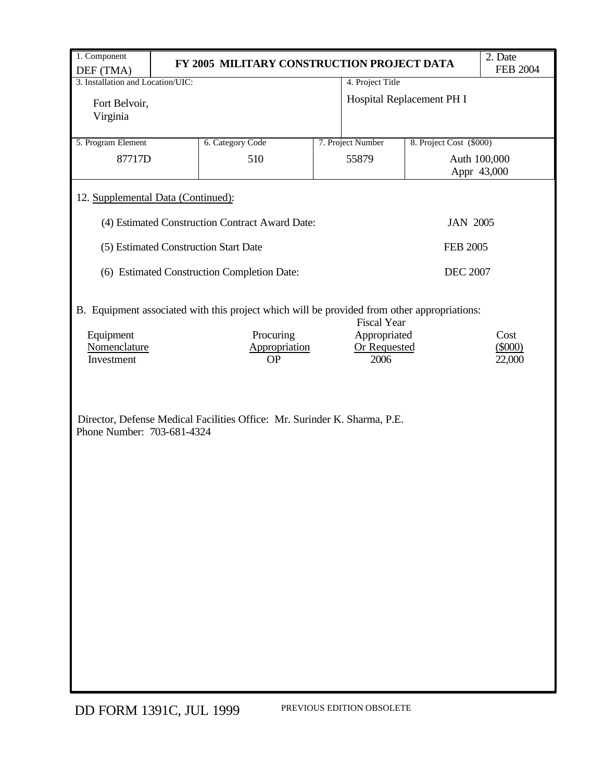| 1. Component                                                                                                      |                                                                           |                                      |                           | 2. Date           |  |  |  |  |  |  |
|-------------------------------------------------------------------------------------------------------------------|---------------------------------------------------------------------------|--------------------------------------|---------------------------|-------------------|--|--|--|--|--|--|
| DEF (TMA)                                                                                                         | FY 2005 MILITARY CONSTRUCTION PROJECT DATA<br><b>FEB 2004</b>             |                                      |                           |                   |  |  |  |  |  |  |
| 3. Installation and Location/UIC:                                                                                 |                                                                           | 4. Project Title                     |                           |                   |  |  |  |  |  |  |
| Fort Belvoir,<br>Virginia                                                                                         |                                                                           |                                      | Hospital Replacement PH I |                   |  |  |  |  |  |  |
| 5. Program Element                                                                                                | 7. Project Number<br>8. Project Cost (\$000)<br>6. Category Code          |                                      |                           |                   |  |  |  |  |  |  |
| 87717D                                                                                                            | 510                                                                       | 55879<br>Auth 100,000<br>Appr 43,000 |                           |                   |  |  |  |  |  |  |
| 12. Supplemental Data (Continued):                                                                                |                                                                           |                                      |                           |                   |  |  |  |  |  |  |
| (4) Estimated Construction Contract Award Date:<br><b>JAN 2005</b>                                                |                                                                           |                                      |                           |                   |  |  |  |  |  |  |
|                                                                                                                   | (5) Estimated Construction Start Date                                     |                                      | <b>FEB 2005</b>           |                   |  |  |  |  |  |  |
|                                                                                                                   | (6) Estimated Construction Completion Date:                               |                                      | <b>DEC 2007</b>           |                   |  |  |  |  |  |  |
| B. Equipment associated with this project which will be provided from other appropriations:<br><b>Fiscal Year</b> |                                                                           |                                      |                           |                   |  |  |  |  |  |  |
| Equipment<br>Nomenclature                                                                                         | Procuring<br>Appropriation                                                | Appropriated<br><b>Or Requested</b>  |                           | Cost<br>$(\$000)$ |  |  |  |  |  |  |
| Investment                                                                                                        | <b>OP</b>                                                                 | 2006                                 |                           | 22,000            |  |  |  |  |  |  |
| Phone Number: 703-681-4324                                                                                        | Director, Defense Medical Facilities Office: Mr. Surinder K. Sharma, P.E. |                                      |                           |                   |  |  |  |  |  |  |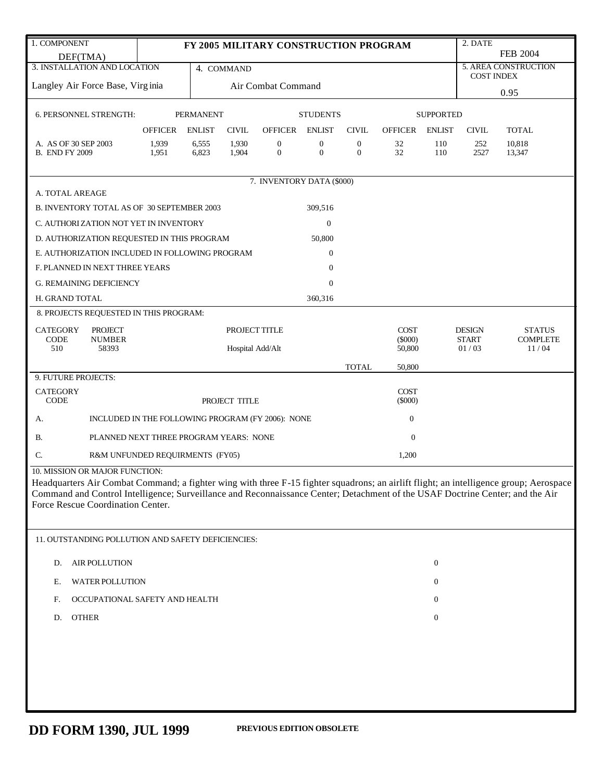| 1. COMPONENT                                                                                                                                                       |                                                   | 2. DATE<br>FY 2005 MILITARY CONSTRUCTION PROGRAM |                  |                                  |                                  |                                  |                  |                  |                   |                      |  |
|--------------------------------------------------------------------------------------------------------------------------------------------------------------------|---------------------------------------------------|--------------------------------------------------|------------------|----------------------------------|----------------------------------|----------------------------------|------------------|------------------|-------------------|----------------------|--|
| DEF(TMA)                                                                                                                                                           |                                                   |                                                  |                  |                                  |                                  |                                  |                  |                  |                   | <b>FEB 2004</b>      |  |
| 3. INSTALLATION AND LOCATION                                                                                                                                       |                                                   |                                                  | 4. COMMAND       |                                  |                                  |                                  |                  |                  | <b>COST INDEX</b> | 5. AREA CONSTRUCTION |  |
| Langley Air Force Base, Virginia                                                                                                                                   |                                                   |                                                  |                  | Air Combat Command               |                                  |                                  |                  |                  | 0.95              |                      |  |
|                                                                                                                                                                    |                                                   |                                                  |                  |                                  |                                  |                                  |                  |                  |                   |                      |  |
| 6. PERSONNEL STRENGTH:                                                                                                                                             |                                                   | <b>PERMANENT</b>                                 |                  |                                  | <b>STUDENTS</b>                  |                                  |                  | <b>SUPPORTED</b> |                   |                      |  |
|                                                                                                                                                                    | <b>OFFICER</b>                                    | <b>ENLIST</b>                                    | <b>CIVIL</b>     | <b>OFFICER</b>                   | <b>ENLIST</b>                    | <b>CIVIL</b>                     | <b>OFFICER</b>   | <b>ENLIST</b>    | <b>CIVIL</b>      | <b>TOTAL</b>         |  |
| A. AS OF 30 SEP 2003<br><b>B. END FY 2009</b>                                                                                                                      | 1,939<br>1,951                                    | 6,555<br>6,823                                   | 1,930<br>1,904   | $\boldsymbol{0}$<br>$\mathbf{0}$ | $\boldsymbol{0}$<br>$\mathbf{0}$ | $\mathbf{0}$<br>$\boldsymbol{0}$ | 32<br>32         | 110<br>110       | 252<br>2527       | 10,818<br>13,347     |  |
|                                                                                                                                                                    |                                                   |                                                  |                  |                                  |                                  |                                  |                  |                  |                   |                      |  |
|                                                                                                                                                                    |                                                   |                                                  |                  | 7. INVENTORY DATA (\$000)        |                                  |                                  |                  |                  |                   |                      |  |
| A. TOTAL AREAGE                                                                                                                                                    |                                                   |                                                  |                  |                                  |                                  |                                  |                  |                  |                   |                      |  |
| B. INVENTORY TOTAL AS OF 30 SEPTEMBER 2003                                                                                                                         |                                                   |                                                  |                  |                                  | 309,516                          |                                  |                  |                  |                   |                      |  |
| C. AUTHORIZATION NOT YET IN INVENTORY                                                                                                                              |                                                   |                                                  |                  |                                  | $\mathbf{0}$                     |                                  |                  |                  |                   |                      |  |
| D. AUTHORIZATION REQUESTED IN THIS PROGRAM                                                                                                                         |                                                   |                                                  |                  |                                  | 50,800                           |                                  |                  |                  |                   |                      |  |
| E. AUTHORIZATION INCLUDED IN FOLLOWING PROGRAM                                                                                                                     |                                                   |                                                  |                  |                                  | $\overline{0}$                   |                                  |                  |                  |                   |                      |  |
| F. PLANNED IN NEXT THREE YEARS                                                                                                                                     |                                                   |                                                  |                  |                                  | $\overline{0}$                   |                                  |                  |                  |                   |                      |  |
| <b>G. REMAINING DEFICIENCY</b>                                                                                                                                     |                                                   |                                                  |                  |                                  | $\mathbf{0}$                     |                                  |                  |                  |                   |                      |  |
| H. GRAND TOTAL                                                                                                                                                     |                                                   |                                                  |                  |                                  | 360,316                          |                                  |                  |                  |                   |                      |  |
| 8. PROJECTS REQUESTED IN THIS PROGRAM:                                                                                                                             |                                                   |                                                  |                  |                                  |                                  |                                  |                  |                  |                   |                      |  |
| <b>CATEGORY</b><br><b>PROJECT</b>                                                                                                                                  |                                                   |                                                  | PROJECT TITLE    |                                  |                                  |                                  | <b>COST</b>      |                  | <b>DESIGN</b>     | <b>STATUS</b>        |  |
| <b>CODE</b><br><b>NUMBER</b>                                                                                                                                       |                                                   |                                                  |                  |                                  |                                  |                                  | $(\$000)$        |                  | <b>START</b>      | <b>COMPLETE</b>      |  |
| 510<br>58393                                                                                                                                                       |                                                   |                                                  | Hospital Add/Alt |                                  |                                  |                                  | 50,800           |                  | 01/03             | 11/04                |  |
| 9. FUTURE PROJECTS:                                                                                                                                                |                                                   |                                                  |                  |                                  |                                  | <b>TOTAL</b>                     | 50,800           |                  |                   |                      |  |
| <b>CATEGORY</b>                                                                                                                                                    |                                                   |                                                  |                  |                                  |                                  |                                  | <b>COST</b>      |                  |                   |                      |  |
| CODE                                                                                                                                                               |                                                   |                                                  | PROJECT TITLE    |                                  |                                  |                                  | $(\$000)$        |                  |                   |                      |  |
| А.                                                                                                                                                                 | INCLUDED IN THE FOLLOWING PROGRAM (FY 2006): NONE |                                                  |                  |                                  |                                  |                                  | $\boldsymbol{0}$ |                  |                   |                      |  |
| <b>B.</b>                                                                                                                                                          | PLANNED NEXT THREE PROGRAM YEARS: NONE            |                                                  |                  |                                  |                                  |                                  | $\mathbf{0}$     |                  |                   |                      |  |
| C.                                                                                                                                                                 | R&M UNFUNDED REQUIRMENTS (FY05)                   |                                                  |                  |                                  |                                  |                                  | 1,200            |                  |                   |                      |  |
| 10. MISSION OR MAJOR FUNCTION:                                                                                                                                     |                                                   |                                                  |                  |                                  |                                  |                                  |                  |                  |                   |                      |  |
| Headquarters Air Combat Command; a fighter wing with three F-15 fighter squadrons; an airlift flight; an intelligence group; Aerospace                             |                                                   |                                                  |                  |                                  |                                  |                                  |                  |                  |                   |                      |  |
| Command and Control Intelligence; Surveillance and Reconnaissance Center; Detachment of the USAF Doctrine Center; and the Air<br>Force Rescue Coordination Center. |                                                   |                                                  |                  |                                  |                                  |                                  |                  |                  |                   |                      |  |
|                                                                                                                                                                    |                                                   |                                                  |                  |                                  |                                  |                                  |                  |                  |                   |                      |  |
| 11. OUTSTANDING POLLUTION AND SAFETY DEFICIENCIES:                                                                                                                 |                                                   |                                                  |                  |                                  |                                  |                                  |                  |                  |                   |                      |  |
| <b>AIR POLLUTION</b><br>D.                                                                                                                                         |                                                   |                                                  |                  |                                  |                                  |                                  |                  | $\boldsymbol{0}$ |                   |                      |  |
|                                                                                                                                                                    |                                                   |                                                  |                  |                                  |                                  |                                  |                  |                  |                   |                      |  |
| <b>WATER POLLUTION</b><br>Е.                                                                                                                                       |                                                   |                                                  |                  |                                  |                                  |                                  |                  | 0                |                   |                      |  |
| OCCUPATIONAL SAFETY AND HEALTH<br>F.                                                                                                                               |                                                   |                                                  |                  |                                  |                                  |                                  |                  | $\boldsymbol{0}$ |                   |                      |  |
| <b>OTHER</b><br>D.                                                                                                                                                 |                                                   |                                                  |                  |                                  |                                  |                                  |                  | $\boldsymbol{0}$ |                   |                      |  |
|                                                                                                                                                                    |                                                   |                                                  |                  |                                  |                                  |                                  |                  |                  |                   |                      |  |
|                                                                                                                                                                    |                                                   |                                                  |                  |                                  |                                  |                                  |                  |                  |                   |                      |  |
|                                                                                                                                                                    |                                                   |                                                  |                  |                                  |                                  |                                  |                  |                  |                   |                      |  |
|                                                                                                                                                                    |                                                   |                                                  |                  |                                  |                                  |                                  |                  |                  |                   |                      |  |
|                                                                                                                                                                    |                                                   |                                                  |                  |                                  |                                  |                                  |                  |                  |                   |                      |  |
|                                                                                                                                                                    |                                                   |                                                  |                  |                                  |                                  |                                  |                  |                  |                   |                      |  |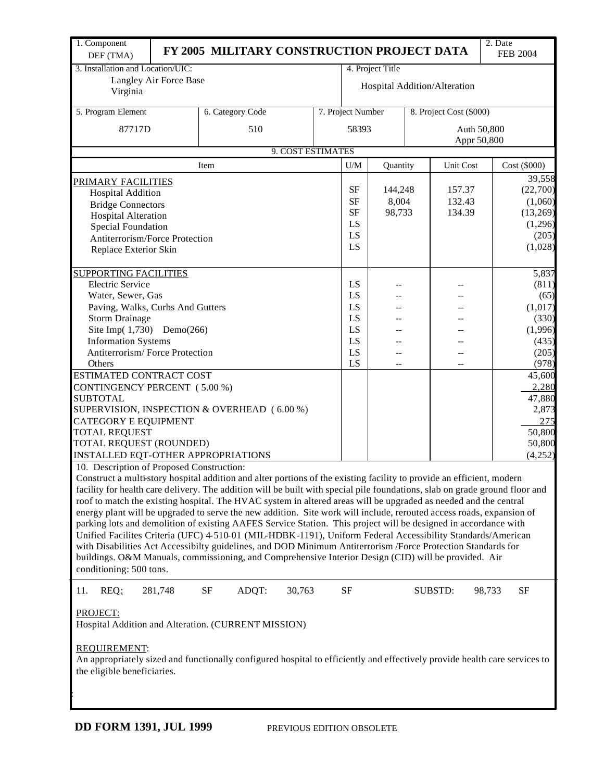| 1. Component<br>DEF (TMA)                                                                                                                                                                                     |                                                                                                                                                                                                                                                                                                                                                                                                                                                                                                                                                                                                                                                                                                                                                                                                                                                                                                                                                                                                                                    | FY 2005 MILITARY CONSTRUCTION PROJECT DATA |                   |  |                   |                              |  |                         |        | 2. Date                    | <b>FEB 2004</b> |  |
|---------------------------------------------------------------------------------------------------------------------------------------------------------------------------------------------------------------|------------------------------------------------------------------------------------------------------------------------------------------------------------------------------------------------------------------------------------------------------------------------------------------------------------------------------------------------------------------------------------------------------------------------------------------------------------------------------------------------------------------------------------------------------------------------------------------------------------------------------------------------------------------------------------------------------------------------------------------------------------------------------------------------------------------------------------------------------------------------------------------------------------------------------------------------------------------------------------------------------------------------------------|--------------------------------------------|-------------------|--|-------------------|------------------------------|--|-------------------------|--------|----------------------------|-----------------|--|
| 3. Installation and Location/UIC:                                                                                                                                                                             |                                                                                                                                                                                                                                                                                                                                                                                                                                                                                                                                                                                                                                                                                                                                                                                                                                                                                                                                                                                                                                    |                                            |                   |  |                   | 4. Project Title             |  |                         |        |                            |                 |  |
|                                                                                                                                                                                                               | Langley Air Force Base                                                                                                                                                                                                                                                                                                                                                                                                                                                                                                                                                                                                                                                                                                                                                                                                                                                                                                                                                                                                             |                                            |                   |  |                   |                              |  |                         |        |                            |                 |  |
| Virginia                                                                                                                                                                                                      |                                                                                                                                                                                                                                                                                                                                                                                                                                                                                                                                                                                                                                                                                                                                                                                                                                                                                                                                                                                                                                    |                                            |                   |  |                   | Hospital Addition/Alteration |  |                         |        |                            |                 |  |
| 5. Program Element                                                                                                                                                                                            |                                                                                                                                                                                                                                                                                                                                                                                                                                                                                                                                                                                                                                                                                                                                                                                                                                                                                                                                                                                                                                    | 6. Category Code                           |                   |  | 7. Project Number |                              |  | 8. Project Cost (\$000) |        |                            |                 |  |
| 87717D                                                                                                                                                                                                        |                                                                                                                                                                                                                                                                                                                                                                                                                                                                                                                                                                                                                                                                                                                                                                                                                                                                                                                                                                                                                                    | 510                                        |                   |  |                   | 58393                        |  |                         |        | Auth 50,800<br>Appr 50,800 |                 |  |
|                                                                                                                                                                                                               |                                                                                                                                                                                                                                                                                                                                                                                                                                                                                                                                                                                                                                                                                                                                                                                                                                                                                                                                                                                                                                    |                                            | 9. COST ESTIMATES |  |                   |                              |  |                         |        |                            |                 |  |
|                                                                                                                                                                                                               |                                                                                                                                                                                                                                                                                                                                                                                                                                                                                                                                                                                                                                                                                                                                                                                                                                                                                                                                                                                                                                    | Item                                       |                   |  | U/M               | Quantity                     |  | <b>Unit Cost</b>        |        |                            | Cost (\$000)    |  |
|                                                                                                                                                                                                               |                                                                                                                                                                                                                                                                                                                                                                                                                                                                                                                                                                                                                                                                                                                                                                                                                                                                                                                                                                                                                                    |                                            |                   |  |                   |                              |  |                         |        |                            | 39,558          |  |
| PRIMARY FACILITIES                                                                                                                                                                                            |                                                                                                                                                                                                                                                                                                                                                                                                                                                                                                                                                                                                                                                                                                                                                                                                                                                                                                                                                                                                                                    |                                            |                   |  | SF                | 144,248                      |  | 157.37                  |        |                            | (22,700)        |  |
| <b>Hospital Addition</b>                                                                                                                                                                                      |                                                                                                                                                                                                                                                                                                                                                                                                                                                                                                                                                                                                                                                                                                                                                                                                                                                                                                                                                                                                                                    |                                            |                   |  | <b>SF</b>         | 8,004                        |  | 132.43                  |        |                            | (1,060)         |  |
| <b>Bridge Connectors</b>                                                                                                                                                                                      |                                                                                                                                                                                                                                                                                                                                                                                                                                                                                                                                                                                                                                                                                                                                                                                                                                                                                                                                                                                                                                    |                                            |                   |  | <b>SF</b>         | 98,733                       |  | 134.39                  |        |                            | (13,269)        |  |
| <b>Hospital Alteration</b>                                                                                                                                                                                    |                                                                                                                                                                                                                                                                                                                                                                                                                                                                                                                                                                                                                                                                                                                                                                                                                                                                                                                                                                                                                                    |                                            |                   |  | LS                |                              |  |                         |        |                            | (1,296)         |  |
| Special Foundation                                                                                                                                                                                            |                                                                                                                                                                                                                                                                                                                                                                                                                                                                                                                                                                                                                                                                                                                                                                                                                                                                                                                                                                                                                                    |                                            |                   |  |                   |                              |  |                         |        |                            |                 |  |
| Antiterrorism/Force Protection                                                                                                                                                                                |                                                                                                                                                                                                                                                                                                                                                                                                                                                                                                                                                                                                                                                                                                                                                                                                                                                                                                                                                                                                                                    |                                            |                   |  | LS                |                              |  |                         |        |                            | (205)           |  |
| Replace Exterior Skin                                                                                                                                                                                         |                                                                                                                                                                                                                                                                                                                                                                                                                                                                                                                                                                                                                                                                                                                                                                                                                                                                                                                                                                                                                                    |                                            |                   |  | LS                |                              |  |                         |        |                            | (1,028)         |  |
|                                                                                                                                                                                                               |                                                                                                                                                                                                                                                                                                                                                                                                                                                                                                                                                                                                                                                                                                                                                                                                                                                                                                                                                                                                                                    |                                            |                   |  |                   |                              |  |                         |        |                            |                 |  |
| <b>SUPPORTING FACILITIES</b>                                                                                                                                                                                  |                                                                                                                                                                                                                                                                                                                                                                                                                                                                                                                                                                                                                                                                                                                                                                                                                                                                                                                                                                                                                                    |                                            |                   |  |                   |                              |  |                         |        |                            | 5,837           |  |
| <b>Electric Service</b>                                                                                                                                                                                       |                                                                                                                                                                                                                                                                                                                                                                                                                                                                                                                                                                                                                                                                                                                                                                                                                                                                                                                                                                                                                                    |                                            |                   |  | LS                |                              |  |                         |        |                            | (811)           |  |
| Water, Sewer, Gas                                                                                                                                                                                             |                                                                                                                                                                                                                                                                                                                                                                                                                                                                                                                                                                                                                                                                                                                                                                                                                                                                                                                                                                                                                                    |                                            |                   |  | LS                |                              |  |                         |        |                            | (65)            |  |
| Paving, Walks, Curbs And Gutters                                                                                                                                                                              |                                                                                                                                                                                                                                                                                                                                                                                                                                                                                                                                                                                                                                                                                                                                                                                                                                                                                                                                                                                                                                    |                                            |                   |  | LS                |                              |  |                         |        |                            | (1,017)         |  |
| <b>Storm Drainage</b>                                                                                                                                                                                         |                                                                                                                                                                                                                                                                                                                                                                                                                                                                                                                                                                                                                                                                                                                                                                                                                                                                                                                                                                                                                                    |                                            |                   |  | LS                |                              |  |                         |        |                            | (330)           |  |
| Site Imp $(1,730)$                                                                                                                                                                                            | Demo(266)                                                                                                                                                                                                                                                                                                                                                                                                                                                                                                                                                                                                                                                                                                                                                                                                                                                                                                                                                                                                                          |                                            |                   |  | LS                |                              |  |                         |        |                            | (1,996)         |  |
| <b>Information Systems</b>                                                                                                                                                                                    |                                                                                                                                                                                                                                                                                                                                                                                                                                                                                                                                                                                                                                                                                                                                                                                                                                                                                                                                                                                                                                    |                                            |                   |  | LS                |                              |  |                         |        |                            | (435)           |  |
| Antiterrorism/Force Protection                                                                                                                                                                                |                                                                                                                                                                                                                                                                                                                                                                                                                                                                                                                                                                                                                                                                                                                                                                                                                                                                                                                                                                                                                                    |                                            |                   |  | LS                |                              |  |                         |        |                            | (205)           |  |
| Others                                                                                                                                                                                                        |                                                                                                                                                                                                                                                                                                                                                                                                                                                                                                                                                                                                                                                                                                                                                                                                                                                                                                                                                                                                                                    |                                            |                   |  | LS                | --                           |  | --                      |        |                            | (978)           |  |
| ESTIMATED CONTRACT COST                                                                                                                                                                                       |                                                                                                                                                                                                                                                                                                                                                                                                                                                                                                                                                                                                                                                                                                                                                                                                                                                                                                                                                                                                                                    |                                            |                   |  |                   |                              |  |                         |        |                            | 45,600          |  |
| CONTINGENCY PERCENT (5.00 %)                                                                                                                                                                                  |                                                                                                                                                                                                                                                                                                                                                                                                                                                                                                                                                                                                                                                                                                                                                                                                                                                                                                                                                                                                                                    |                                            |                   |  |                   |                              |  |                         |        |                            | 2,280           |  |
| <b>SUBTOTAL</b>                                                                                                                                                                                               |                                                                                                                                                                                                                                                                                                                                                                                                                                                                                                                                                                                                                                                                                                                                                                                                                                                                                                                                                                                                                                    |                                            |                   |  |                   |                              |  |                         |        |                            | 47,880          |  |
| SUPERVISION, INSPECTION & OVERHEAD (6.00 %)                                                                                                                                                                   |                                                                                                                                                                                                                                                                                                                                                                                                                                                                                                                                                                                                                                                                                                                                                                                                                                                                                                                                                                                                                                    |                                            |                   |  |                   |                              |  |                         |        |                            | 2,873           |  |
| <b>CATEGORY E EQUIPMENT</b>                                                                                                                                                                                   |                                                                                                                                                                                                                                                                                                                                                                                                                                                                                                                                                                                                                                                                                                                                                                                                                                                                                                                                                                                                                                    |                                            |                   |  |                   |                              |  |                         |        |                            | 275             |  |
| <b>TOTAL REQUEST</b>                                                                                                                                                                                          |                                                                                                                                                                                                                                                                                                                                                                                                                                                                                                                                                                                                                                                                                                                                                                                                                                                                                                                                                                                                                                    |                                            |                   |  |                   |                              |  |                         |        |                            | 50,800          |  |
| TOTAL REQUEST (ROUNDED)                                                                                                                                                                                       |                                                                                                                                                                                                                                                                                                                                                                                                                                                                                                                                                                                                                                                                                                                                                                                                                                                                                                                                                                                                                                    |                                            |                   |  |                   |                              |  |                         |        |                            | 50,800          |  |
| INSTALLED EQT-OTHER APPROPRIATIONS                                                                                                                                                                            |                                                                                                                                                                                                                                                                                                                                                                                                                                                                                                                                                                                                                                                                                                                                                                                                                                                                                                                                                                                                                                    |                                            |                   |  |                   |                              |  |                         |        |                            | (4,252)         |  |
|                                                                                                                                                                                                               |                                                                                                                                                                                                                                                                                                                                                                                                                                                                                                                                                                                                                                                                                                                                                                                                                                                                                                                                                                                                                                    |                                            |                   |  |                   |                              |  |                         |        |                            |                 |  |
|                                                                                                                                                                                                               | 10. Description of Proposed Construction:<br>Construct a multi-story hospital addition and alter portions of the existing facility to provide an efficient, modern<br>facility for health care delivery. The addition will be built with special pile foundations, slab on grade ground floor and<br>roof to match the existing hospital. The HVAC system in altered areas will be upgraded as needed and the central<br>energy plant will be upgraded to serve the new addition. Site work will include, rerouted access roads, expansion of<br>parking lots and demolition of existing AAFES Service Station. This project will be designed in accordance with<br>Unified Facilites Criteria (UFC) 4-510-01 (MIL-HDBK-1191), Uniform Federal Accessibility Standards/American<br>with Disabilities Act Accessibilty guidelines, and DOD Minimum Antiterrorism /Force Protection Standards for<br>buildings. O&M Manuals, commissioning, and Comprehensive Interior Design (CID) will be provided. Air<br>conditioning: 500 tons. |                                            |                   |  |                   |                              |  |                         |        |                            |                 |  |
| REQ:<br>11.                                                                                                                                                                                                   | 281,748                                                                                                                                                                                                                                                                                                                                                                                                                                                                                                                                                                                                                                                                                                                                                                                                                                                                                                                                                                                                                            | $\rm{SF}$<br>ADQT:                         | 30,763            |  | $\rm{SF}$         |                              |  | SUBSTD:                 | 98,733 |                            | <b>SF</b>       |  |
| PROJECT:<br>Hospital Addition and Alteration. (CURRENT MISSION)<br>REQUIREMENT:<br>An appropriately sized and functionally configured hospital to efficiently and effectively provide health care services to |                                                                                                                                                                                                                                                                                                                                                                                                                                                                                                                                                                                                                                                                                                                                                                                                                                                                                                                                                                                                                                    |                                            |                   |  |                   |                              |  |                         |        |                            |                 |  |
| the eligible beneficiaries.                                                                                                                                                                                   |                                                                                                                                                                                                                                                                                                                                                                                                                                                                                                                                                                                                                                                                                                                                                                                                                                                                                                                                                                                                                                    |                                            |                   |  |                   |                              |  |                         |        |                            |                 |  |

**DD FORM 1391, JUL 1999** PREVIOUS EDITION OBSOLETE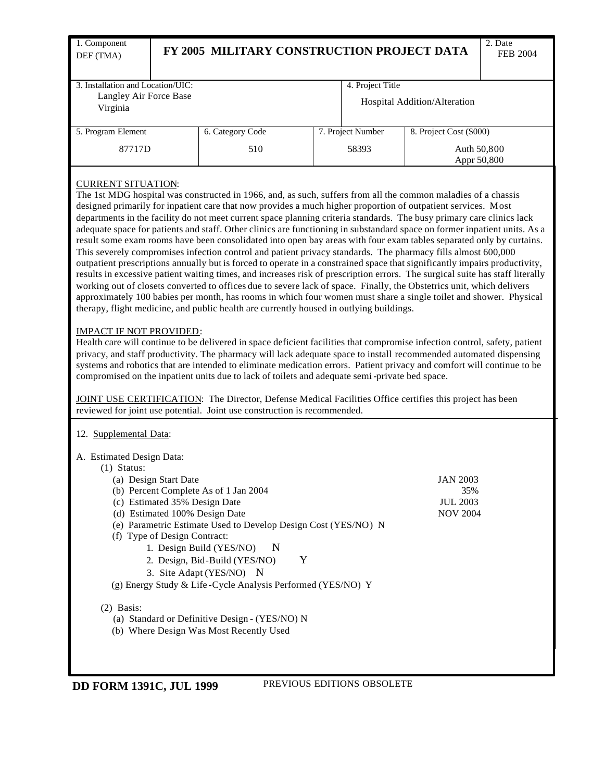| 1. Component<br>DEF (TMA)                                          |  | FY 2005 MILITARY CONSTRUCTION PROJECT DATA | 2. Date<br>FEB 2004 |                   |                            |  |  |
|--------------------------------------------------------------------|--|--------------------------------------------|---------------------|-------------------|----------------------------|--|--|
| 3. Installation and Location/UIC:                                  |  |                                            |                     | 4. Project Title  |                            |  |  |
| Langley Air Force Base<br>Hospital Addition/Alteration<br>Virginia |  |                                            |                     |                   |                            |  |  |
| 5. Program Element                                                 |  | 6. Category Code                           |                     | 7. Project Number | 8. Project Cost (\$000)    |  |  |
| 87717D                                                             |  | 510                                        |                     | 58393             | Auth 50,800<br>Appr 50,800 |  |  |

# CURRENT SITUATION:

The 1st MDG hospital was constructed in 1966, and, as such, suffers from all the common maladies of a chassis designed primarily for inpatient care that now provides a much higher proportion of outpatient services. Most departments in the facility do not meet current space planning criteria standards. The busy primary care clinics lack adequate space for patients and staff. Other clinics are functioning in substandard space on former inpatient units. As a result some exam rooms have been consolidated into open bay areas with four exam tables separated only by curtains. This severely compromises infection control and patient privacy standards. The pharmacy fills almost 600,000 outpatient prescriptions annually but is forced to operate in a constrained space that significantly impairs productivity, results in excessive patient waiting times, and increases risk of prescription errors. The surgical suite has staff literally working out of closets converted to offices due to severe lack of space. Finally, the Obstetrics unit, which delivers approximately 100 babies per month, has rooms in which four women must share a single toilet and shower. Physical therapy, flight medicine, and public health are currently housed in outlying buildings.

### IMPACT IF NOT PROVIDED:

Health care will continue to be delivered in space deficient facilities that compromise infection control, safety, patient privacy, and staff productivity. The pharmacy will lack adequate space to install recommended automated dispensing systems and robotics that are intended to eliminate medication errors. Patient privacy and comfort will continue to be compromised on the inpatient units due to lack of toilets and adequate semi -private bed space.

JOINT USE CERTIFICATION: The Director, Defense Medical Facilities Office certifies this project has been reviewed for joint use potential. Joint use construction is recommended.

### 12. Supplemental Data:

A. Estimated Design Data:

| Status:<br>$\left( \frac{1}{2} \right)$                        |                 |
|----------------------------------------------------------------|-----------------|
| (a) Design Start Date                                          | <b>JAN 2003</b> |
| (b) Percent Complete As of 1 Jan 2004                          | 35%             |
| (c) Estimated 35% Design Date                                  | <b>JUL 2003</b> |
| (d) Estimated 100% Design Date                                 | <b>NOV 2004</b> |
| (e) Parametric Estimate Used to Develop Design Cost (YES/NO) N |                 |
| (f) Type of Design Contract:                                   |                 |
| 1. Design Build (YES/NO)<br>- N                                |                 |
| 2. Design, Bid-Build (YES/NO)<br>Y                             |                 |
| 3. Site Adapt (YES/NO) N                                       |                 |
| (g) Energy Study & Life-Cycle Analysis Performed (YES/NO) Y    |                 |

### (2) Basis:

- (a) Standard or Definitive Design (YES/NO) N
- (b) Where Design Was Most Recently Used

**DD FORM 1391C, JUL 1999** PREVIOUS EDITIONS OBSOLETE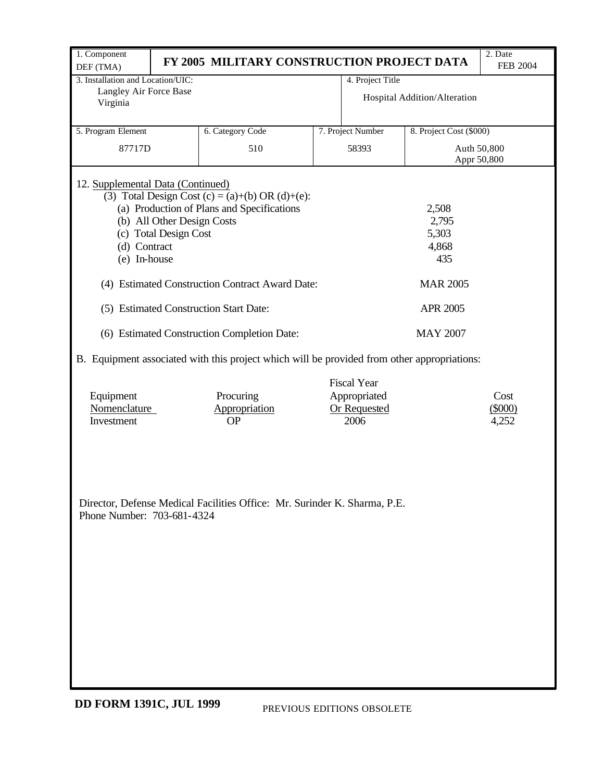| 1. Component                           |                                                                                             |                            |                              | 2. Date         |
|----------------------------------------|---------------------------------------------------------------------------------------------|----------------------------|------------------------------|-----------------|
| DEF (TMA)                              | FY 2005 MILITARY CONSTRUCTION PROJECT DATA                                                  |                            |                              | <b>FEB 2004</b> |
| 3. Installation and Location/UIC:      |                                                                                             | 4. Project Title           |                              |                 |
| Langley Air Force Base                 |                                                                                             |                            | Hospital Addition/Alteration |                 |
| Virginia                               |                                                                                             |                            |                              |                 |
|                                        |                                                                                             |                            |                              |                 |
| 5. Program Element                     | 6. Category Code                                                                            | 7. Project Number          | 8. Project Cost (\$000)      |                 |
| 87717D                                 | 510                                                                                         | 58393                      |                              | Auth 50,800     |
|                                        |                                                                                             |                            |                              | Appr 50,800     |
|                                        |                                                                                             |                            |                              |                 |
| 12. Supplemental Data (Continued)      |                                                                                             |                            |                              |                 |
|                                        | (3) Total Design Cost (c) = (a)+(b) OR (d)+(e):                                             |                            |                              |                 |
|                                        | (a) Production of Plans and Specifications                                                  |                            | 2,508                        |                 |
| (b) All Other Design Costs             |                                                                                             |                            | 2,795                        |                 |
| (c) Total Design Cost                  |                                                                                             |                            | 5,303                        |                 |
| (d) Contract                           |                                                                                             |                            | 4,868                        |                 |
| (e) In-house                           |                                                                                             |                            | 435                          |                 |
|                                        |                                                                                             |                            |                              |                 |
|                                        | (4) Estimated Construction Contract Award Date:                                             |                            | <b>MAR 2005</b>              |                 |
| (5) Estimated Construction Start Date: |                                                                                             |                            | APR 2005                     |                 |
|                                        | (6) Estimated Construction Completion Date:                                                 |                            | <b>MAY 2007</b>              |                 |
|                                        | B. Equipment associated with this project which will be provided from other appropriations: |                            |                              |                 |
|                                        |                                                                                             | <b>Fiscal Year</b>         |                              |                 |
| Equipment                              | Procuring                                                                                   | Appropriated               |                              | Cost            |
| Nomenclature                           | Appropriation                                                                               | Or Requested               |                              | $(\$000)$       |
| Investment                             | <b>OP</b>                                                                                   | 2006                       |                              | 4,252           |
|                                        |                                                                                             |                            |                              |                 |
|                                        |                                                                                             |                            |                              |                 |
|                                        |                                                                                             |                            |                              |                 |
|                                        |                                                                                             |                            |                              |                 |
|                                        |                                                                                             |                            |                              |                 |
|                                        | Director, Defense Medical Facilities Office: Mr. Surinder K. Sharma, P.E.                   |                            |                              |                 |
| Phone Number: 703-681-4324             |                                                                                             |                            |                              |                 |
|                                        |                                                                                             |                            |                              |                 |
|                                        |                                                                                             |                            |                              |                 |
|                                        |                                                                                             |                            |                              |                 |
|                                        |                                                                                             |                            |                              |                 |
|                                        |                                                                                             |                            |                              |                 |
|                                        |                                                                                             |                            |                              |                 |
|                                        |                                                                                             |                            |                              |                 |
|                                        |                                                                                             |                            |                              |                 |
|                                        |                                                                                             |                            |                              |                 |
|                                        |                                                                                             |                            |                              |                 |
|                                        |                                                                                             |                            |                              |                 |
|                                        |                                                                                             |                            |                              |                 |
|                                        |                                                                                             |                            |                              |                 |
| <b>DD FORM 1391C, JUL 1999</b>         |                                                                                             | PREVIOUS EDITIONS OBSOLETE |                              |                 |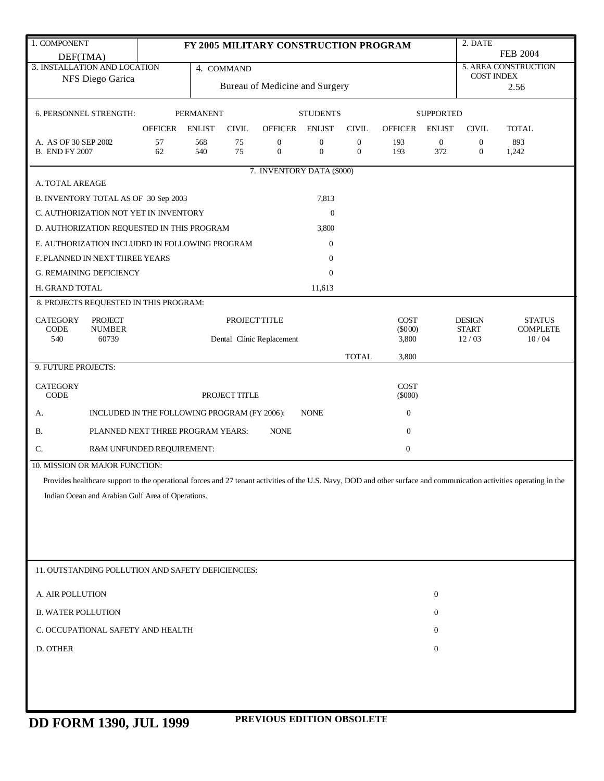| 1. COMPONENT                                                                                                                                                         |                                              |                  |               | FY 2005 MILITARY CONSTRUCTION PROGRAM |                                      |                                  |                  |                     | 2. DATE                          |                          |
|----------------------------------------------------------------------------------------------------------------------------------------------------------------------|----------------------------------------------|------------------|---------------|---------------------------------------|--------------------------------------|----------------------------------|------------------|---------------------|----------------------------------|--------------------------|
| DEF(TMA)                                                                                                                                                             |                                              |                  |               |                                       |                                      |                                  |                  |                     |                                  | <b>FEB 2004</b>          |
| 3. INSTALLATION AND LOCATION                                                                                                                                         |                                              |                  | 4. COMMAND    |                                       |                                      |                                  |                  |                     | <b>COST INDEX</b>                | 5. AREA CONSTRUCTION     |
| NFS Diego Garica                                                                                                                                                     |                                              |                  |               | Bureau of Medicine and Surgery        |                                      |                                  |                  |                     |                                  | 2.56                     |
|                                                                                                                                                                      |                                              |                  |               |                                       |                                      |                                  |                  |                     |                                  |                          |
| 6. PERSONNEL STRENGTH:                                                                                                                                               |                                              | <b>PERMANENT</b> |               |                                       | <b>STUDENTS</b>                      |                                  |                  | <b>SUPPORTED</b>    |                                  |                          |
|                                                                                                                                                                      | <b>OFFICER</b>                               | <b>ENLIST</b>    | <b>CIVIL</b>  | <b>OFFICER</b>                        | <b>ENLIST</b>                        | <b>CIVIL</b>                     | <b>OFFICER</b>   | <b>ENLIST</b>       | <b>CIVIL</b>                     | <b>TOTAL</b>             |
| A. AS OF 30 SEP 2002<br><b>B. END FY 2007</b>                                                                                                                        | 57<br>62                                     | 568<br>540       | 75<br>75      | $\boldsymbol{0}$<br>$\mathbf{0}$      | $\boldsymbol{0}$<br>$\boldsymbol{0}$ | $\boldsymbol{0}$<br>$\mathbf{0}$ | 193<br>193       | $\mathbf{0}$<br>372 | $\boldsymbol{0}$<br>$\mathbf{0}$ | 893<br>1,242             |
|                                                                                                                                                                      |                                              |                  |               | 7. INVENTORY DATA (\$000)             |                                      |                                  |                  |                     |                                  |                          |
| A. TOTAL AREAGE                                                                                                                                                      |                                              |                  |               |                                       |                                      |                                  |                  |                     |                                  |                          |
| B. INVENTORY TOTAL AS OF 30 Sep 2003                                                                                                                                 |                                              |                  |               |                                       | 7,813                                |                                  |                  |                     |                                  |                          |
| C. AUTHORIZATION NOT YET IN INVENTORY                                                                                                                                |                                              |                  |               |                                       | $\mathbf{0}$                         |                                  |                  |                     |                                  |                          |
| D. AUTHORIZATION REQUESTED IN THIS PROGRAM                                                                                                                           |                                              |                  |               |                                       | 3,800                                |                                  |                  |                     |                                  |                          |
| E. AUTHORIZATION INCLUDED IN FOLLOWING PROGRAM                                                                                                                       |                                              |                  |               |                                       | $\mathbf{0}$                         |                                  |                  |                     |                                  |                          |
| F. PLANNED IN NEXT THREE YEARS                                                                                                                                       |                                              |                  |               |                                       | $\mathbf{0}$                         |                                  |                  |                     |                                  |                          |
| <b>G. REMAINING DEFICIENCY</b>                                                                                                                                       |                                              |                  |               |                                       | $\mathbf{0}$                         |                                  |                  |                     |                                  |                          |
| H. GRAND TOTAL                                                                                                                                                       |                                              |                  |               |                                       | 11,613                               |                                  |                  |                     |                                  |                          |
| 8. PROJECTS REQUESTED IN THIS PROGRAM:                                                                                                                               |                                              |                  |               |                                       |                                      |                                  |                  |                     |                                  |                          |
| <b>CATEGORY</b><br><b>PROJECT</b>                                                                                                                                    |                                              |                  | PROJECT TITLE |                                       |                                      |                                  | <b>COST</b>      |                     | <b>DESIGN</b>                    | <b>STATUS</b>            |
| CODE<br><b>NUMBER</b><br>540<br>60739                                                                                                                                |                                              |                  |               | Dental Clinic Replacement             |                                      |                                  | (5000)<br>3,800  |                     | <b>START</b><br>12/03            | <b>COMPLETE</b><br>10/04 |
|                                                                                                                                                                      |                                              |                  |               |                                       |                                      | <b>TOTAL</b>                     | 3,800            |                     |                                  |                          |
| 9. FUTURE PROJECTS:                                                                                                                                                  |                                              |                  |               |                                       |                                      |                                  |                  |                     |                                  |                          |
| <b>CATEGORY</b>                                                                                                                                                      |                                              |                  |               |                                       |                                      |                                  | <b>COST</b>      |                     |                                  |                          |
| <b>CODE</b>                                                                                                                                                          |                                              |                  | PROJECT TITLE |                                       |                                      |                                  | $(\$000)$        |                     |                                  |                          |
| А.                                                                                                                                                                   | INCLUDED IN THE FOLLOWING PROGRAM (FY 2006): |                  |               |                                       | <b>NONE</b>                          |                                  | $\boldsymbol{0}$ |                     |                                  |                          |
| <b>B.</b>                                                                                                                                                            | PLANNED NEXT THREE PROGRAM YEARS:            |                  |               | <b>NONE</b>                           |                                      |                                  | $\boldsymbol{0}$ |                     |                                  |                          |
| C.                                                                                                                                                                   | R&M UNFUNDED REQUIREMENT:                    |                  |               |                                       |                                      |                                  | $\boldsymbol{0}$ |                     |                                  |                          |
| 10. MISSION OR MAJOR FUNCTION:                                                                                                                                       |                                              |                  |               |                                       |                                      |                                  |                  |                     |                                  |                          |
| Provides healthcare support to the operational forces and 27 tenant activities of the U.S. Navy, DOD and other surface and communication activities operating in the |                                              |                  |               |                                       |                                      |                                  |                  |                     |                                  |                          |
| Indian Ocean and Arabian Gulf Area of Operations.                                                                                                                    |                                              |                  |               |                                       |                                      |                                  |                  |                     |                                  |                          |
|                                                                                                                                                                      |                                              |                  |               |                                       |                                      |                                  |                  |                     |                                  |                          |
|                                                                                                                                                                      |                                              |                  |               |                                       |                                      |                                  |                  |                     |                                  |                          |
|                                                                                                                                                                      |                                              |                  |               |                                       |                                      |                                  |                  |                     |                                  |                          |
|                                                                                                                                                                      |                                              |                  |               |                                       |                                      |                                  |                  |                     |                                  |                          |
| 11. OUTSTANDING POLLUTION AND SAFETY DEFICIENCIES:                                                                                                                   |                                              |                  |               |                                       |                                      |                                  |                  |                     |                                  |                          |
|                                                                                                                                                                      |                                              |                  |               |                                       |                                      |                                  |                  |                     |                                  |                          |
| A. AIR POLLUTION                                                                                                                                                     |                                              |                  |               |                                       |                                      |                                  |                  | $\boldsymbol{0}$    |                                  |                          |
| <b>B. WATER POLLUTION</b>                                                                                                                                            |                                              |                  |               |                                       |                                      |                                  |                  | 0                   |                                  |                          |
| C. OCCUPATIONAL SAFETY AND HEALTH                                                                                                                                    |                                              |                  |               |                                       |                                      |                                  |                  | $\overline{0}$      |                                  |                          |
| D. OTHER                                                                                                                                                             |                                              |                  |               |                                       |                                      |                                  |                  | $\boldsymbol{0}$    |                                  |                          |
|                                                                                                                                                                      |                                              |                  |               |                                       |                                      |                                  |                  |                     |                                  |                          |
|                                                                                                                                                                      |                                              |                  |               |                                       |                                      |                                  |                  |                     |                                  |                          |
|                                                                                                                                                                      |                                              |                  |               |                                       |                                      |                                  |                  |                     |                                  |                          |
|                                                                                                                                                                      |                                              |                  |               |                                       |                                      |                                  |                  |                     |                                  |                          |

**PREVIOUS EDITION OBSOLETE DD FORM 1390, JUL 1999**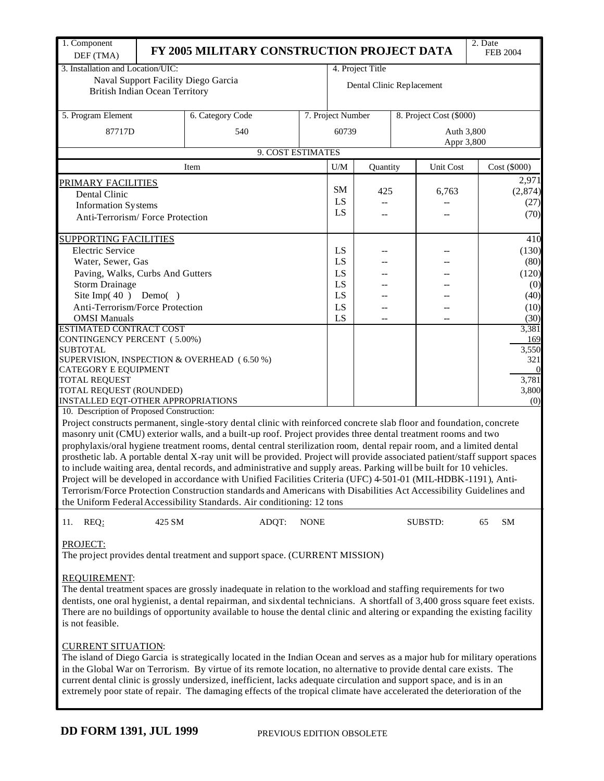| 1. Component<br>DEF (TMA)                          |        | FY 2005 MILITARY CONSTRUCTION PROJECT DATA                                                                                   |                   |           |                           |                          | 2. Date                 | <b>FEB 2004</b> |  |
|----------------------------------------------------|--------|------------------------------------------------------------------------------------------------------------------------------|-------------------|-----------|---------------------------|--------------------------|-------------------------|-----------------|--|
| 3. Installation and Location/UIC:                  |        |                                                                                                                              |                   |           | 4. Project Title          |                          |                         |                 |  |
|                                                    |        | Naval Support Facility Diego Garcia                                                                                          |                   |           |                           |                          |                         |                 |  |
| <b>British Indian Ocean Territory</b>              |        |                                                                                                                              |                   |           | Dental Clinic Replacement |                          |                         |                 |  |
|                                                    |        |                                                                                                                              |                   |           |                           |                          |                         |                 |  |
| 5. Program Element                                 |        | 6. Category Code                                                                                                             | 7. Project Number |           |                           |                          | 8. Project Cost (\$000) |                 |  |
|                                                    |        |                                                                                                                              |                   |           |                           |                          |                         |                 |  |
| 87717D                                             |        | 540                                                                                                                          |                   | 60739     |                           | Auth 3,800<br>Appr 3,800 |                         |                 |  |
|                                                    |        | 9. COST ESTIMATES                                                                                                            |                   |           |                           |                          |                         |                 |  |
|                                                    |        |                                                                                                                              |                   |           |                           |                          |                         |                 |  |
|                                                    |        | Item                                                                                                                         |                   | U/M       | Quantity                  | Unit Cost                |                         | Cost (\$000)    |  |
| <b>PRIMARY FACILITIES</b>                          |        |                                                                                                                              |                   | <b>SM</b> |                           |                          |                         | 2,971           |  |
| Dental Clinic                                      |        |                                                                                                                              |                   | LS        | 425                       | 6,763                    |                         | (2,874)         |  |
| <b>Information Systems</b>                         |        |                                                                                                                              |                   | LS        | $-$                       |                          |                         | (27)            |  |
| Anti-Terrorism/Force Protection                    |        |                                                                                                                              | --                |           |                           | (70)                     |                         |                 |  |
|                                                    |        |                                                                                                                              |                   |           |                           |                          |                         |                 |  |
| <b>SUPPORTING FACILITIES</b>                       |        |                                                                                                                              |                   |           |                           |                          |                         | 410             |  |
| <b>Electric Service</b>                            |        |                                                                                                                              |                   | LS        |                           |                          |                         | (130)           |  |
| Water, Sewer, Gas                                  |        |                                                                                                                              |                   | LS        |                           |                          |                         | (80)            |  |
| Paving, Walks, Curbs And Gutters                   |        |                                                                                                                              |                   | LS        |                           |                          |                         | (120)           |  |
| <b>Storm Drainage</b><br>Site Imp $(40)$ Demo $()$ |        |                                                                                                                              |                   | LS<br>LS  |                           |                          |                         | (0)<br>(40)     |  |
| Anti-Terrorism/Force Protection                    |        |                                                                                                                              |                   | LS        |                           |                          |                         | (10)            |  |
| <b>OMSI Manuals</b>                                |        |                                                                                                                              |                   | LS        | $-$                       |                          |                         | (30)            |  |
| <b>ESTIMATED CONTRACT COST</b>                     |        |                                                                                                                              |                   |           |                           |                          |                         | 3,381           |  |
| <b>CONTINGENCY PERCENT</b> (5.00%)                 |        |                                                                                                                              |                   |           |                           |                          |                         | 169             |  |
| <b>SUBTOTAL</b>                                    |        |                                                                                                                              |                   |           |                           |                          |                         | 3,550           |  |
|                                                    |        | SUPERVISION, INSPECTION & OVERHEAD (6.50 %)                                                                                  |                   |           |                           |                          |                         | 321             |  |
| CATEGORY E EQUIPMENT                               |        |                                                                                                                              |                   |           |                           |                          |                         | $\overline{0}$  |  |
| <b>TOTAL REQUEST</b><br>TOTAL REQUEST (ROUNDED)    |        |                                                                                                                              |                   |           |                           |                          |                         | 3,781<br>3,800  |  |
| INSTALLED EQT-OTHER APPROPRIATIONS                 |        |                                                                                                                              |                   |           |                           |                          |                         | (0)             |  |
| 10. Description of Proposed Construction:          |        |                                                                                                                              |                   |           |                           |                          |                         |                 |  |
|                                                    |        | Project constructs permanent, single-story dental clinic with reinforced concrete slab floor and foundation, concrete        |                   |           |                           |                          |                         |                 |  |
|                                                    |        | masonry unit (CMU) exterior walls, and a built-up roof. Project provides three dental treatment rooms and two                |                   |           |                           |                          |                         |                 |  |
|                                                    |        | prophylaxis/oral hygiene treatment rooms, dental central sterilization room, dental repair room, and a limited dental        |                   |           |                           |                          |                         |                 |  |
|                                                    |        | prosthetic lab. A portable dental X-ray unit will be provided. Project will provide associated patient/staff support spaces  |                   |           |                           |                          |                         |                 |  |
|                                                    |        | to include waiting area, dental records, and administrative and supply areas. Parking will be built for 10 vehicles.         |                   |           |                           |                          |                         |                 |  |
|                                                    |        | Project will be developed in accordance with Unified Facilities Criteria (UFC) 4-501-01 (MIL-HDBK-1191), Anti-               |                   |           |                           |                          |                         |                 |  |
|                                                    |        | Terrorism/Force Protection Construction standards and Americans with Disabilities Act Accessibility Guidelines and           |                   |           |                           |                          |                         |                 |  |
|                                                    |        | the Uniform Federal Accessibility Standards. Air conditioning: 12 tons                                                       |                   |           |                           |                          |                         |                 |  |
| REQ:<br>11.                                        | 425 SM | ADQT:                                                                                                                        | <b>NONE</b>       |           |                           | SUBSTD:                  | 65                      | SМ              |  |
|                                                    |        |                                                                                                                              |                   |           |                           |                          |                         |                 |  |
| PROJECT:                                           |        |                                                                                                                              |                   |           |                           |                          |                         |                 |  |
|                                                    |        | The project provides dental treatment and support space. (CURRENT MISSION)                                                   |                   |           |                           |                          |                         |                 |  |
|                                                    |        |                                                                                                                              |                   |           |                           |                          |                         |                 |  |
| REQUIREMENT:                                       |        | The dental treatment spaces are grossly inadequate in relation to the workload and staffing requirements for two             |                   |           |                           |                          |                         |                 |  |
|                                                    |        | dentists, one oral hygienist, a dental repairman, and six dental technicians. A shortfall of 3,400 gross square feet exists. |                   |           |                           |                          |                         |                 |  |
|                                                    |        | There are no buildings of opportunity available to house the dental clinic and altering or expanding the existing facility   |                   |           |                           |                          |                         |                 |  |
| is not feasible.                                   |        |                                                                                                                              |                   |           |                           |                          |                         |                 |  |
|                                                    |        |                                                                                                                              |                   |           |                           |                          |                         |                 |  |
| <b>CURRENT SITUATION:</b>                          |        |                                                                                                                              |                   |           |                           |                          |                         |                 |  |
|                                                    |        | The island of Diego Garcia is strategically located in the Indian Ocean and serves as a major hub for military operations    |                   |           |                           |                          |                         |                 |  |
|                                                    |        | in the Global War on Terrorism. By virtue of its remote location, no alternative to provide dental care exists. The          |                   |           |                           |                          |                         |                 |  |
|                                                    |        | current dental clinic is grossly undersized, inefficient, lacks adequate circulation and support space, and is in an         |                   |           |                           |                          |                         |                 |  |

extremely poor state of repair. The damaging effects of the tropical climate have accelerated the deterioration of the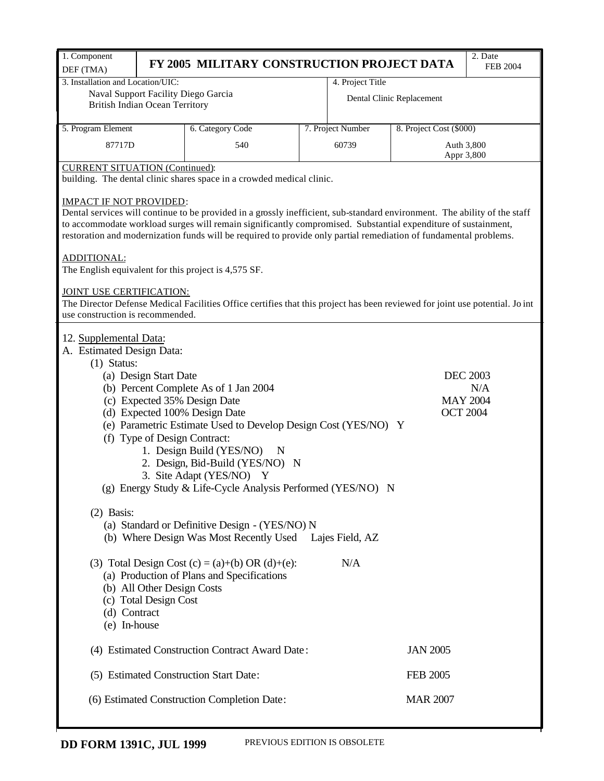| 1. Component<br>DEF (TMA)                            | FY 2005 MILITARY CONSTRUCTION PROJECT DATA                                                                                   |                   |                           | 2. Date<br><b>FEB 2004</b> |
|------------------------------------------------------|------------------------------------------------------------------------------------------------------------------------------|-------------------|---------------------------|----------------------------|
| 3. Installation and Location/UIC:                    |                                                                                                                              | 4. Project Title  |                           |                            |
| Naval Support Facility Diego Garcia                  |                                                                                                                              |                   | Dental Clinic Replacement |                            |
| <b>British Indian Ocean Territory</b>                |                                                                                                                              |                   |                           |                            |
| 5. Program Element                                   | 6. Category Code                                                                                                             | 7. Project Number | 8. Project Cost (\$000)   |                            |
|                                                      |                                                                                                                              |                   |                           |                            |
| 87717D                                               | 540                                                                                                                          | 60739             |                           | Auth 3,800<br>Appr 3,800   |
| <b>CURRENT SITUATION (Continued):</b>                | building. The dental clinic shares space in a crowded medical clinic.                                                        |                   |                           |                            |
| <b>IMPACT IF NOT PROVIDED:</b>                       |                                                                                                                              |                   |                           |                            |
|                                                      | Dental services will continue to be provided in a grossly inefficient, sub-standard environment. The ability of the staff    |                   |                           |                            |
|                                                      | to accommodate workload surges will remain significantly compromised. Substantial expenditure of sustainment,                |                   |                           |                            |
|                                                      | restoration and modernization funds will be required to provide only partial remediation of fundamental problems.            |                   |                           |                            |
| ADDITIONAL:                                          |                                                                                                                              |                   |                           |                            |
| The English equivalent for this project is 4,575 SF. |                                                                                                                              |                   |                           |                            |
| JOINT USE CERTIFICATION:                             |                                                                                                                              |                   |                           |                            |
|                                                      | The Director Defense Medical Facilities Office certifies that this project has been reviewed for joint use potential. Jo int |                   |                           |                            |
| use construction is recommended.                     |                                                                                                                              |                   |                           |                            |
| 12. Supplemental Data:                               |                                                                                                                              |                   |                           |                            |
| A. Estimated Design Data:                            |                                                                                                                              |                   |                           |                            |
| $(1)$ Status:                                        |                                                                                                                              |                   |                           |                            |
| (a) Design Start Date                                |                                                                                                                              |                   |                           | <b>DEC 2003</b>            |
|                                                      | (b) Percent Complete As of 1 Jan 2004                                                                                        |                   |                           | N/A                        |
|                                                      | (c) Expected 35% Design Date                                                                                                 |                   |                           | <b>MAY 2004</b>            |
|                                                      | (d) Expected 100% Design Date                                                                                                |                   | <b>OCT 2004</b>           |                            |
|                                                      | (e) Parametric Estimate Used to Develop Design Cost (YES/NO) Y                                                               |                   |                           |                            |
|                                                      | (f) Type of Design Contract:                                                                                                 |                   |                           |                            |
|                                                      | 1. Design Build (YES/NO)<br>N<br>2. Design, Bid-Build (YES/NO) N                                                             |                   |                           |                            |
|                                                      | 3. Site Adapt (YES/NO) Y                                                                                                     |                   |                           |                            |
|                                                      | (g) Energy Study & Life-Cycle Analysis Performed (YES/NO) N                                                                  |                   |                           |                            |
|                                                      |                                                                                                                              |                   |                           |                            |
| $(2)$ Basis:                                         |                                                                                                                              |                   |                           |                            |
|                                                      | (a) Standard or Definitive Design - (YES/NO) N                                                                               |                   |                           |                            |
|                                                      | (b) Where Design Was Most Recently Used Lajes Field, AZ                                                                      |                   |                           |                            |
|                                                      |                                                                                                                              |                   |                           |                            |
|                                                      | (3) Total Design Cost (c) = (a)+(b) OR (d)+(e):                                                                              | N/A               |                           |                            |
|                                                      | (a) Production of Plans and Specifications                                                                                   |                   |                           |                            |
| (b) All Other Design Costs<br>(c) Total Design Cost  |                                                                                                                              |                   |                           |                            |
| (d) Contract                                         |                                                                                                                              |                   |                           |                            |
| (e) In-house                                         |                                                                                                                              |                   |                           |                            |
|                                                      |                                                                                                                              |                   |                           |                            |
|                                                      | (4) Estimated Construction Contract Award Date:                                                                              |                   | <b>JAN 2005</b>           |                            |
|                                                      | (5) Estimated Construction Start Date:                                                                                       |                   | <b>FEB 2005</b>           |                            |
|                                                      | (6) Estimated Construction Completion Date:                                                                                  |                   | <b>MAR 2007</b>           |                            |
|                                                      |                                                                                                                              |                   |                           |                            |
|                                                      |                                                                                                                              |                   |                           |                            |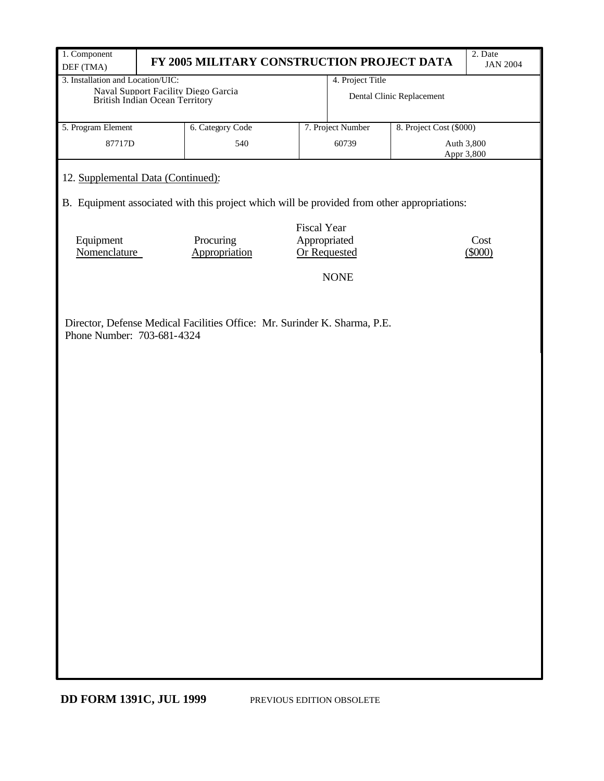| 1. Component                                                                                | FY 2005 MILITARY CONSTRUCTION PROJECT DATA |                                     |                   |                           | 2. Date<br><b>JAN 2004</b> |  |  |  |  |
|---------------------------------------------------------------------------------------------|--------------------------------------------|-------------------------------------|-------------------|---------------------------|----------------------------|--|--|--|--|
| DEF (TMA)<br>3. Installation and Location/UIC:                                              |                                            |                                     | 4. Project Title  |                           |                            |  |  |  |  |
| Naval Support Facility Diego Garcia<br><b>British Indian Ocean Territory</b>                |                                            |                                     |                   | Dental Clinic Replacement |                            |  |  |  |  |
| 5. Program Element                                                                          | 6. Category Code                           |                                     | 7. Project Number | 8. Project Cost (\$000)   |                            |  |  |  |  |
| 87717D                                                                                      | 540                                        |                                     | 60739             | Auth 3,800<br>Appr 3,800  |                            |  |  |  |  |
| 12. Supplemental Data (Continued):                                                          |                                            |                                     |                   |                           |                            |  |  |  |  |
| B. Equipment associated with this project which will be provided from other appropriations: |                                            |                                     |                   |                           |                            |  |  |  |  |
|                                                                                             |                                            | <b>Fiscal Year</b>                  |                   |                           |                            |  |  |  |  |
| Equipment<br>Nomenclature                                                                   | Procuring<br>Appropriation                 | Appropriated<br><b>Or Requested</b> | Cost<br>$(\$000)$ |                           |                            |  |  |  |  |
|                                                                                             |                                            |                                     | <b>NONE</b>       |                           |                            |  |  |  |  |
| Phone Number: 703-681-4324                                                                  |                                            |                                     |                   |                           |                            |  |  |  |  |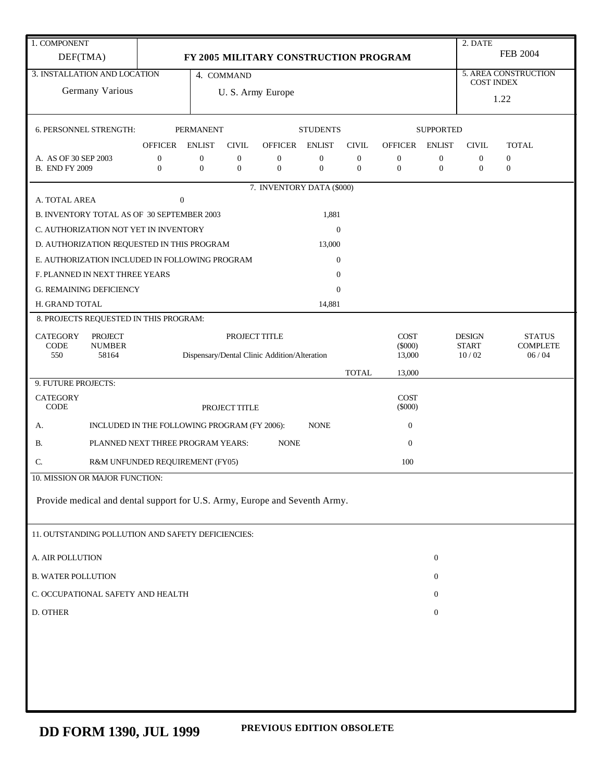| 1. COMPONENT                                                               |                                              |                                              |                       |                                       |                  |                  |                          |                  | 2. DATE           |                      |
|----------------------------------------------------------------------------|----------------------------------------------|----------------------------------------------|-----------------------|---------------------------------------|------------------|------------------|--------------------------|------------------|-------------------|----------------------|
| DEF(TMA)                                                                   |                                              |                                              |                       | FY 2005 MILITARY CONSTRUCTION PROGRAM |                  |                  |                          |                  |                   | <b>FEB 2004</b>      |
| 3. INSTALLATION AND LOCATION                                               |                                              |                                              | 4. COMMAND            |                                       |                  |                  |                          |                  | <b>COST INDEX</b> | 5. AREA CONSTRUCTION |
| Germany Various                                                            |                                              |                                              |                       | U.S. Army Europe                      |                  |                  |                          |                  |                   | 1.22                 |
|                                                                            |                                              |                                              |                       |                                       |                  |                  |                          |                  |                   |                      |
| 6. PERSONNEL STRENGTH:                                                     |                                              | <b>PERMANENT</b>                             |                       |                                       | <b>STUDENTS</b>  |                  |                          | <b>SUPPORTED</b> |                   |                      |
|                                                                            | OFFICER                                      | <b>ENLIST</b>                                | <b>CIVIL</b>          | OFFICER ENLIST                        |                  | <b>CIVIL</b>     | OFFICER                  | <b>ENLIST</b>    | <b>CIVIL</b>      | <b>TOTAL</b>         |
| A. AS OF 30 SEP 2003                                                       | $\boldsymbol{0}$                             | $\boldsymbol{0}$                             | $\boldsymbol{0}$      | $\boldsymbol{0}$                      | $\boldsymbol{0}$ | $\boldsymbol{0}$ | $\boldsymbol{0}$         | 0                | $\mathbf{0}$      | $\boldsymbol{0}$     |
| <b>B. END FY 2009</b>                                                      | $\overline{0}$                               | $\mathbf{0}$                                 | $\mathbf{0}$          | $\mathbf{0}$                          | $\overline{0}$   | $\mathbf{0}$     | $\boldsymbol{0}$         | $\boldsymbol{0}$ | $\overline{0}$    | $\mathbf{0}$         |
| A. TOTAL AREA                                                              | $\boldsymbol{0}$                             |                                              |                       | 7. INVENTORY DATA (\$000)             |                  |                  |                          |                  |                   |                      |
| B. INVENTORY TOTAL AS OF 30 SEPTEMBER 2003                                 |                                              |                                              |                       |                                       | 1,881            |                  |                          |                  |                   |                      |
| C. AUTHORIZATION NOT YET IN INVENTORY                                      |                                              |                                              |                       |                                       | $\mathbf{0}$     |                  |                          |                  |                   |                      |
| D. AUTHORIZATION REQUESTED IN THIS PROGRAM                                 |                                              |                                              |                       |                                       | 13,000           |                  |                          |                  |                   |                      |
| E. AUTHORIZATION INCLUDED IN FOLLOWING PROGRAM                             |                                              |                                              |                       |                                       | $\boldsymbol{0}$ |                  |                          |                  |                   |                      |
| F. PLANNED IN NEXT THREE YEARS                                             |                                              |                                              |                       |                                       | $\overline{0}$   |                  |                          |                  |                   |                      |
| <b>G. REMAINING DEFICIENCY</b>                                             |                                              |                                              |                       |                                       | $\Omega$         |                  |                          |                  |                   |                      |
| H. GRAND TOTAL                                                             |                                              |                                              |                       |                                       | 14,881           |                  |                          |                  |                   |                      |
| 8. PROJECTS REQUESTED IN THIS PROGRAM:                                     |                                              |                                              |                       |                                       |                  |                  |                          |                  |                   |                      |
| <b>CATEGORY</b><br><b>PROJECT</b>                                          |                                              |                                              | PROJECT TITLE         |                                       |                  |                  | <b>COST</b><br>$(\$000)$ |                  | <b>DESIGN</b>     | <b>STATUS</b>        |
| CODE<br><b>NUMBER</b><br>550<br>58164                                      |                                              | Dispensary/Dental Clinic Addition/Alteration | <b>START</b><br>10/02 | <b>COMPLETE</b><br>06/04              |                  |                  |                          |                  |                   |                      |
|                                                                            |                                              |                                              |                       |                                       |                  | <b>TOTAL</b>     | 13,000                   |                  |                   |                      |
| 9. FUTURE PROJECTS:                                                        |                                              |                                              |                       |                                       |                  |                  |                          |                  |                   |                      |
| <b>CATEGORY</b><br><b>CODE</b>                                             |                                              |                                              | PROJECT TITLE         |                                       |                  |                  | <b>COST</b><br>$(\$000)$ |                  |                   |                      |
|                                                                            |                                              |                                              |                       |                                       | <b>NONE</b>      |                  | $\boldsymbol{0}$         |                  |                   |                      |
| А.                                                                         | INCLUDED IN THE FOLLOWING PROGRAM (FY 2006): |                                              |                       | <b>NONE</b>                           |                  |                  |                          |                  |                   |                      |
| В.                                                                         | PLANNED NEXT THREE PROGRAM YEARS:            |                                              |                       |                                       |                  |                  | $\boldsymbol{0}$         |                  |                   |                      |
| C.                                                                         | R&M UNFUNDED REQUIREMENT (FY05)              |                                              |                       |                                       |                  |                  | 100                      |                  |                   |                      |
| 10. MISSION OR MAJOR FUNCTION:                                             |                                              |                                              |                       |                                       |                  |                  |                          |                  |                   |                      |
| Provide medical and dental support for U.S. Army, Europe and Seventh Army. |                                              |                                              |                       |                                       |                  |                  |                          |                  |                   |                      |
|                                                                            |                                              |                                              |                       |                                       |                  |                  |                          |                  |                   |                      |
| 11. OUTSTANDING POLLUTION AND SAFETY DEFICIENCIES:                         |                                              |                                              |                       |                                       |                  |                  |                          |                  |                   |                      |
| A. AIR POLLUTION                                                           |                                              |                                              |                       |                                       |                  |                  |                          | $\boldsymbol{0}$ |                   |                      |
| <b>B. WATER POLLUTION</b>                                                  |                                              |                                              |                       |                                       |                  |                  |                          | 0                |                   |                      |
| C. OCCUPATIONAL SAFETY AND HEALTH                                          |                                              |                                              |                       |                                       |                  |                  |                          | $\mathbf{0}$     |                   |                      |
| D. OTHER                                                                   |                                              |                                              |                       |                                       |                  |                  |                          | $\boldsymbol{0}$ |                   |                      |
|                                                                            |                                              |                                              |                       |                                       |                  |                  |                          |                  |                   |                      |
|                                                                            |                                              |                                              |                       |                                       |                  |                  |                          |                  |                   |                      |
|                                                                            |                                              |                                              |                       |                                       |                  |                  |                          |                  |                   |                      |
|                                                                            |                                              |                                              |                       |                                       |                  |                  |                          |                  |                   |                      |
|                                                                            |                                              |                                              |                       |                                       |                  |                  |                          |                  |                   |                      |
|                                                                            |                                              |                                              |                       |                                       |                  |                  |                          |                  |                   |                      |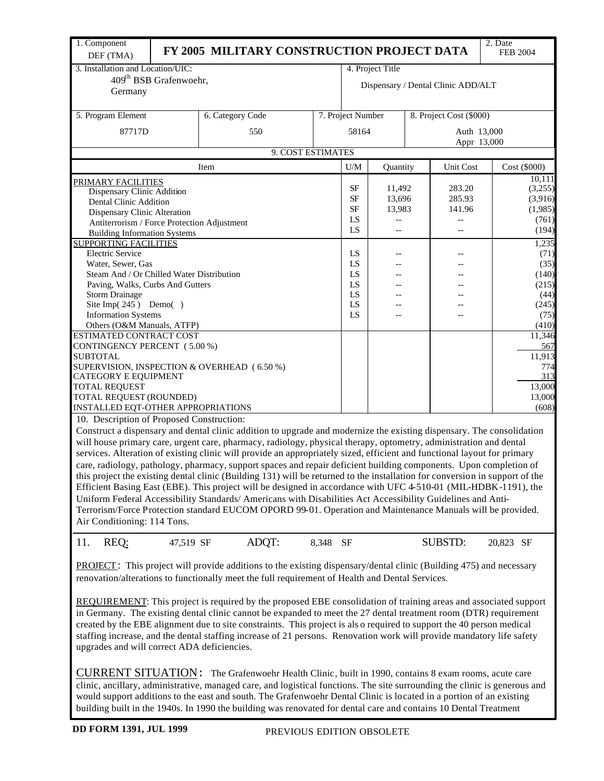| 1. Component<br>DEF (TMA)                                                                                                    | FY 2005 MILITARY CONSTRUCTION PROJECT DATA |          |                   |                  |                                    | 2. Date<br><b>FEB 2004</b> |
|------------------------------------------------------------------------------------------------------------------------------|--------------------------------------------|----------|-------------------|------------------|------------------------------------|----------------------------|
| 3. Installation and Location/UIC:                                                                                            |                                            |          |                   | 4. Project Title |                                    |                            |
| 409 <sup>th</sup> BSB Grafenwoehr,                                                                                           |                                            |          |                   |                  |                                    |                            |
| Germany                                                                                                                      |                                            |          |                   |                  | Dispensary / Dental Clinic ADD/ALT |                            |
|                                                                                                                              |                                            |          |                   |                  |                                    |                            |
| 5. Program Element                                                                                                           | 6. Category Code                           |          | 7. Project Number |                  | 8. Project Cost (\$000)            |                            |
| 87717D                                                                                                                       | 550                                        |          | 58164             |                  | Auth 13,000                        |                            |
|                                                                                                                              | 9. COST ESTIMATES                          |          |                   |                  |                                    | Appr 13,000                |
|                                                                                                                              |                                            |          |                   |                  |                                    |                            |
|                                                                                                                              | Item                                       |          | U/M               | Quantity         | Unit Cost                          | Cost (\$000)               |
| PRIMARY FACILITIES                                                                                                           |                                            |          |                   |                  |                                    | 10,111                     |
| Dispensary Clinic Addition                                                                                                   |                                            |          | SF                | 11,492           | 283.20                             | (3,255)                    |
| Dental Clinic Addition                                                                                                       |                                            |          | <b>SF</b>         | 13,696           | 285.93                             | (3,916)                    |
| Dispensary Clinic Alteration                                                                                                 |                                            |          | <b>SF</b>         | 13,983           | 141.96                             | (1,985)                    |
| Antiterrorism / Force Protection Adjustment                                                                                  |                                            | LS       | $-$               |                  | (761)                              |                            |
| <b>Building Information Systems</b>                                                                                          |                                            |          | LS                | $-\, -$          |                                    | (194)                      |
| <b>SUPPORTING FACILITIES</b>                                                                                                 |                                            |          |                   |                  |                                    | 1,235                      |
| <b>Electric Service</b>                                                                                                      |                                            |          | LS                |                  |                                    | (71)                       |
| Water, Sewer, Gas                                                                                                            |                                            |          | LS                |                  |                                    | (35)                       |
| Steam And / Or Chilled Water Distribution                                                                                    |                                            |          | LS                |                  |                                    | (140)                      |
| Paving, Walks, Curbs And Gutters                                                                                             |                                            |          | LS                |                  |                                    | (215)                      |
| <b>Storm Drainage</b>                                                                                                        |                                            |          | LS                |                  |                                    | (44)                       |
| Site Imp(245) Demo()                                                                                                         |                                            |          | LS                |                  |                                    | (245)                      |
| <b>Information Systems</b>                                                                                                   |                                            |          | LS                |                  |                                    | (75)                       |
| Others (O&M Manuals, ATFP)                                                                                                   |                                            |          |                   |                  |                                    | (410)                      |
| ESTIMATED CONTRACT COST                                                                                                      |                                            |          |                   |                  |                                    | 11,346                     |
| CONTINGENCY PERCENT (5.00 %)                                                                                                 |                                            |          |                   |                  |                                    | 567                        |
| <b>SUBTOTAL</b>                                                                                                              |                                            |          |                   |                  |                                    | 11,913                     |
| SUPERVISION, INSPECTION & OVERHEAD (6.50 %)                                                                                  |                                            |          |                   |                  |                                    | 774                        |
| CATEGORY E EQUIPMENT                                                                                                         |                                            |          |                   |                  |                                    | 313                        |
| <b>TOTAL REQUEST</b>                                                                                                         |                                            |          |                   |                  |                                    | 13,000                     |
| TOTAL REQUEST (ROUNDED)                                                                                                      |                                            |          |                   |                  |                                    | 13,000                     |
| INSTALLED EQT-OTHER APPROPRIATIONS                                                                                           |                                            |          |                   |                  |                                    | (608)                      |
| 10. Description of Proposed Construction:                                                                                    |                                            |          |                   |                  |                                    |                            |
| Construct a dispensary and dental clinic addition to upgrade and modernize the existing dispensary. The consolidation        |                                            |          |                   |                  |                                    |                            |
| will house primary care, urgent care, pharmacy, radiology, physical therapy, optometry, administration and dental            |                                            |          |                   |                  |                                    |                            |
| services. Alteration of existing clinic will provide an appropriately sized, efficient and functional layout for primary     |                                            |          |                   |                  |                                    |                            |
| care, radiology, pathology, pharmacy, support spaces and repair deficient building components. Upon completion of            |                                            |          |                   |                  |                                    |                            |
| this project the existing dental clinic (Building 131) will be returned to the installation for conversion in support of the |                                            |          |                   |                  |                                    |                            |
| Efficient Basing East (EBE). This project will be designed in accordance with UFC 4-510-01 (MIL-HDBK-1191), the              |                                            |          |                   |                  |                                    |                            |
| Uniform Federal Accessibility Standards/Americans with Disabilities Act Accessibility Guidelines and Anti-                   |                                            |          |                   |                  |                                    |                            |
| Terrorism/Force Protection standard EUCOM OPORD 99-01. Operation and Maintenance Manuals will be provided.                   |                                            |          |                   |                  |                                    |                            |
| Air Conditioning: 114 Tons.                                                                                                  |                                            |          |                   |                  |                                    |                            |
|                                                                                                                              |                                            |          |                   |                  |                                    |                            |
| 11.<br>REQ:<br>47,519 SF                                                                                                     | ADQT:                                      | 8,348 SF |                   |                  | <b>SUBSTD:</b>                     | 20,823 SF                  |
|                                                                                                                              |                                            |          |                   |                  |                                    |                            |
| <b>PROJECT</b> : This project will provide additions to the existing dispensary/dental clinic (Building 475) and necessary   |                                            |          |                   |                  |                                    |                            |
|                                                                                                                              |                                            |          |                   |                  |                                    |                            |
| renovation/alterations to functionally meet the full requirement of Health and Dental Services.                              |                                            |          |                   |                  |                                    |                            |
|                                                                                                                              |                                            |          |                   |                  |                                    |                            |
| <b>REQUIREMENT:</b> This project is required by the proposed EBE consolidation of training areas and associated support      |                                            |          |                   |                  |                                    |                            |
| in Germany. The existing dental clinic cannot be expanded to meet the 27 dental treatment room (DTR) requirement             |                                            |          |                   |                  |                                    |                            |
| created by the EBE alignment due to site constraints. This project is also required to support the 40 person medical         |                                            |          |                   |                  |                                    |                            |
| staffing increase, and the dental staffing increase of 21 persons. Renovation work will provide mandatory life safety        |                                            |          |                   |                  |                                    |                            |
| upgrades and will correct ADA deficiencies.                                                                                  |                                            |          |                   |                  |                                    |                            |
|                                                                                                                              |                                            |          |                   |                  |                                    |                            |
| CURRENT SITUATION: The Grafenwoehr Health Clinic, built in 1990, contains 8 exam rooms, acute care                           |                                            |          |                   |                  |                                    |                            |
|                                                                                                                              |                                            |          |                   |                  |                                    |                            |
| clinic, ancillary, administrative, managed care, and logistical functions. The site surrounding the clinic is generous and   |                                            |          |                   |                  |                                    |                            |
| would support additions to the east and south. The Grafenwoehr Dental Clinic is located in a portion of an existing          |                                            |          |                   |                  |                                    |                            |

building built in the 1940s. In 1990 the building was renovated for dental care and contains 10 Dental Treatment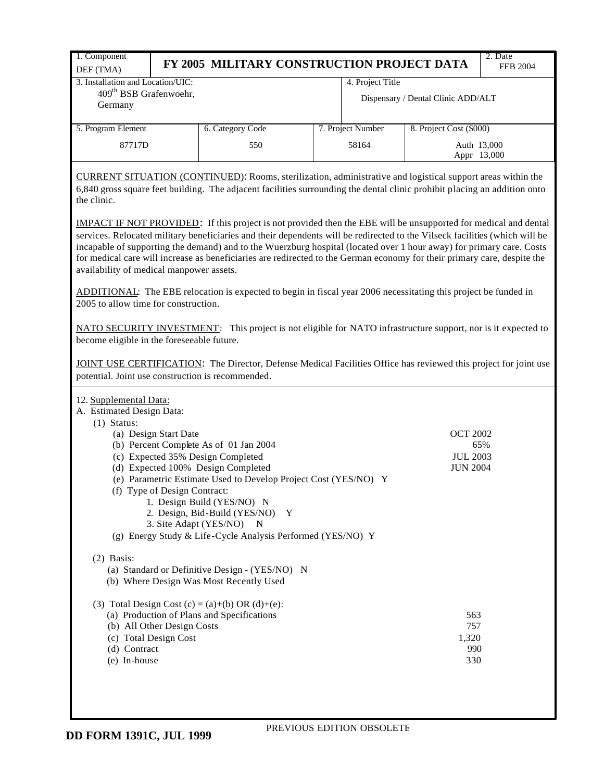| 1. Component                                                                                                                                                                                                                                                                                                                                                                                                                                                                                                                                          | FY 2005 MILITARY CONSTRUCTION PROJECT DATA                       |  |                   |                                    | 2. Date<br><b>FEB 2004</b> |  |  |  |  |  |
|-------------------------------------------------------------------------------------------------------------------------------------------------------------------------------------------------------------------------------------------------------------------------------------------------------------------------------------------------------------------------------------------------------------------------------------------------------------------------------------------------------------------------------------------------------|------------------------------------------------------------------|--|-------------------|------------------------------------|----------------------------|--|--|--|--|--|
| DEF (TMA)<br>3. Installation and Location/UIC:                                                                                                                                                                                                                                                                                                                                                                                                                                                                                                        |                                                                  |  | 4. Project Title  |                                    |                            |  |  |  |  |  |
| 409 <sup>th</sup> BSB Grafenwoehr,<br>Germany                                                                                                                                                                                                                                                                                                                                                                                                                                                                                                         |                                                                  |  |                   | Dispensary / Dental Clinic ADD/ALT |                            |  |  |  |  |  |
| 5. Program Element                                                                                                                                                                                                                                                                                                                                                                                                                                                                                                                                    | 6. Category Code                                                 |  | 7. Project Number | 8. Project Cost (\$000)            |                            |  |  |  |  |  |
| 87717D                                                                                                                                                                                                                                                                                                                                                                                                                                                                                                                                                | 550                                                              |  | 58164             | Auth 13,000                        | Appr 13,000                |  |  |  |  |  |
| CURRENT SITUATION (CONTINUED): Rooms, sterilization, administrative and logistical support areas within the<br>6,840 gross square feet building. The adjacent facilities surrounding the dental clinic prohibit placing an addition onto<br>the clinic.                                                                                                                                                                                                                                                                                               |                                                                  |  |                   |                                    |                            |  |  |  |  |  |
| <b>IMPACT IF NOT PROVIDED:</b> If this project is not provided then the EBE will be unsupported for medical and dental<br>services. Relocated military beneficiaries and their dependents will be redirected to the Vilseck facilities (which will be<br>incapable of supporting the demand) and to the Wuerzburg hospital (located over 1 hour away) for primary care. Costs<br>for medical care will increase as beneficiaries are redirected to the German economy for their primary care, despite the<br>availability of medical manpower assets. |                                                                  |  |                   |                                    |                            |  |  |  |  |  |
| ADDITIONAL: The EBE relocation is expected to begin in fiscal year 2006 necessitating this project be funded in<br>2005 to allow time for construction.                                                                                                                                                                                                                                                                                                                                                                                               |                                                                  |  |                   |                                    |                            |  |  |  |  |  |
| NATO SECURITY INVESTMENT: This project is not eligible for NATO infrastructure support, nor is it expected to<br>become eligible in the foreseeable future.                                                                                                                                                                                                                                                                                                                                                                                           |                                                                  |  |                   |                                    |                            |  |  |  |  |  |
| JOINT USE CERTIFICATION: The Director, Defense Medical Facilities Office has reviewed this project for joint use<br>potential. Joint use construction is recommended.                                                                                                                                                                                                                                                                                                                                                                                 |                                                                  |  |                   |                                    |                            |  |  |  |  |  |
| 12. Supplemental Data:<br>A. Estimated Design Data:<br>$(1)$ Status:                                                                                                                                                                                                                                                                                                                                                                                                                                                                                  |                                                                  |  |                   |                                    |                            |  |  |  |  |  |
| (a) Design Start Date                                                                                                                                                                                                                                                                                                                                                                                                                                                                                                                                 |                                                                  |  |                   | <b>OCT 2002</b>                    |                            |  |  |  |  |  |
| (b) Percent Complete As of 01 Jan 2004<br>(c) Expected 35% Design Completed                                                                                                                                                                                                                                                                                                                                                                                                                                                                           |                                                                  |  |                   | <b>JUL 2003</b>                    | 65%                        |  |  |  |  |  |
| (d) Expected 100% Design Completed                                                                                                                                                                                                                                                                                                                                                                                                                                                                                                                    |                                                                  |  |                   | <b>JUN 2004</b>                    |                            |  |  |  |  |  |
|                                                                                                                                                                                                                                                                                                                                                                                                                                                                                                                                                       | (e) Parametric Estimate Used to Develop Project Cost (YES/NO) Y  |  |                   |                                    |                            |  |  |  |  |  |
| (f) Type of Design Contract:                                                                                                                                                                                                                                                                                                                                                                                                                                                                                                                          |                                                                  |  |                   |                                    |                            |  |  |  |  |  |
|                                                                                                                                                                                                                                                                                                                                                                                                                                                                                                                                                       | 1. Design Build (YES/NO) N<br>2. Design, Bid-Build (YES/NO)<br>Y |  |                   |                                    |                            |  |  |  |  |  |
| 3. Site Adapt (YES/NO)                                                                                                                                                                                                                                                                                                                                                                                                                                                                                                                                | N                                                                |  |                   |                                    |                            |  |  |  |  |  |
|                                                                                                                                                                                                                                                                                                                                                                                                                                                                                                                                                       | (g) Energy Study & Life-Cycle Analysis Performed (YES/NO) Y      |  |                   |                                    |                            |  |  |  |  |  |
| $(2)$ Basis:                                                                                                                                                                                                                                                                                                                                                                                                                                                                                                                                          |                                                                  |  |                   |                                    |                            |  |  |  |  |  |
| (b) Where Design Was Most Recently Used                                                                                                                                                                                                                                                                                                                                                                                                                                                                                                               | (a) Standard or Definitive Design - (YES/NO) N                   |  |                   |                                    |                            |  |  |  |  |  |
| (3) Total Design Cost (c) = (a)+(b) OR (d)+(e):                                                                                                                                                                                                                                                                                                                                                                                                                                                                                                       |                                                                  |  |                   |                                    |                            |  |  |  |  |  |
| (a) Production of Plans and Specifications                                                                                                                                                                                                                                                                                                                                                                                                                                                                                                            |                                                                  |  |                   | 563                                |                            |  |  |  |  |  |
| (b) All Other Design Costs<br>(c) Total Design Cost                                                                                                                                                                                                                                                                                                                                                                                                                                                                                                   |                                                                  |  |                   | 757<br>1,320                       |                            |  |  |  |  |  |
| (d) Contract                                                                                                                                                                                                                                                                                                                                                                                                                                                                                                                                          |                                                                  |  |                   | 990                                |                            |  |  |  |  |  |
| (e) In-house                                                                                                                                                                                                                                                                                                                                                                                                                                                                                                                                          |                                                                  |  |                   | 330                                |                            |  |  |  |  |  |
|                                                                                                                                                                                                                                                                                                                                                                                                                                                                                                                                                       |                                                                  |  |                   |                                    |                            |  |  |  |  |  |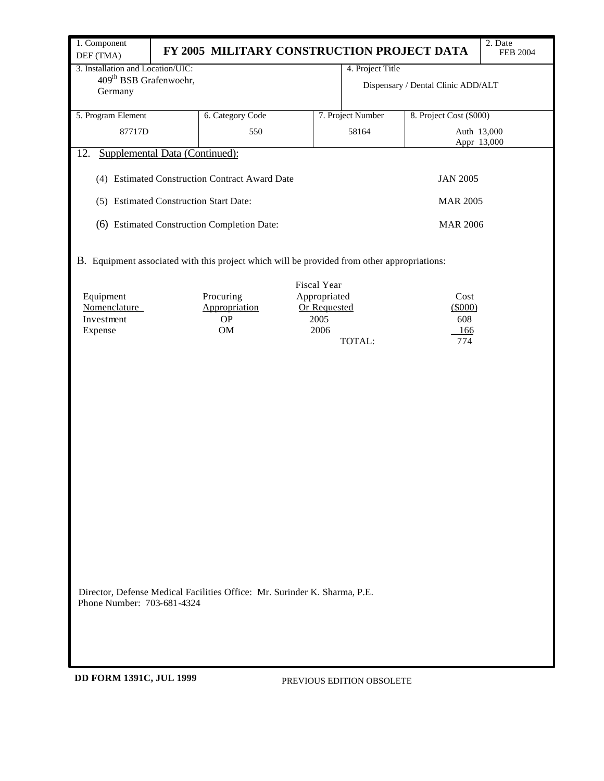| 1. Component                                                                                                             |                                                                                             |                                                |              |              |                           |                                    | 2. Date         |  |  |  |  |
|--------------------------------------------------------------------------------------------------------------------------|---------------------------------------------------------------------------------------------|------------------------------------------------|--------------|--------------|---------------------------|------------------------------------|-----------------|--|--|--|--|
| DEF (TMA)                                                                                                                |                                                                                             | FY 2005 MILITARY CONSTRUCTION PROJECT DATA     |              |              |                           |                                    | <b>FEB 2004</b> |  |  |  |  |
| 3. Installation and Location/UIC:                                                                                        |                                                                                             |                                                |              |              | 4. Project Title          |                                    |                 |  |  |  |  |
| 409 <sup>th</sup> BSB Grafenwoehr,                                                                                       |                                                                                             |                                                |              |              |                           | Dispensary / Dental Clinic ADD/ALT |                 |  |  |  |  |
| Germany                                                                                                                  |                                                                                             |                                                |              |              |                           |                                    |                 |  |  |  |  |
| 5. Program Element                                                                                                       |                                                                                             | 6. Category Code                               |              |              | 7. Project Number         | 8. Project Cost (\$000)            |                 |  |  |  |  |
| 87717D                                                                                                                   |                                                                                             | 550                                            |              |              | 58164                     |                                    | Auth 13,000     |  |  |  |  |
|                                                                                                                          |                                                                                             |                                                |              |              |                           |                                    | Appr 13,000     |  |  |  |  |
| 12.<br>Supplemental Data (Continued):                                                                                    |                                                                                             |                                                |              |              |                           |                                    |                 |  |  |  |  |
|                                                                                                                          |                                                                                             | (4) Estimated Construction Contract Award Date |              |              |                           | <b>JAN 2005</b>                    |                 |  |  |  |  |
| (5) Estimated Construction Start Date:                                                                                   |                                                                                             |                                                |              |              |                           | <b>MAR 2005</b>                    |                 |  |  |  |  |
| (6) Estimated Construction Completion Date:<br><b>MAR 2006</b>                                                           |                                                                                             |                                                |              |              |                           |                                    |                 |  |  |  |  |
|                                                                                                                          | B. Equipment associated with this project which will be provided from other appropriations: |                                                |              |              |                           |                                    |                 |  |  |  |  |
|                                                                                                                          |                                                                                             |                                                | Fiscal Year  |              |                           |                                    |                 |  |  |  |  |
| Equipment                                                                                                                |                                                                                             | Procuring                                      | Appropriated |              |                           | Cost                               |                 |  |  |  |  |
| Nomenclature                                                                                                             |                                                                                             | Appropriation                                  |              | Or Requested |                           | (5000)                             |                 |  |  |  |  |
| Investment<br>Expense                                                                                                    |                                                                                             | $\rm OP$<br>OM                                 |              | 2005<br>2006 |                           | 608<br>166                         |                 |  |  |  |  |
|                                                                                                                          |                                                                                             |                                                |              |              |                           |                                    |                 |  |  |  |  |
| 774<br>TOTAL:<br>Director, Defense Medical Facilities Office: Mr. Surinder K. Sharma, P.E.<br>Phone Number: 703-681-4324 |                                                                                             |                                                |              |              |                           |                                    |                 |  |  |  |  |
| DD FORM 1391C, JUL 1999                                                                                                  |                                                                                             |                                                |              |              | PREVIOUS EDITION OBSOLETE |                                    |                 |  |  |  |  |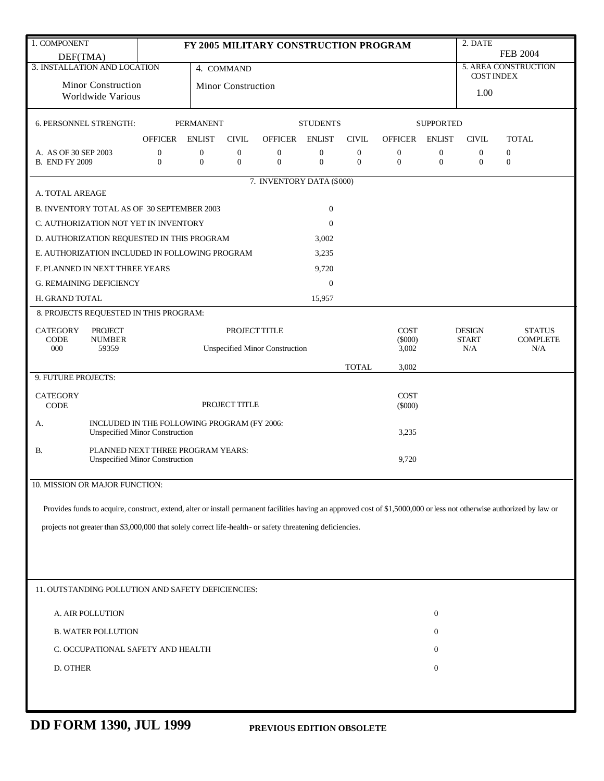|                                                                                                                                                                        |                                       |                                    |                                             |                                           |                                  |                                  |                                  |                                  | 2. DATE                              |                                  |  |
|------------------------------------------------------------------------------------------------------------------------------------------------------------------------|---------------------------------------|------------------------------------|---------------------------------------------|-------------------------------------------|----------------------------------|----------------------------------|----------------------------------|----------------------------------|--------------------------------------|----------------------------------|--|
| 1. COMPONENT<br>DEF(TMA)                                                                                                                                               |                                       |                                    |                                             | FY 2005 MILITARY CONSTRUCTION PROGRAM     | <b>FEB 2004</b>                  |                                  |                                  |                                  |                                      |                                  |  |
| 3. INSTALLATION AND LOCATION                                                                                                                                           |                                       | 4. COMMAND                         |                                             | 5. AREA CONSTRUCTION<br><b>COST INDEX</b> |                                  |                                  |                                  |                                  |                                      |                                  |  |
| Minor Construction                                                                                                                                                     |                                       | Minor Construction                 |                                             |                                           |                                  |                                  |                                  | 1.00                             |                                      |                                  |  |
| Worldwide Various                                                                                                                                                      |                                       |                                    |                                             |                                           |                                  |                                  |                                  |                                  |                                      |                                  |  |
| 6. PERSONNEL STRENGTH:                                                                                                                                                 |                                       | <b>PERMANENT</b>                   |                                             |                                           | <b>STUDENTS</b>                  |                                  |                                  | <b>SUPPORTED</b>                 |                                      |                                  |  |
|                                                                                                                                                                        | <b>OFFICER</b>                        | <b>ENLIST</b>                      | <b>CIVIL</b>                                | <b>OFFICER</b>                            | <b>ENLIST</b>                    | <b>CIVIL</b>                     | <b>OFFICER</b>                   | <b>ENLIST</b>                    | <b>CIVIL</b>                         | <b>TOTAL</b>                     |  |
| A. AS OF 30 SEP 2003<br><b>B. END FY 2009</b>                                                                                                                          | $\boldsymbol{0}$<br>$\mathbf{0}$      | $\boldsymbol{0}$<br>$\overline{0}$ | $\boldsymbol{0}$<br>$\mathbf{0}$            | $\boldsymbol{0}$<br>$\boldsymbol{0}$      | $\boldsymbol{0}$<br>$\mathbf{0}$ | $\boldsymbol{0}$<br>$\mathbf{0}$ | $\boldsymbol{0}$<br>$\mathbf{0}$ | $\boldsymbol{0}$<br>$\mathbf{0}$ | $\boldsymbol{0}$<br>$\boldsymbol{0}$ | $\boldsymbol{0}$<br>$\mathbf{0}$ |  |
|                                                                                                                                                                        |                                       |                                    |                                             |                                           |                                  |                                  |                                  |                                  |                                      |                                  |  |
| A. TOTAL AREAGE                                                                                                                                                        |                                       |                                    |                                             | 7. INVENTORY DATA (\$000)                 |                                  |                                  |                                  |                                  |                                      |                                  |  |
| B. INVENTORY TOTAL AS OF 30 SEPTEMBER 2003                                                                                                                             |                                       |                                    |                                             |                                           | $\boldsymbol{0}$                 |                                  |                                  |                                  |                                      |                                  |  |
| C. AUTHORIZATION NOT YET IN INVENTORY                                                                                                                                  |                                       |                                    |                                             |                                           | $\mathbf{0}$                     |                                  |                                  |                                  |                                      |                                  |  |
| D. AUTHORIZATION REQUESTED IN THIS PROGRAM                                                                                                                             |                                       |                                    |                                             |                                           | 3,002                            |                                  |                                  |                                  |                                      |                                  |  |
| E. AUTHORIZATION INCLUDED IN FOLLOWING PROGRAM                                                                                                                         |                                       |                                    |                                             |                                           | 3,235                            |                                  |                                  |                                  |                                      |                                  |  |
| F. PLANNED IN NEXT THREE YEARS                                                                                                                                         |                                       |                                    |                                             |                                           | 9,720                            |                                  |                                  |                                  |                                      |                                  |  |
| <b>G. REMAINING DEFICIENCY</b>                                                                                                                                         |                                       |                                    |                                             |                                           | $\boldsymbol{0}$                 |                                  |                                  |                                  |                                      |                                  |  |
| H. GRAND TOTAL                                                                                                                                                         |                                       |                                    |                                             |                                           | 15,957                           |                                  |                                  |                                  |                                      |                                  |  |
| 8. PROJECTS REQUESTED IN THIS PROGRAM:                                                                                                                                 |                                       |                                    |                                             |                                           |                                  |                                  |                                  |                                  |                                      |                                  |  |
| <b>CATEGORY</b><br><b>PROJECT</b><br>CODE<br><b>NUMBER</b>                                                                                                             |                                       |                                    | PROJECT TITLE                               |                                           |                                  |                                  | <b>COST</b><br>$(\$000)$         |                                  | <b>DESIGN</b><br><b>START</b>        | <b>STATUS</b><br><b>COMPLETE</b> |  |
| 000<br>59359                                                                                                                                                           |                                       |                                    |                                             | <b>Unspecified Minor Construction</b>     |                                  |                                  | 3,002                            |                                  | N/A                                  | N/A                              |  |
|                                                                                                                                                                        |                                       |                                    |                                             |                                           |                                  | <b>TOTAL</b>                     | 3,002                            |                                  |                                      |                                  |  |
| 9. FUTURE PROJECTS:                                                                                                                                                    |                                       |                                    |                                             |                                           |                                  |                                  |                                  |                                  |                                      |                                  |  |
| <b>CATEGORY</b><br>CODE                                                                                                                                                |                                       |                                    | PROJECT TITLE                               |                                           |                                  |                                  | <b>COST</b><br>$(\$000)$         |                                  |                                      |                                  |  |
| А.                                                                                                                                                                     |                                       |                                    |                                             |                                           |                                  |                                  |                                  |                                  |                                      |                                  |  |
|                                                                                                                                                                        | <b>Unspecified Minor Construction</b> |                                    | INCLUDED IN THE FOLLOWING PROGRAM (FY 2006: |                                           |                                  |                                  | 3,235                            |                                  |                                      |                                  |  |
| В.                                                                                                                                                                     | PLANNED NEXT THREE PROGRAM YEARS:     |                                    |                                             |                                           |                                  |                                  |                                  |                                  |                                      |                                  |  |
|                                                                                                                                                                        | <b>Unspecified Minor Construction</b> |                                    |                                             |                                           |                                  |                                  | 9,720                            |                                  |                                      |                                  |  |
| 10. MISSION OR MAJOR FUNCTION:                                                                                                                                         |                                       |                                    |                                             |                                           |                                  |                                  |                                  |                                  |                                      |                                  |  |
| Provides funds to acquire, construct, extend, alter or install permanent facilities having an approved cost of \$1,5000,000 or less not otherwise authorized by law or |                                       |                                    |                                             |                                           |                                  |                                  |                                  |                                  |                                      |                                  |  |
|                                                                                                                                                                        |                                       |                                    |                                             |                                           |                                  |                                  |                                  |                                  |                                      |                                  |  |
| projects not greater than \$3,000,000 that solely correct life-health- or safety threatening deficiencies.                                                             |                                       |                                    |                                             |                                           |                                  |                                  |                                  |                                  |                                      |                                  |  |
|                                                                                                                                                                        |                                       |                                    |                                             |                                           |                                  |                                  |                                  |                                  |                                      |                                  |  |
|                                                                                                                                                                        |                                       |                                    |                                             |                                           |                                  |                                  |                                  |                                  |                                      |                                  |  |
| 11. OUTSTANDING POLLUTION AND SAFETY DEFICIENCIES:                                                                                                                     |                                       |                                    |                                             |                                           |                                  |                                  |                                  |                                  |                                      |                                  |  |
|                                                                                                                                                                        |                                       |                                    |                                             |                                           |                                  |                                  |                                  |                                  |                                      |                                  |  |
| A. AIR POLLUTION<br>$\boldsymbol{0}$                                                                                                                                   |                                       |                                    |                                             |                                           |                                  |                                  |                                  |                                  |                                      |                                  |  |
| <b>B. WATER POLLUTION</b><br>$\boldsymbol{0}$                                                                                                                          |                                       |                                    |                                             |                                           |                                  |                                  |                                  |                                  |                                      |                                  |  |
| C. OCCUPATIONAL SAFETY AND HEALTH<br>$\mathbf{0}$                                                                                                                      |                                       |                                    |                                             |                                           |                                  |                                  |                                  |                                  |                                      |                                  |  |
| D. OTHER                                                                                                                                                               |                                       |                                    |                                             |                                           |                                  |                                  |                                  | $\boldsymbol{0}$                 |                                      |                                  |  |
|                                                                                                                                                                        |                                       |                                    |                                             |                                           |                                  |                                  |                                  |                                  |                                      |                                  |  |
|                                                                                                                                                                        |                                       |                                    |                                             |                                           |                                  |                                  |                                  |                                  |                                      |                                  |  |

**DD FORM 1390, JUL 1999 PREVIOUS EDITION OBSOLETE**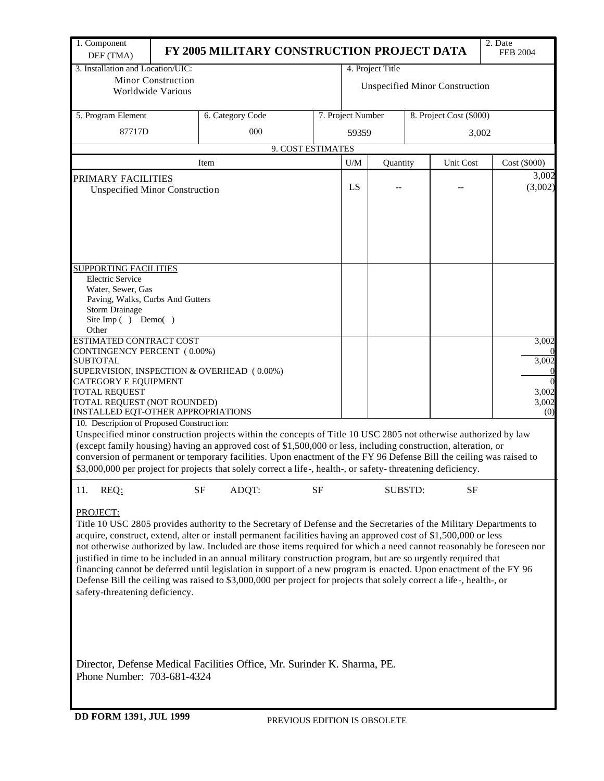| 3. Installation and Location/UIC:<br>4. Project Title<br><b>Minor Construction</b><br><b>Unspecified Minor Construction</b><br>Worldwide Various<br>5. Program Element<br>7. Project Number<br>6. Category Code<br>8. Project Cost (\$000)<br>87717D<br>000<br>59359<br>3,002<br>9. COST ESTIMATES<br>U/M<br><b>Unit Cost</b><br>Cost (\$000)<br>Item<br>Quantity<br>3,002<br><b>PRIMARY FACILITIES</b><br>(3,002)<br>LS<br><b>Unspecified Minor Construction</b><br><b>SUPPORTING FACILITIES</b><br><b>Electric Service</b><br>Water, Sewer, Gas<br>Paving, Walks, Curbs And Gutters<br><b>Storm Drainage</b><br>Site Imp () Demo()<br>Other<br><b>ESTIMATED CONTRACT COST</b><br>3,002<br>CONTINGENCY PERCENT (0.00%)<br>SUBTOTAL<br>SUPERVISION, INSPECTION & OVERHEAD (0.00%)<br>CATEGORY E EQUIPMENT<br><b>TOTAL REQUEST</b><br>TOTAL REQUEST (NOT ROUNDED)<br>INSTALLED EQT-OTHER APPROPRIATIONS<br>(0)<br>10. Description of Proposed Construction:<br>Unspecified minor construction projects within the concepts of Title 10 USC 2805 not otherwise authorized by law<br>(except family housing) having an approved cost of \$1,500,000 or less, including construction, alteration, or<br>conversion of permanent or temporary facilities. Upon enactment of the FY 96 Defense Bill the ceiling was raised to<br>\$3,000,000 per project for projects that solely correct a life-, health-, or safety-threatening deficiency.<br>REQ:<br>SF<br>ADQT:<br><b>SF</b><br><b>SUBSTD:</b><br><b>SF</b><br>11.<br>PROJECT:<br>Title 10 USC 2805 provides authority to the Secretary of Defense and the Secretaries of the Military Departments to<br>acquire, construct, extend, alter or install permanent facilities having an approved cost of \$1,500,000 or less<br>not otherwise authorized by law. Included are those items required for which a need cannot reasonably be foreseen nor<br>justified in time to be included in an annual military construction program, but are so urgently required that<br>financing cannot be deferred until legislation in support of a new program is enacted. Upon enactment of the FY 96<br>Defense Bill the ceiling was raised to \$3,000,000 per project for projects that solely correct a life-, health-, or<br>safety-threatening deficiency.<br>Director, Defense Medical Facilities Office, Mr. Surinder K. Sharma, PE.<br>Phone Number: 703-681-4324<br><b>DD FORM 1391, JUL 1999</b><br>PREVIOUS EDITION IS OBSOLETE | 1. Component |  | FY 2005 MILITARY CONSTRUCTION PROJECT DATA |  |  |  |  |  | 2. Date<br><b>FEB 2004</b> |  |  |  |
|--------------------------------------------------------------------------------------------------------------------------------------------------------------------------------------------------------------------------------------------------------------------------------------------------------------------------------------------------------------------------------------------------------------------------------------------------------------------------------------------------------------------------------------------------------------------------------------------------------------------------------------------------------------------------------------------------------------------------------------------------------------------------------------------------------------------------------------------------------------------------------------------------------------------------------------------------------------------------------------------------------------------------------------------------------------------------------------------------------------------------------------------------------------------------------------------------------------------------------------------------------------------------------------------------------------------------------------------------------------------------------------------------------------------------------------------------------------------------------------------------------------------------------------------------------------------------------------------------------------------------------------------------------------------------------------------------------------------------------------------------------------------------------------------------------------------------------------------------------------------------------------------------------------------------------------------------------------------------------------------------------------------------------------------------------------------------------------------------------------------------------------------------------------------------------------------------------------------------------------------------------------------------------------------------------------------------------------------------------------------------------------------------------------------------------------------------------------------------------|--------------|--|--------------------------------------------|--|--|--|--|--|----------------------------|--|--|--|
|                                                                                                                                                                                                                                                                                                                                                                                                                                                                                                                                                                                                                                                                                                                                                                                                                                                                                                                                                                                                                                                                                                                                                                                                                                                                                                                                                                                                                                                                                                                                                                                                                                                                                                                                                                                                                                                                                                                                                                                                                                                                                                                                                                                                                                                                                                                                                                                                                                                                                | DEF (TMA)    |  |                                            |  |  |  |  |  |                            |  |  |  |
|                                                                                                                                                                                                                                                                                                                                                                                                                                                                                                                                                                                                                                                                                                                                                                                                                                                                                                                                                                                                                                                                                                                                                                                                                                                                                                                                                                                                                                                                                                                                                                                                                                                                                                                                                                                                                                                                                                                                                                                                                                                                                                                                                                                                                                                                                                                                                                                                                                                                                |              |  |                                            |  |  |  |  |  |                            |  |  |  |
|                                                                                                                                                                                                                                                                                                                                                                                                                                                                                                                                                                                                                                                                                                                                                                                                                                                                                                                                                                                                                                                                                                                                                                                                                                                                                                                                                                                                                                                                                                                                                                                                                                                                                                                                                                                                                                                                                                                                                                                                                                                                                                                                                                                                                                                                                                                                                                                                                                                                                |              |  |                                            |  |  |  |  |  |                            |  |  |  |
|                                                                                                                                                                                                                                                                                                                                                                                                                                                                                                                                                                                                                                                                                                                                                                                                                                                                                                                                                                                                                                                                                                                                                                                                                                                                                                                                                                                                                                                                                                                                                                                                                                                                                                                                                                                                                                                                                                                                                                                                                                                                                                                                                                                                                                                                                                                                                                                                                                                                                |              |  |                                            |  |  |  |  |  |                            |  |  |  |
|                                                                                                                                                                                                                                                                                                                                                                                                                                                                                                                                                                                                                                                                                                                                                                                                                                                                                                                                                                                                                                                                                                                                                                                                                                                                                                                                                                                                                                                                                                                                                                                                                                                                                                                                                                                                                                                                                                                                                                                                                                                                                                                                                                                                                                                                                                                                                                                                                                                                                |              |  |                                            |  |  |  |  |  |                            |  |  |  |
|                                                                                                                                                                                                                                                                                                                                                                                                                                                                                                                                                                                                                                                                                                                                                                                                                                                                                                                                                                                                                                                                                                                                                                                                                                                                                                                                                                                                                                                                                                                                                                                                                                                                                                                                                                                                                                                                                                                                                                                                                                                                                                                                                                                                                                                                                                                                                                                                                                                                                |              |  |                                            |  |  |  |  |  |                            |  |  |  |
|                                                                                                                                                                                                                                                                                                                                                                                                                                                                                                                                                                                                                                                                                                                                                                                                                                                                                                                                                                                                                                                                                                                                                                                                                                                                                                                                                                                                                                                                                                                                                                                                                                                                                                                                                                                                                                                                                                                                                                                                                                                                                                                                                                                                                                                                                                                                                                                                                                                                                |              |  |                                            |  |  |  |  |  |                            |  |  |  |
|                                                                                                                                                                                                                                                                                                                                                                                                                                                                                                                                                                                                                                                                                                                                                                                                                                                                                                                                                                                                                                                                                                                                                                                                                                                                                                                                                                                                                                                                                                                                                                                                                                                                                                                                                                                                                                                                                                                                                                                                                                                                                                                                                                                                                                                                                                                                                                                                                                                                                |              |  |                                            |  |  |  |  |  |                            |  |  |  |
|                                                                                                                                                                                                                                                                                                                                                                                                                                                                                                                                                                                                                                                                                                                                                                                                                                                                                                                                                                                                                                                                                                                                                                                                                                                                                                                                                                                                                                                                                                                                                                                                                                                                                                                                                                                                                                                                                                                                                                                                                                                                                                                                                                                                                                                                                                                                                                                                                                                                                |              |  |                                            |  |  |  |  |  |                            |  |  |  |
|                                                                                                                                                                                                                                                                                                                                                                                                                                                                                                                                                                                                                                                                                                                                                                                                                                                                                                                                                                                                                                                                                                                                                                                                                                                                                                                                                                                                                                                                                                                                                                                                                                                                                                                                                                                                                                                                                                                                                                                                                                                                                                                                                                                                                                                                                                                                                                                                                                                                                |              |  |                                            |  |  |  |  |  |                            |  |  |  |
|                                                                                                                                                                                                                                                                                                                                                                                                                                                                                                                                                                                                                                                                                                                                                                                                                                                                                                                                                                                                                                                                                                                                                                                                                                                                                                                                                                                                                                                                                                                                                                                                                                                                                                                                                                                                                                                                                                                                                                                                                                                                                                                                                                                                                                                                                                                                                                                                                                                                                |              |  |                                            |  |  |  |  |  |                            |  |  |  |
|                                                                                                                                                                                                                                                                                                                                                                                                                                                                                                                                                                                                                                                                                                                                                                                                                                                                                                                                                                                                                                                                                                                                                                                                                                                                                                                                                                                                                                                                                                                                                                                                                                                                                                                                                                                                                                                                                                                                                                                                                                                                                                                                                                                                                                                                                                                                                                                                                                                                                |              |  |                                            |  |  |  |  |  |                            |  |  |  |
|                                                                                                                                                                                                                                                                                                                                                                                                                                                                                                                                                                                                                                                                                                                                                                                                                                                                                                                                                                                                                                                                                                                                                                                                                                                                                                                                                                                                                                                                                                                                                                                                                                                                                                                                                                                                                                                                                                                                                                                                                                                                                                                                                                                                                                                                                                                                                                                                                                                                                |              |  |                                            |  |  |  |  |  |                            |  |  |  |
|                                                                                                                                                                                                                                                                                                                                                                                                                                                                                                                                                                                                                                                                                                                                                                                                                                                                                                                                                                                                                                                                                                                                                                                                                                                                                                                                                                                                                                                                                                                                                                                                                                                                                                                                                                                                                                                                                                                                                                                                                                                                                                                                                                                                                                                                                                                                                                                                                                                                                |              |  |                                            |  |  |  |  |  |                            |  |  |  |
|                                                                                                                                                                                                                                                                                                                                                                                                                                                                                                                                                                                                                                                                                                                                                                                                                                                                                                                                                                                                                                                                                                                                                                                                                                                                                                                                                                                                                                                                                                                                                                                                                                                                                                                                                                                                                                                                                                                                                                                                                                                                                                                                                                                                                                                                                                                                                                                                                                                                                |              |  |                                            |  |  |  |  |  |                            |  |  |  |
|                                                                                                                                                                                                                                                                                                                                                                                                                                                                                                                                                                                                                                                                                                                                                                                                                                                                                                                                                                                                                                                                                                                                                                                                                                                                                                                                                                                                                                                                                                                                                                                                                                                                                                                                                                                                                                                                                                                                                                                                                                                                                                                                                                                                                                                                                                                                                                                                                                                                                |              |  |                                            |  |  |  |  |  |                            |  |  |  |
|                                                                                                                                                                                                                                                                                                                                                                                                                                                                                                                                                                                                                                                                                                                                                                                                                                                                                                                                                                                                                                                                                                                                                                                                                                                                                                                                                                                                                                                                                                                                                                                                                                                                                                                                                                                                                                                                                                                                                                                                                                                                                                                                                                                                                                                                                                                                                                                                                                                                                |              |  |                                            |  |  |  |  |  |                            |  |  |  |
|                                                                                                                                                                                                                                                                                                                                                                                                                                                                                                                                                                                                                                                                                                                                                                                                                                                                                                                                                                                                                                                                                                                                                                                                                                                                                                                                                                                                                                                                                                                                                                                                                                                                                                                                                                                                                                                                                                                                                                                                                                                                                                                                                                                                                                                                                                                                                                                                                                                                                |              |  |                                            |  |  |  |  |  |                            |  |  |  |
|                                                                                                                                                                                                                                                                                                                                                                                                                                                                                                                                                                                                                                                                                                                                                                                                                                                                                                                                                                                                                                                                                                                                                                                                                                                                                                                                                                                                                                                                                                                                                                                                                                                                                                                                                                                                                                                                                                                                                                                                                                                                                                                                                                                                                                                                                                                                                                                                                                                                                |              |  |                                            |  |  |  |  |  |                            |  |  |  |
|                                                                                                                                                                                                                                                                                                                                                                                                                                                                                                                                                                                                                                                                                                                                                                                                                                                                                                                                                                                                                                                                                                                                                                                                                                                                                                                                                                                                                                                                                                                                                                                                                                                                                                                                                                                                                                                                                                                                                                                                                                                                                                                                                                                                                                                                                                                                                                                                                                                                                |              |  |                                            |  |  |  |  |  |                            |  |  |  |
|                                                                                                                                                                                                                                                                                                                                                                                                                                                                                                                                                                                                                                                                                                                                                                                                                                                                                                                                                                                                                                                                                                                                                                                                                                                                                                                                                                                                                                                                                                                                                                                                                                                                                                                                                                                                                                                                                                                                                                                                                                                                                                                                                                                                                                                                                                                                                                                                                                                                                |              |  |                                            |  |  |  |  |  | 3,002                      |  |  |  |
|                                                                                                                                                                                                                                                                                                                                                                                                                                                                                                                                                                                                                                                                                                                                                                                                                                                                                                                                                                                                                                                                                                                                                                                                                                                                                                                                                                                                                                                                                                                                                                                                                                                                                                                                                                                                                                                                                                                                                                                                                                                                                                                                                                                                                                                                                                                                                                                                                                                                                |              |  |                                            |  |  |  |  |  |                            |  |  |  |
|                                                                                                                                                                                                                                                                                                                                                                                                                                                                                                                                                                                                                                                                                                                                                                                                                                                                                                                                                                                                                                                                                                                                                                                                                                                                                                                                                                                                                                                                                                                                                                                                                                                                                                                                                                                                                                                                                                                                                                                                                                                                                                                                                                                                                                                                                                                                                                                                                                                                                |              |  |                                            |  |  |  |  |  | 3,002                      |  |  |  |
|                                                                                                                                                                                                                                                                                                                                                                                                                                                                                                                                                                                                                                                                                                                                                                                                                                                                                                                                                                                                                                                                                                                                                                                                                                                                                                                                                                                                                                                                                                                                                                                                                                                                                                                                                                                                                                                                                                                                                                                                                                                                                                                                                                                                                                                                                                                                                                                                                                                                                |              |  |                                            |  |  |  |  |  | 3,002                      |  |  |  |
|                                                                                                                                                                                                                                                                                                                                                                                                                                                                                                                                                                                                                                                                                                                                                                                                                                                                                                                                                                                                                                                                                                                                                                                                                                                                                                                                                                                                                                                                                                                                                                                                                                                                                                                                                                                                                                                                                                                                                                                                                                                                                                                                                                                                                                                                                                                                                                                                                                                                                |              |  |                                            |  |  |  |  |  |                            |  |  |  |
|                                                                                                                                                                                                                                                                                                                                                                                                                                                                                                                                                                                                                                                                                                                                                                                                                                                                                                                                                                                                                                                                                                                                                                                                                                                                                                                                                                                                                                                                                                                                                                                                                                                                                                                                                                                                                                                                                                                                                                                                                                                                                                                                                                                                                                                                                                                                                                                                                                                                                |              |  |                                            |  |  |  |  |  |                            |  |  |  |
|                                                                                                                                                                                                                                                                                                                                                                                                                                                                                                                                                                                                                                                                                                                                                                                                                                                                                                                                                                                                                                                                                                                                                                                                                                                                                                                                                                                                                                                                                                                                                                                                                                                                                                                                                                                                                                                                                                                                                                                                                                                                                                                                                                                                                                                                                                                                                                                                                                                                                |              |  |                                            |  |  |  |  |  |                            |  |  |  |
|                                                                                                                                                                                                                                                                                                                                                                                                                                                                                                                                                                                                                                                                                                                                                                                                                                                                                                                                                                                                                                                                                                                                                                                                                                                                                                                                                                                                                                                                                                                                                                                                                                                                                                                                                                                                                                                                                                                                                                                                                                                                                                                                                                                                                                                                                                                                                                                                                                                                                |              |  |                                            |  |  |  |  |  |                            |  |  |  |
|                                                                                                                                                                                                                                                                                                                                                                                                                                                                                                                                                                                                                                                                                                                                                                                                                                                                                                                                                                                                                                                                                                                                                                                                                                                                                                                                                                                                                                                                                                                                                                                                                                                                                                                                                                                                                                                                                                                                                                                                                                                                                                                                                                                                                                                                                                                                                                                                                                                                                |              |  |                                            |  |  |  |  |  |                            |  |  |  |
|                                                                                                                                                                                                                                                                                                                                                                                                                                                                                                                                                                                                                                                                                                                                                                                                                                                                                                                                                                                                                                                                                                                                                                                                                                                                                                                                                                                                                                                                                                                                                                                                                                                                                                                                                                                                                                                                                                                                                                                                                                                                                                                                                                                                                                                                                                                                                                                                                                                                                |              |  |                                            |  |  |  |  |  |                            |  |  |  |
|                                                                                                                                                                                                                                                                                                                                                                                                                                                                                                                                                                                                                                                                                                                                                                                                                                                                                                                                                                                                                                                                                                                                                                                                                                                                                                                                                                                                                                                                                                                                                                                                                                                                                                                                                                                                                                                                                                                                                                                                                                                                                                                                                                                                                                                                                                                                                                                                                                                                                |              |  |                                            |  |  |  |  |  |                            |  |  |  |
|                                                                                                                                                                                                                                                                                                                                                                                                                                                                                                                                                                                                                                                                                                                                                                                                                                                                                                                                                                                                                                                                                                                                                                                                                                                                                                                                                                                                                                                                                                                                                                                                                                                                                                                                                                                                                                                                                                                                                                                                                                                                                                                                                                                                                                                                                                                                                                                                                                                                                |              |  |                                            |  |  |  |  |  |                            |  |  |  |
|                                                                                                                                                                                                                                                                                                                                                                                                                                                                                                                                                                                                                                                                                                                                                                                                                                                                                                                                                                                                                                                                                                                                                                                                                                                                                                                                                                                                                                                                                                                                                                                                                                                                                                                                                                                                                                                                                                                                                                                                                                                                                                                                                                                                                                                                                                                                                                                                                                                                                |              |  |                                            |  |  |  |  |  |                            |  |  |  |
|                                                                                                                                                                                                                                                                                                                                                                                                                                                                                                                                                                                                                                                                                                                                                                                                                                                                                                                                                                                                                                                                                                                                                                                                                                                                                                                                                                                                                                                                                                                                                                                                                                                                                                                                                                                                                                                                                                                                                                                                                                                                                                                                                                                                                                                                                                                                                                                                                                                                                |              |  |                                            |  |  |  |  |  |                            |  |  |  |
|                                                                                                                                                                                                                                                                                                                                                                                                                                                                                                                                                                                                                                                                                                                                                                                                                                                                                                                                                                                                                                                                                                                                                                                                                                                                                                                                                                                                                                                                                                                                                                                                                                                                                                                                                                                                                                                                                                                                                                                                                                                                                                                                                                                                                                                                                                                                                                                                                                                                                |              |  |                                            |  |  |  |  |  |                            |  |  |  |
|                                                                                                                                                                                                                                                                                                                                                                                                                                                                                                                                                                                                                                                                                                                                                                                                                                                                                                                                                                                                                                                                                                                                                                                                                                                                                                                                                                                                                                                                                                                                                                                                                                                                                                                                                                                                                                                                                                                                                                                                                                                                                                                                                                                                                                                                                                                                                                                                                                                                                |              |  |                                            |  |  |  |  |  |                            |  |  |  |
|                                                                                                                                                                                                                                                                                                                                                                                                                                                                                                                                                                                                                                                                                                                                                                                                                                                                                                                                                                                                                                                                                                                                                                                                                                                                                                                                                                                                                                                                                                                                                                                                                                                                                                                                                                                                                                                                                                                                                                                                                                                                                                                                                                                                                                                                                                                                                                                                                                                                                |              |  |                                            |  |  |  |  |  |                            |  |  |  |
|                                                                                                                                                                                                                                                                                                                                                                                                                                                                                                                                                                                                                                                                                                                                                                                                                                                                                                                                                                                                                                                                                                                                                                                                                                                                                                                                                                                                                                                                                                                                                                                                                                                                                                                                                                                                                                                                                                                                                                                                                                                                                                                                                                                                                                                                                                                                                                                                                                                                                |              |  |                                            |  |  |  |  |  |                            |  |  |  |
|                                                                                                                                                                                                                                                                                                                                                                                                                                                                                                                                                                                                                                                                                                                                                                                                                                                                                                                                                                                                                                                                                                                                                                                                                                                                                                                                                                                                                                                                                                                                                                                                                                                                                                                                                                                                                                                                                                                                                                                                                                                                                                                                                                                                                                                                                                                                                                                                                                                                                |              |  |                                            |  |  |  |  |  |                            |  |  |  |
|                                                                                                                                                                                                                                                                                                                                                                                                                                                                                                                                                                                                                                                                                                                                                                                                                                                                                                                                                                                                                                                                                                                                                                                                                                                                                                                                                                                                                                                                                                                                                                                                                                                                                                                                                                                                                                                                                                                                                                                                                                                                                                                                                                                                                                                                                                                                                                                                                                                                                |              |  |                                            |  |  |  |  |  |                            |  |  |  |
|                                                                                                                                                                                                                                                                                                                                                                                                                                                                                                                                                                                                                                                                                                                                                                                                                                                                                                                                                                                                                                                                                                                                                                                                                                                                                                                                                                                                                                                                                                                                                                                                                                                                                                                                                                                                                                                                                                                                                                                                                                                                                                                                                                                                                                                                                                                                                                                                                                                                                |              |  |                                            |  |  |  |  |  |                            |  |  |  |
|                                                                                                                                                                                                                                                                                                                                                                                                                                                                                                                                                                                                                                                                                                                                                                                                                                                                                                                                                                                                                                                                                                                                                                                                                                                                                                                                                                                                                                                                                                                                                                                                                                                                                                                                                                                                                                                                                                                                                                                                                                                                                                                                                                                                                                                                                                                                                                                                                                                                                |              |  |                                            |  |  |  |  |  |                            |  |  |  |
|                                                                                                                                                                                                                                                                                                                                                                                                                                                                                                                                                                                                                                                                                                                                                                                                                                                                                                                                                                                                                                                                                                                                                                                                                                                                                                                                                                                                                                                                                                                                                                                                                                                                                                                                                                                                                                                                                                                                                                                                                                                                                                                                                                                                                                                                                                                                                                                                                                                                                |              |  |                                            |  |  |  |  |  |                            |  |  |  |
|                                                                                                                                                                                                                                                                                                                                                                                                                                                                                                                                                                                                                                                                                                                                                                                                                                                                                                                                                                                                                                                                                                                                                                                                                                                                                                                                                                                                                                                                                                                                                                                                                                                                                                                                                                                                                                                                                                                                                                                                                                                                                                                                                                                                                                                                                                                                                                                                                                                                                |              |  |                                            |  |  |  |  |  |                            |  |  |  |
|                                                                                                                                                                                                                                                                                                                                                                                                                                                                                                                                                                                                                                                                                                                                                                                                                                                                                                                                                                                                                                                                                                                                                                                                                                                                                                                                                                                                                                                                                                                                                                                                                                                                                                                                                                                                                                                                                                                                                                                                                                                                                                                                                                                                                                                                                                                                                                                                                                                                                |              |  |                                            |  |  |  |  |  |                            |  |  |  |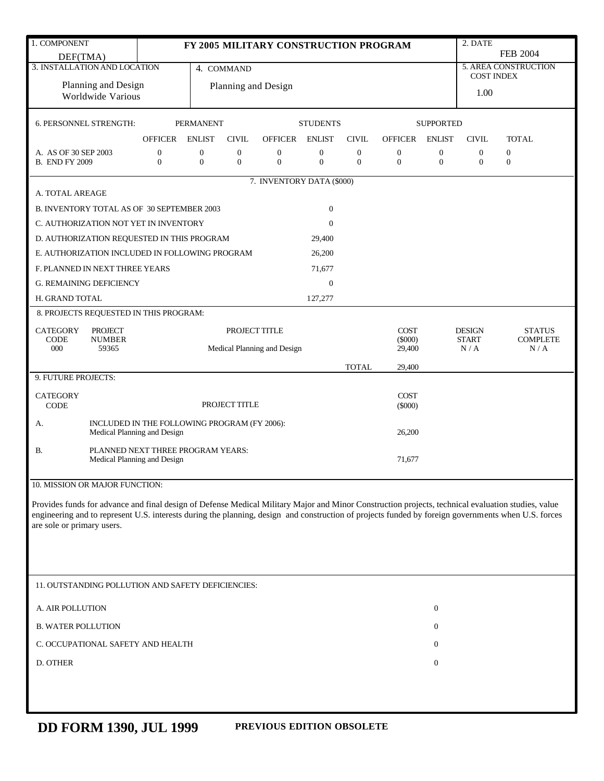| 1. COMPONENT                                                                                                                                                                                                                                                                                                                            |  |                                              |                                  |                                     |                                  | FY 2005 MILITARY CONSTRUCTION PROGRAM |                                      |                                  |                                    |                       | 2. DATE                       |                                  |  |  |
|-----------------------------------------------------------------------------------------------------------------------------------------------------------------------------------------------------------------------------------------------------------------------------------------------------------------------------------------|--|----------------------------------------------|----------------------------------|-------------------------------------|----------------------------------|---------------------------------------|--------------------------------------|----------------------------------|------------------------------------|-----------------------|-------------------------------|----------------------------------|--|--|
| DEF(TMA)                                                                                                                                                                                                                                                                                                                                |  |                                              |                                  |                                     |                                  |                                       |                                      |                                  |                                    |                       |                               | <b>FEB 2004</b>                  |  |  |
| 3. INSTALLATION AND LOCATION                                                                                                                                                                                                                                                                                                            |  | 4. COMMAND                                   |                                  |                                     |                                  |                                       |                                      |                                  |                                    |                       | <b>COST INDEX</b>             | <b>5. AREA CONSTRUCTION</b>      |  |  |
| Planning and Design                                                                                                                                                                                                                                                                                                                     |  |                                              |                                  |                                     |                                  | Planning and Design                   |                                      |                                  |                                    |                       | 1.00                          |                                  |  |  |
| Worldwide Various                                                                                                                                                                                                                                                                                                                       |  |                                              |                                  |                                     |                                  |                                       |                                      |                                  |                                    |                       |                               |                                  |  |  |
| <b>6. PERSONNEL STRENGTH:</b>                                                                                                                                                                                                                                                                                                           |  |                                              |                                  | <b>PERMANENT</b><br><b>STUDENTS</b> |                                  |                                       |                                      |                                  |                                    | <b>SUPPORTED</b>      |                               |                                  |  |  |
|                                                                                                                                                                                                                                                                                                                                         |  | <b>OFFICER</b>                               | <b>ENLIST</b>                    |                                     | <b>CIVIL</b>                     | <b>OFFICER</b>                        | <b>ENLIST</b>                        | <b>CIVIL</b>                     | <b>OFFICER</b>                     | <b>ENLIST</b>         | <b>CIVIL</b>                  | <b>TOTAL</b>                     |  |  |
| A. AS OF 30 SEP 2003<br><b>B. END FY 2009</b>                                                                                                                                                                                                                                                                                           |  | $\boldsymbol{0}$<br>$\mathbf{0}$             | $\boldsymbol{0}$<br>$\mathbf{0}$ |                                     | $\boldsymbol{0}$<br>$\mathbf{0}$ | $\boldsymbol{0}$<br>$\mathbf{0}$      | $\boldsymbol{0}$<br>$\boldsymbol{0}$ | $\boldsymbol{0}$<br>$\mathbf{0}$ | $\boldsymbol{0}$<br>$\overline{0}$ | 0<br>$\boldsymbol{0}$ | 0<br>$\mathbf{0}$             | $\boldsymbol{0}$<br>$\mathbf{0}$ |  |  |
|                                                                                                                                                                                                                                                                                                                                         |  |                                              |                                  |                                     |                                  | 7. INVENTORY DATA (\$000)             |                                      |                                  |                                    |                       |                               |                                  |  |  |
| A. TOTAL AREAGE                                                                                                                                                                                                                                                                                                                         |  |                                              |                                  |                                     |                                  |                                       |                                      |                                  |                                    |                       |                               |                                  |  |  |
| B. INVENTORY TOTAL AS OF 30 SEPTEMBER 2003                                                                                                                                                                                                                                                                                              |  |                                              |                                  |                                     |                                  |                                       | $\boldsymbol{0}$                     |                                  |                                    |                       |                               |                                  |  |  |
| C. AUTHORIZATION NOT YET IN INVENTORY                                                                                                                                                                                                                                                                                                   |  |                                              |                                  |                                     |                                  |                                       | $\mathbf{0}$                         |                                  |                                    |                       |                               |                                  |  |  |
| D. AUTHORIZATION REQUESTED IN THIS PROGRAM                                                                                                                                                                                                                                                                                              |  |                                              |                                  |                                     |                                  |                                       | 29,400                               |                                  |                                    |                       |                               |                                  |  |  |
| E. AUTHORIZATION INCLUDED IN FOLLOWING PROGRAM                                                                                                                                                                                                                                                                                          |  |                                              |                                  |                                     |                                  |                                       | 26,200                               |                                  |                                    |                       |                               |                                  |  |  |
| F. PLANNED IN NEXT THREE YEARS                                                                                                                                                                                                                                                                                                          |  |                                              |                                  |                                     |                                  |                                       | 71,677                               |                                  |                                    |                       |                               |                                  |  |  |
| <b>G. REMAINING DEFICIENCY</b>                                                                                                                                                                                                                                                                                                          |  |                                              |                                  |                                     |                                  |                                       | $\boldsymbol{0}$                     |                                  |                                    |                       |                               |                                  |  |  |
| H. GRAND TOTAL                                                                                                                                                                                                                                                                                                                          |  |                                              |                                  |                                     |                                  |                                       | 127,277                              |                                  |                                    |                       |                               |                                  |  |  |
| 8. PROJECTS REQUESTED IN THIS PROGRAM:                                                                                                                                                                                                                                                                                                  |  |                                              |                                  |                                     |                                  |                                       |                                      |                                  |                                    |                       |                               |                                  |  |  |
| <b>CATEGORY</b><br><b>PROJECT</b><br><b>CODE</b>                                                                                                                                                                                                                                                                                        |  |                                              |                                  |                                     | PROJECT TITLE                    |                                       |                                      |                                  | <b>COST</b><br>$(\$000)$           |                       | <b>DESIGN</b><br><b>START</b> | <b>STATUS</b><br><b>COMPLETE</b> |  |  |
| <b>NUMBER</b><br>000<br>59365                                                                                                                                                                                                                                                                                                           |  |                                              |                                  | Medical Planning and Design         |                                  |                                       |                                      |                                  | 29,400                             |                       | N/A                           | N/A                              |  |  |
|                                                                                                                                                                                                                                                                                                                                         |  |                                              |                                  |                                     |                                  |                                       |                                      | <b>TOTAL</b>                     | 29,400                             |                       |                               |                                  |  |  |
| 9. FUTURE PROJECTS:                                                                                                                                                                                                                                                                                                                     |  |                                              |                                  |                                     |                                  |                                       |                                      |                                  |                                    |                       |                               |                                  |  |  |
| <b>CATEGORY</b><br><b>CODE</b>                                                                                                                                                                                                                                                                                                          |  |                                              |                                  |                                     | PROJECT TITLE                    |                                       |                                      |                                  | <b>COST</b><br>$(\$000)$           |                       |                               |                                  |  |  |
| А.                                                                                                                                                                                                                                                                                                                                      |  | INCLUDED IN THE FOLLOWING PROGRAM (FY 2006): |                                  |                                     |                                  |                                       |                                      |                                  | 26,200                             |                       |                               |                                  |  |  |
| Medical Planning and Design<br>PLANNED NEXT THREE PROGRAM YEARS:                                                                                                                                                                                                                                                                        |  |                                              |                                  |                                     |                                  |                                       |                                      |                                  |                                    |                       |                               |                                  |  |  |
| B.                                                                                                                                                                                                                                                                                                                                      |  | Medical Planning and Design                  |                                  |                                     |                                  |                                       |                                      |                                  | 71,677                             |                       |                               |                                  |  |  |
| 10. MISSION OR MAJOR FUNCTION:                                                                                                                                                                                                                                                                                                          |  |                                              |                                  |                                     |                                  |                                       |                                      |                                  |                                    |                       |                               |                                  |  |  |
| Provides funds for advance and final design of Defense Medical Military Major and Minor Construction projects, technical evaluation studies, value<br>engineering and to represent U.S. interests during the planning, design and construction of projects funded by foreign governments when U.S. forces<br>are sole or primary users. |  |                                              |                                  |                                     |                                  |                                       |                                      |                                  |                                    |                       |                               |                                  |  |  |
|                                                                                                                                                                                                                                                                                                                                         |  |                                              |                                  |                                     |                                  |                                       |                                      |                                  |                                    |                       |                               |                                  |  |  |
| 11. OUTSTANDING POLLUTION AND SAFETY DEFICIENCIES:                                                                                                                                                                                                                                                                                      |  |                                              |                                  |                                     |                                  |                                       |                                      |                                  |                                    |                       |                               |                                  |  |  |
| A. AIR POLLUTION                                                                                                                                                                                                                                                                                                                        |  |                                              |                                  |                                     |                                  |                                       |                                      |                                  |                                    | $\boldsymbol{0}$      |                               |                                  |  |  |
| <b>B. WATER POLLUTION</b>                                                                                                                                                                                                                                                                                                               |  |                                              |                                  |                                     |                                  |                                       |                                      |                                  |                                    | $\mathbf{0}$          |                               |                                  |  |  |
| C. OCCUPATIONAL SAFETY AND HEALTH                                                                                                                                                                                                                                                                                                       |  |                                              |                                  |                                     |                                  |                                       |                                      |                                  |                                    | $\mathbf{0}$          |                               |                                  |  |  |
| D. OTHER                                                                                                                                                                                                                                                                                                                                |  |                                              |                                  |                                     |                                  |                                       |                                      |                                  |                                    | $\boldsymbol{0}$      |                               |                                  |  |  |
|                                                                                                                                                                                                                                                                                                                                         |  |                                              |                                  |                                     |                                  |                                       |                                      |                                  |                                    |                       |                               |                                  |  |  |
|                                                                                                                                                                                                                                                                                                                                         |  |                                              |                                  |                                     |                                  |                                       |                                      |                                  |                                    |                       |                               |                                  |  |  |